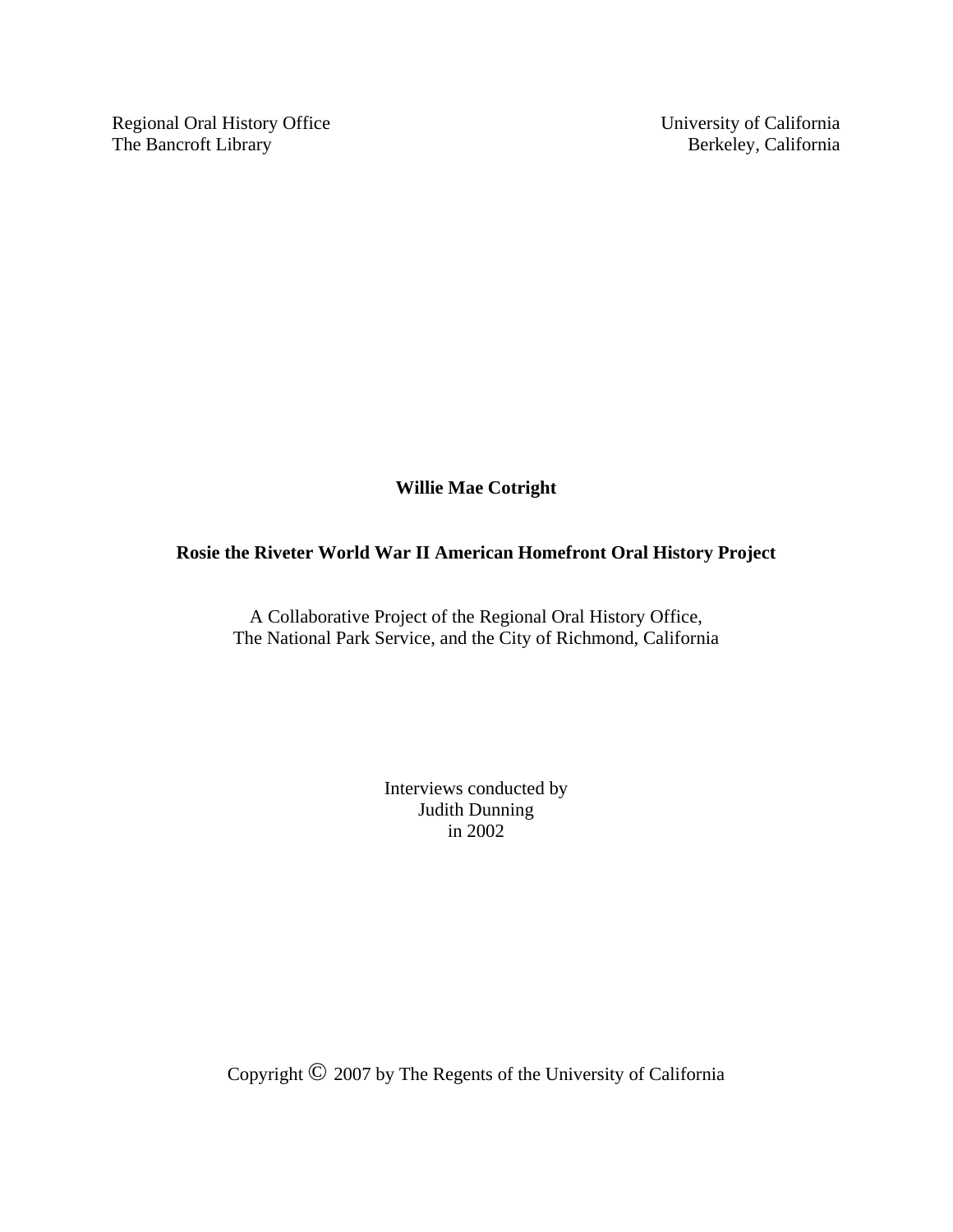Regional Oral History Office University of California The Bancroft Library Berkeley, California

**Willie Mae Cotright** 

# **Rosie the Riveter World War II American Homefront Oral History Project**

A Collaborative Project of the Regional Oral History Office, The National Park Service, and the City of Richmond, California

> Interviews conducted by Judith Dunning in 2002

Copyright © 2007 by The Regents of the University of California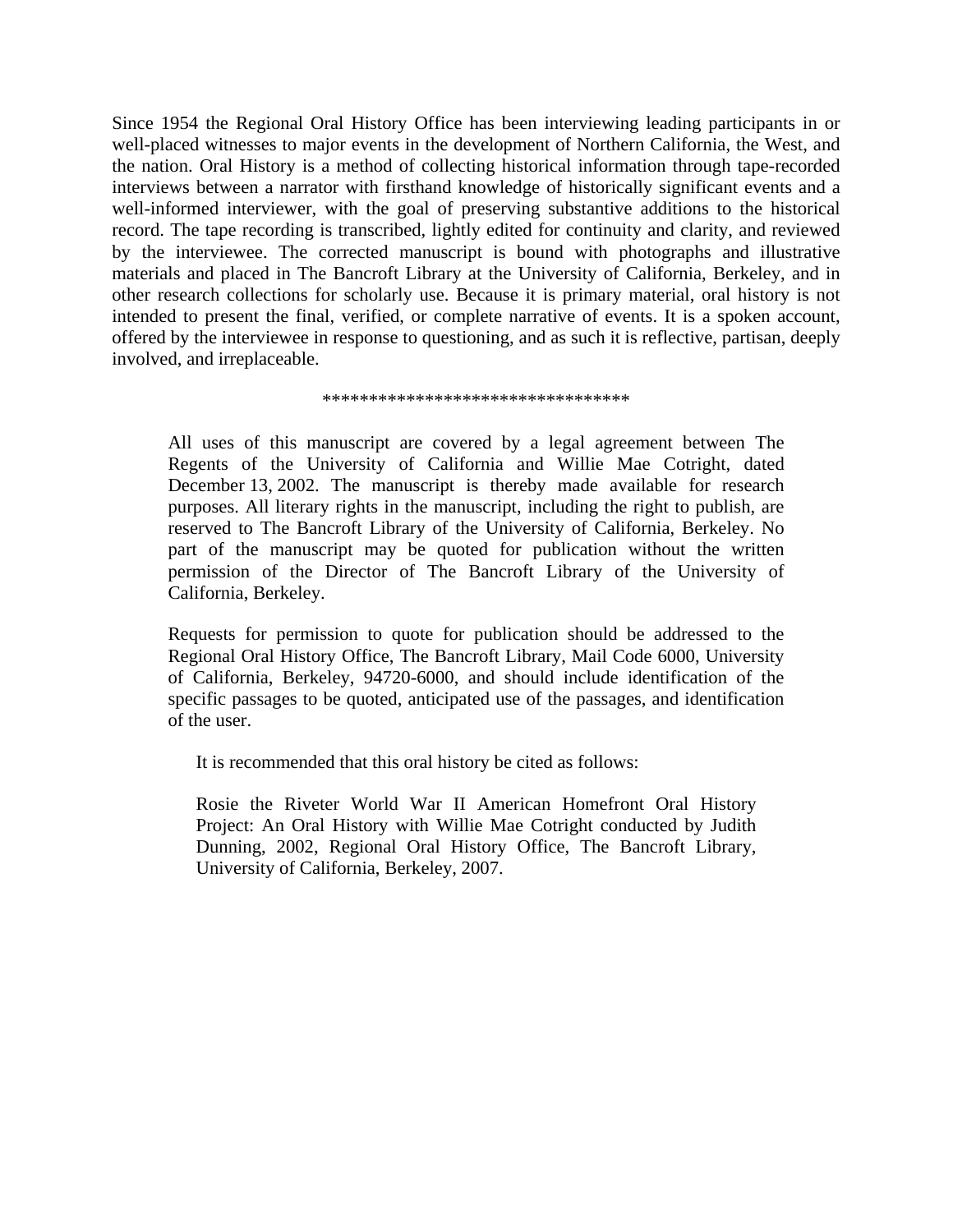Since 1954 the Regional Oral History Office has been interviewing leading participants in or well-placed witnesses to major events in the development of Northern California, the West, and the nation. Oral History is a method of collecting historical information through tape-recorded interviews between a narrator with firsthand knowledge of historically significant events and a well-informed interviewer, with the goal of preserving substantive additions to the historical record. The tape recording is transcribed, lightly edited for continuity and clarity, and reviewed by the interviewee. The corrected manuscript is bound with photographs and illustrative materials and placed in The Bancroft Library at the University of California, Berkeley, and in other research collections for scholarly use. Because it is primary material, oral history is not intended to present the final, verified, or complete narrative of events. It is a spoken account, offered by the interviewee in response to questioning, and as such it is reflective, partisan, deeply involved, and irreplaceable.

\*\*\*\*\*\*\*\*\*\*\*\*\*\*\*\*\*\*\*\*\*\*\*\*\*\*\*\*\*\*\*\*\*

All uses of this manuscript are covered by a legal agreement between The Regents of the University of California and Willie Mae Cotright, dated December 13, 2002. The manuscript is thereby made available for research purposes. All literary rights in the manuscript, including the right to publish, are reserved to The Bancroft Library of the University of California, Berkeley. No part of the manuscript may be quoted for publication without the written permission of the Director of The Bancroft Library of the University of California, Berkeley.

Requests for permission to quote for publication should be addressed to the Regional Oral History Office, The Bancroft Library, Mail Code 6000, University of California, Berkeley, 94720-6000, and should include identification of the specific passages to be quoted, anticipated use of the passages, and identification of the user.

It is recommended that this oral history be cited as follows:

Rosie the Riveter World War II American Homefront Oral History Project: An Oral History with Willie Mae Cotright conducted by Judith Dunning, 2002, Regional Oral History Office, The Bancroft Library, University of California, Berkeley, 2007.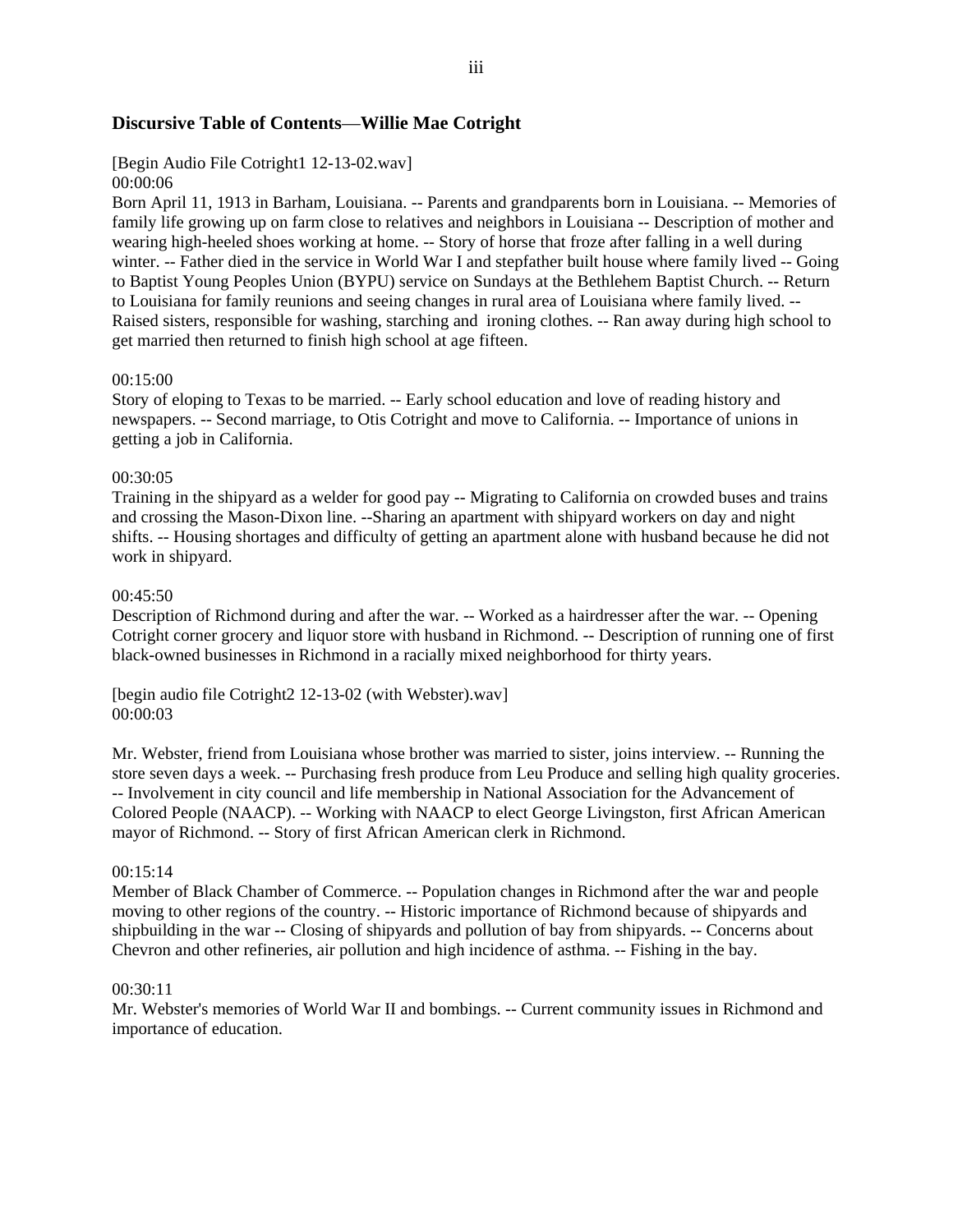### **Discursive Table of Contents**—**Willie Mae Cotright**

# [Begin Audio File Cotright1 12-13-02.wav]

### 00:00:06

Born April 11, 1913 in Barham, Louisiana. -- Parents and grandparents born in Louisiana. -- Memories of family life growing up on farm close to relatives and neighbors in Louisiana -- Description of mother and wearing high-heeled shoes working at home. -- Story of horse that froze after falling in a well during winter. -- Father died in the service in World War I and stepfather built house where family lived -- Going to Baptist Young Peoples Union (BYPU) service on Sundays at the Bethlehem Baptist Church. -- Return to Louisiana for family reunions and seeing changes in rural area of Louisiana where family lived. -- Raised sisters, responsible for washing, starching and ironing clothes. -- Ran away during high school to get married then returned to finish high school at age fifteen.

#### 00:15:00

Story of eloping to Texas to be married. -- Early school education and love of reading history and newspapers. -- Second marriage, to Otis Cotright and move to California. -- Importance of unions in getting a job in California.

#### 00:30:05

Training in the shipyard as a welder for good pay -- Migrating to California on crowded buses and trains and crossing the Mason-Dixon line. --Sharing an apartment with shipyard workers on day and night shifts. -- Housing shortages and difficulty of getting an apartment alone with husband because he did not work in shipyard.

#### 00:45:50

Description of Richmond during and after the war. -- Worked as a hairdresser after the war. -- Opening Cotright corner grocery and liquor store with husband in Richmond. -- Description of running one of first black-owned businesses in Richmond in a racially mixed neighborhood for thirty years.

[begin audio file Cotright2 12-13-02 (with Webster).wav] 00:00:03

Mr. Webster, friend from Louisiana whose brother was married to sister, joins interview. -- Running the store seven days a week. -- Purchasing fresh produce from Leu Produce and selling high quality groceries. -- Involvement in city council and life membership in National Association for the Advancement of Colored People (NAACP). -- Working with NAACP to elect George Livingston, first African American mayor of Richmond. -- Story of first African American clerk in Richmond.

#### 00:15:14

Member of Black Chamber of Commerce. -- Population changes in Richmond after the war and people moving to other regions of the country. -- Historic importance of Richmond because of shipyards and shipbuilding in the war -- Closing of shipyards and pollution of bay from shipyards. -- Concerns about Chevron and other refineries, air pollution and high incidence of asthma. -- Fishing in the bay.

#### 00:30:11

Mr. Webster's memories of World War II and bombings. -- Current community issues in Richmond and importance of education.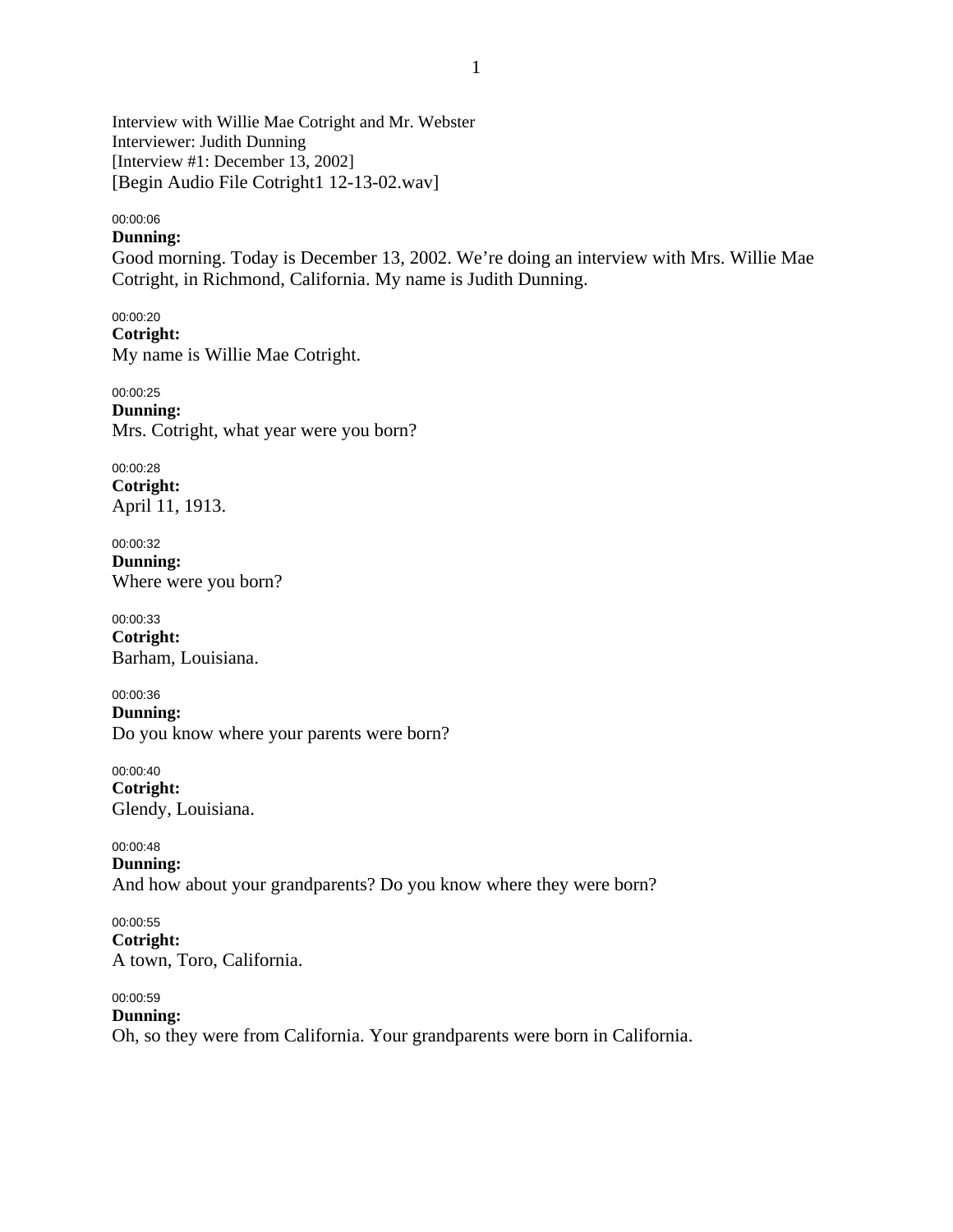Interview with Willie Mae Cotright and Mr. Webster Interviewer: Judith Dunning [Interview #1: December 13, 2002] [Begin Audio File Cotright1 12-13-02.wav]

00:00:06

# **Dunning:**

Good morning. Today is December 13, 2002. We're doing an interview with Mrs. Willie Mae Cotright, in Richmond, California. My name is Judith Dunning.

00:00:20 **Cotright:**  My name is Willie Mae Cotright.

00:00:25 **Dunning:**  Mrs. Cotright, what year were you born?

00:00:28 **Cotright:**  April 11, 1913.

00:00:32 **Dunning:**  Where were you born?

00:00:33 **Cotright:**  Barham, Louisiana.

00:00:36 **Dunning:**  Do you know where your parents were born?

00:00:40 **Cotright:**  Glendy, Louisiana.

00:00:48 **Dunning:**  And how about your grandparents? Do you know where they were born?

00:00:55 **Cotright:**  A town, Toro, California.

00:00:59 **Dunning:**  Oh, so they were from California. Your grandparents were born in California.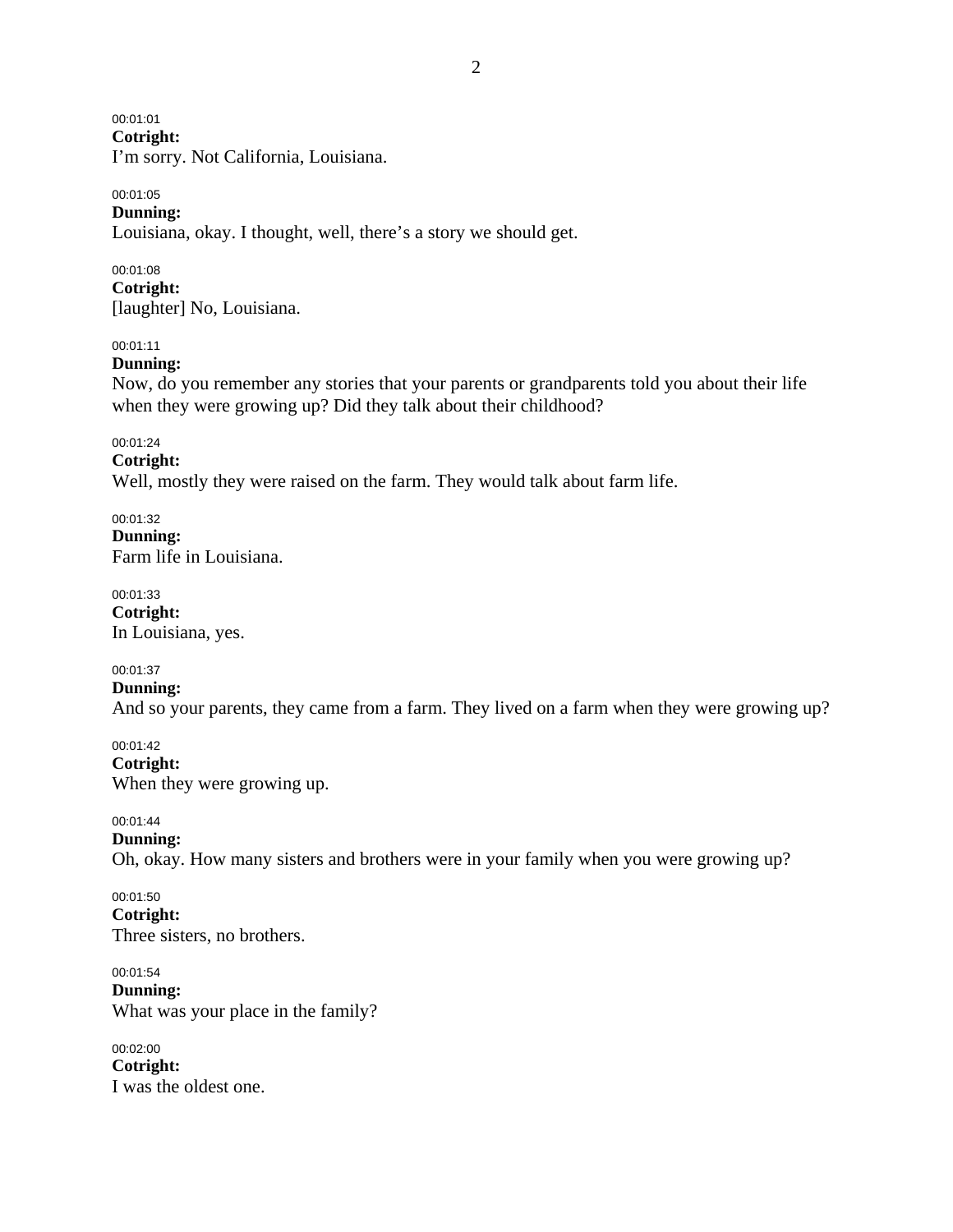00:01:01

**Cotright:** 

I'm sorry. Not California, Louisiana.

#### 00:01:05 **Dunning:**

Louisiana, okay. I thought, well, there's a story we should get.

00:01:08 **Cotright:**  [laughter] No, Louisiana.

### 00:01:11

### **Dunning:**

Now, do you remember any stories that your parents or grandparents told you about their life when they were growing up? Did they talk about their childhood?

00:01:24

### **Cotright:**

Well, mostly they were raised on the farm. They would talk about farm life.

00:01:32 **Dunning:**  Farm life in Louisiana.

00:01:33 **Cotright:**  In Louisiana, yes.

### 00:01:37

**Dunning:**  And so your parents, they came from a farm. They lived on a farm when they were growing up?

00:01:42 **Cotright:**  When they were growing up.

00:01:44

**Dunning:**  Oh, okay. How many sisters and brothers were in your family when you were growing up?

00:01:50 **Cotright:**  Three sisters, no brothers.

00:01:54 **Dunning:**  What was your place in the family?

00:02:00 **Cotright:**  I was the oldest one.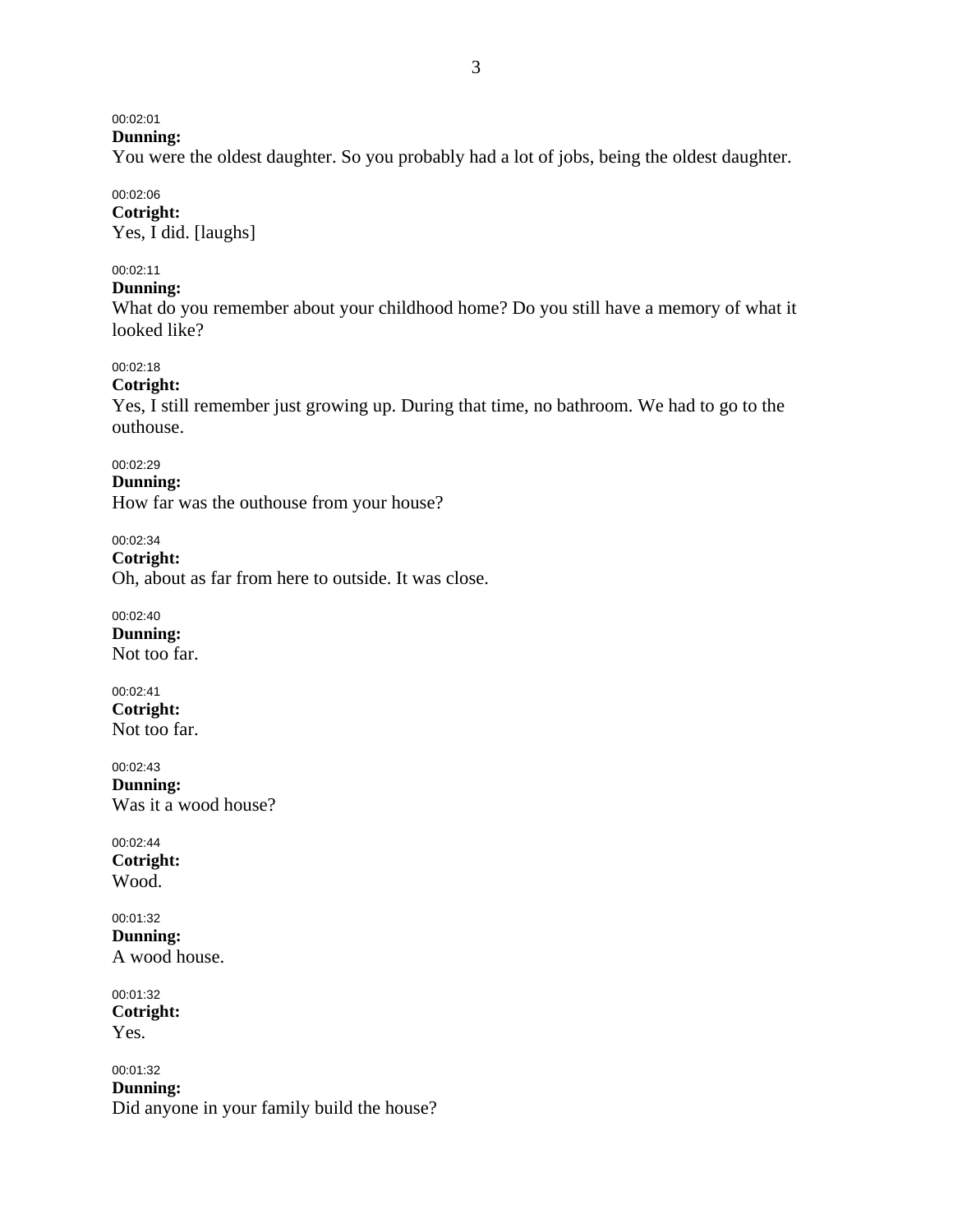# 00:02:01

**Dunning:** 

You were the oldest daughter. So you probably had a lot of jobs, being the oldest daughter.

### 00:02:06

**Cotright:**  Yes, I did. [laughs]

### 00:02:11

### **Dunning:**

What do you remember about your childhood home? Do you still have a memory of what it looked like?

### 00:02:18

### **Cotright:**

Yes, I still remember just growing up. During that time, no bathroom. We had to go to the outhouse.

### 00:02:29

**Dunning:** 

How far was the outhouse from your house?

00:02:34

**Cotright:**  Oh, about as far from here to outside. It was close.

00:02:40 **Dunning:**  Not too far.

00:02:41 **Cotright:**  Not too far.

00:02:43 **Dunning:**  Was it a wood house?

00:02:44 **Cotright:**  Wood.

#### 00:01:32 **Dunning:**  A wood house.

00:01:32 **Cotright:**  Yes.

00:01:32 **Dunning:**  Did anyone in your family build the house?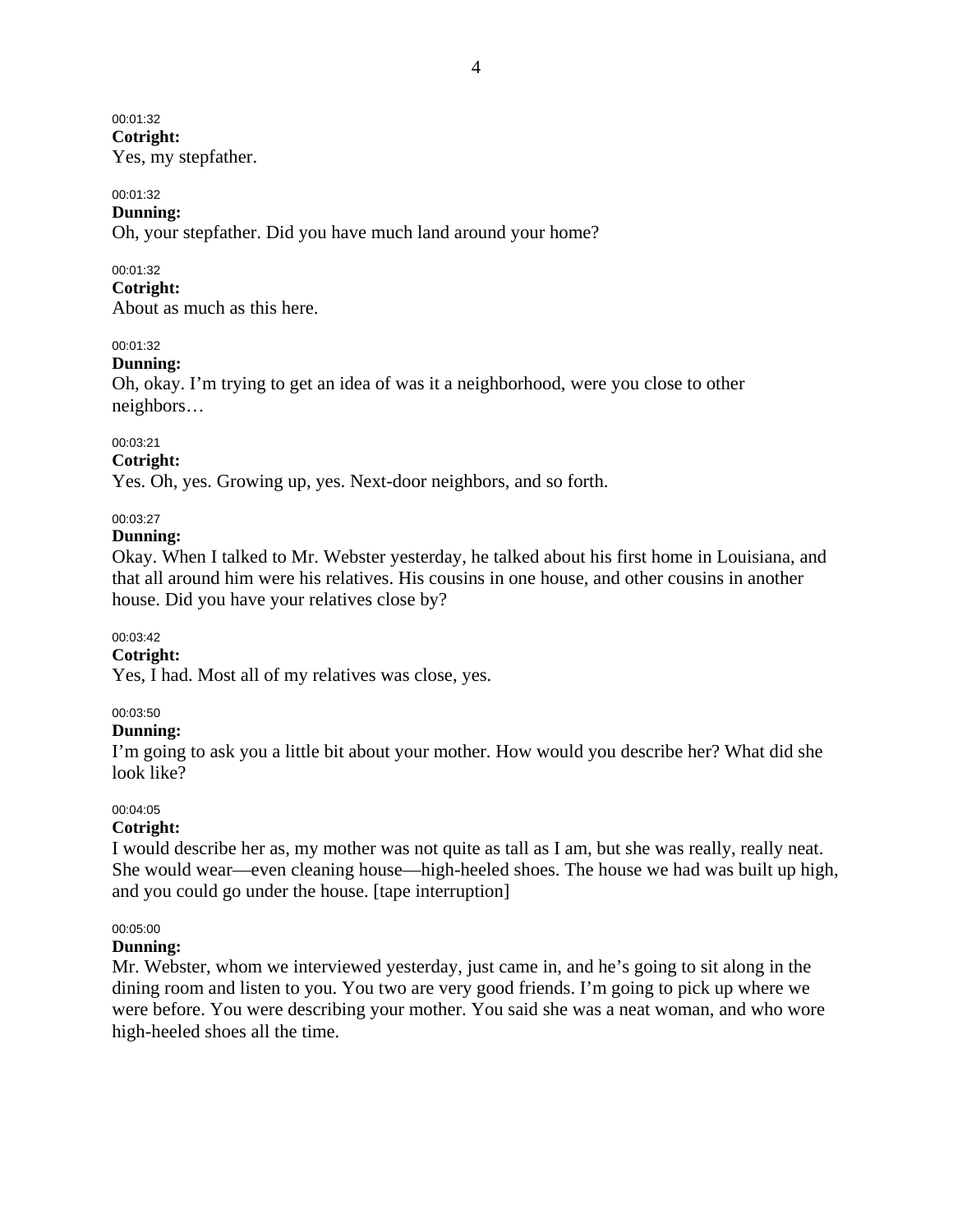00:01:32 **Cotright:**  Yes, my stepfather.

#### 00:01:32

#### **Dunning:**

Oh, your stepfather. Did you have much land around your home?

#### 00:01:32

### **Cotright:**

About as much as this here.

#### 00:01:32

#### **Dunning:**

Oh, okay. I'm trying to get an idea of was it a neighborhood, were you close to other neighbors…

#### 00:03:21

#### **Cotright:**

Yes. Oh, yes. Growing up, yes. Next-door neighbors, and so forth.

### 00:03:27

#### **Dunning:**

Okay. When I talked to Mr. Webster yesterday, he talked about his first home in Louisiana, and that all around him were his relatives. His cousins in one house, and other cousins in another house. Did you have your relatives close by?

#### 00:03:42

### **Cotright:**

Yes, I had. Most all of my relatives was close, yes.

#### 00:03:50

#### **Dunning:**

I'm going to ask you a little bit about your mother. How would you describe her? What did she look like?

#### 00:04:05

### **Cotright:**

I would describe her as, my mother was not quite as tall as I am, but she was really, really neat. She would wear—even cleaning house—high-heeled shoes. The house we had was built up high, and you could go under the house. [tape interruption]

### 00:05:00

#### **Dunning:**

Mr. Webster, whom we interviewed yesterday, just came in, and he's going to sit along in the dining room and listen to you. You two are very good friends. I'm going to pick up where we were before. You were describing your mother. You said she was a neat woman, and who wore high-heeled shoes all the time.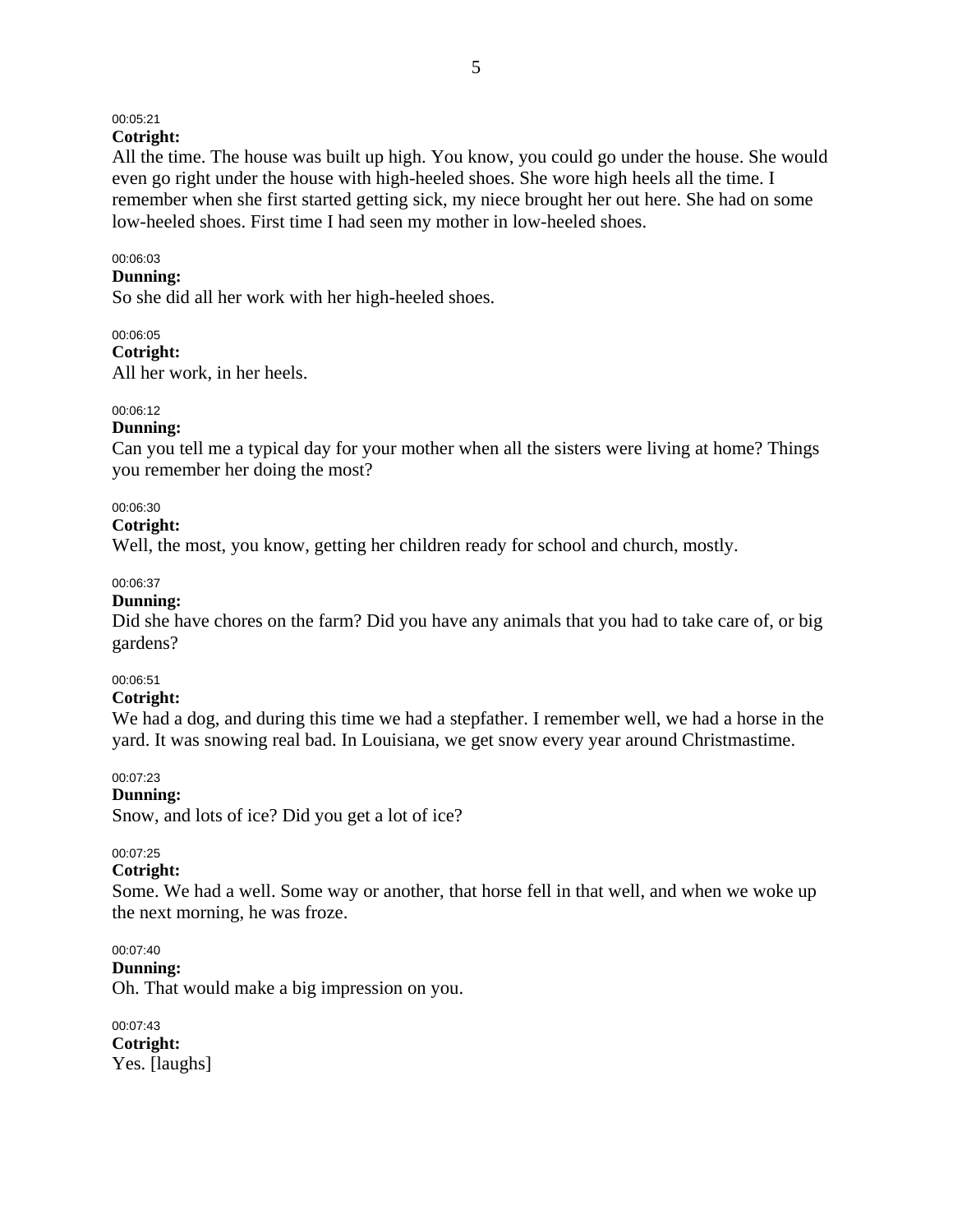### 00:05:21

### **Cotright:**

All the time. The house was built up high. You know, you could go under the house. She would even go right under the house with high-heeled shoes. She wore high heels all the time. I remember when she first started getting sick, my niece brought her out here. She had on some low-heeled shoes. First time I had seen my mother in low-heeled shoes.

#### 00:06:03

### **Dunning:**

So she did all her work with her high-heeled shoes.

### 00:06:05

**Cotright:**  All her work, in her heels.

#### 00:06:12

#### **Dunning:**

Can you tell me a typical day for your mother when all the sisters were living at home? Things you remember her doing the most?

#### 00:06:30

#### **Cotright:**

Well, the most, you know, getting her children ready for school and church, mostly.

#### 00:06:37

### **Dunning:**

Did she have chores on the farm? Did you have any animals that you had to take care of, or big gardens?

#### 00:06:51

#### **Cotright:**

We had a dog, and during this time we had a stepfather. I remember well, we had a horse in the yard. It was snowing real bad. In Louisiana, we get snow every year around Christmastime.

#### 00:07:23

#### **Dunning:**

Snow, and lots of ice? Did you get a lot of ice?

#### 00:07:25

### **Cotright:**

Some. We had a well. Some way or another, that horse fell in that well, and when we woke up the next morning, he was froze.

### 00:07:40

**Dunning:** 

Oh. That would make a big impression on you.

00:07:43 **Cotright:**  Yes. [laughs]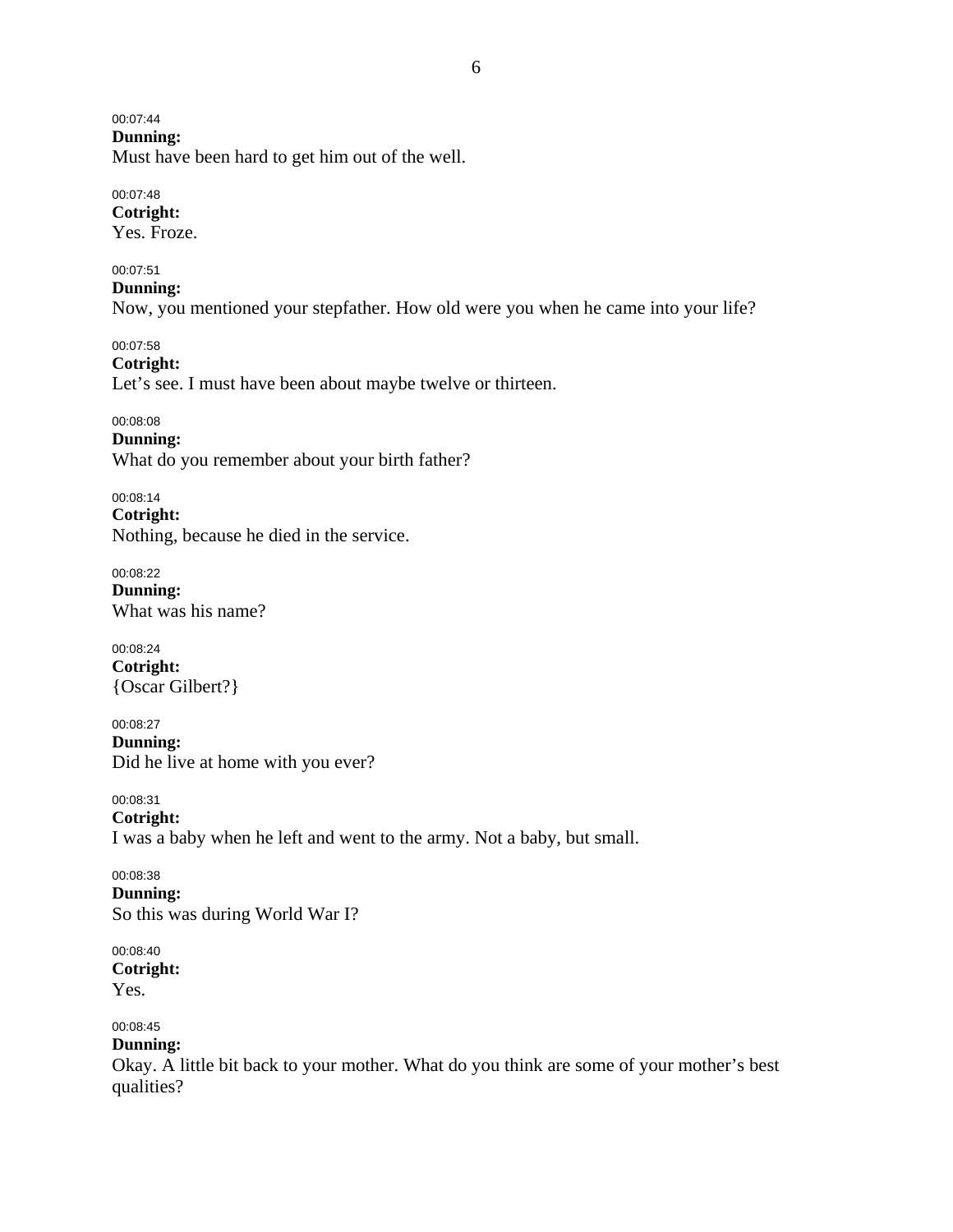00:07:44

**Dunning:** 

Must have been hard to get him out of the well.

00:07:48 **Cotright:** 

Yes. Froze.

00:07:51

**Dunning:** 

Now, you mentioned your stepfather. How old were you when he came into your life?

00:07:58 **Cotright:** 

Let's see. I must have been about maybe twelve or thirteen.

00:08:08 **Dunning:**  What do you remember about your birth father?

00:08:14 **Cotright:**  Nothing, because he died in the service.

00:08:22 **Dunning:**  What was his name?

00:08:24 **Cotright:**  {Oscar Gilbert?}

00:08:27 **Dunning:**  Did he live at home with you ever?

00:08:31 **Cotright:**  I was a baby when he left and went to the army. Not a baby, but small.

00:08:38 **Dunning:**  So this was during World War I?

00:08:40 **Cotright:**  Yes.

00:08:45 **Dunning:** 

Okay. A little bit back to your mother. What do you think are some of your mother's best qualities?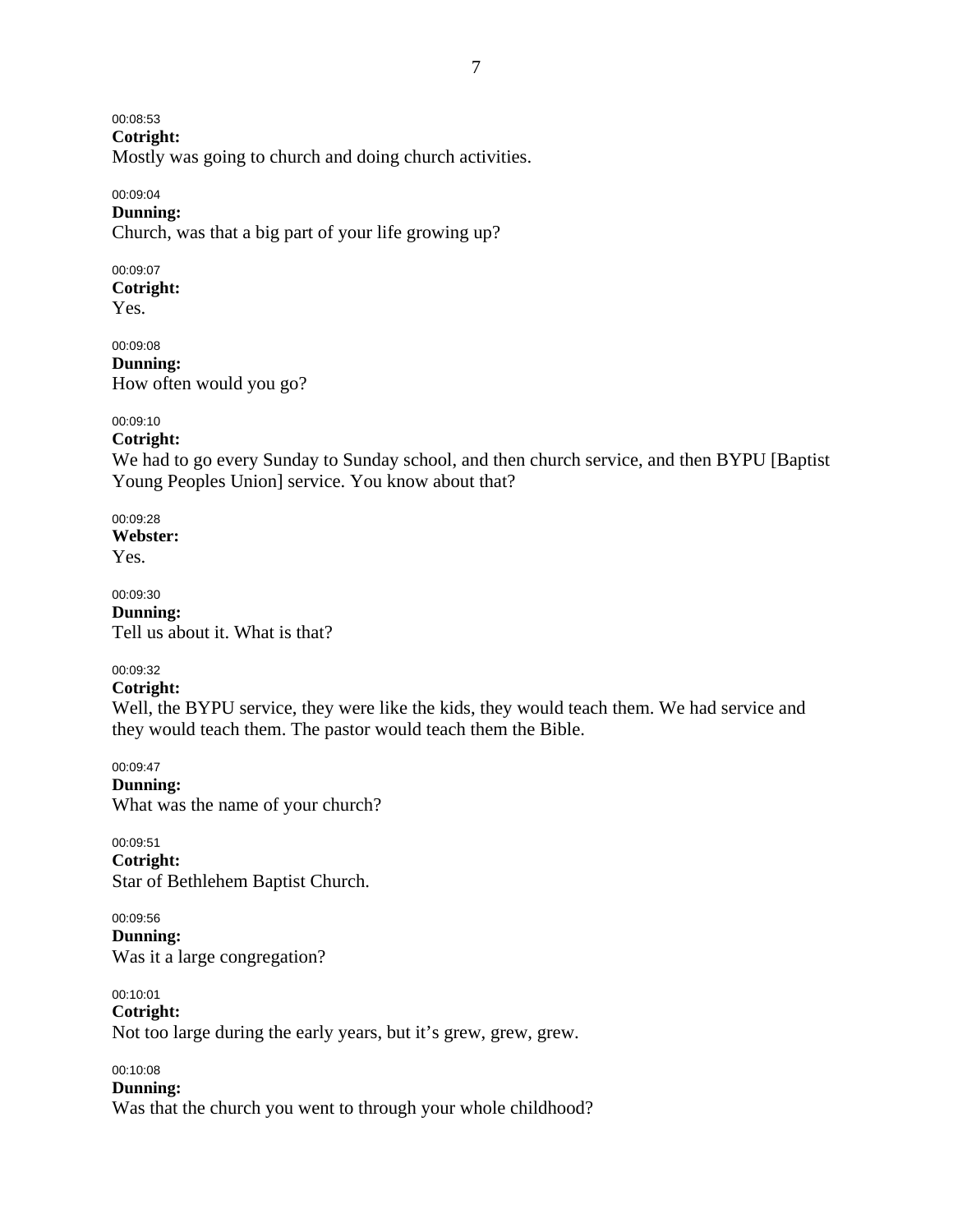00:08:53

**Cotright:** 

Mostly was going to church and doing church activities.

#### 00:09:04 **Dunning:**

Church, was that a big part of your life growing up?

#### 00:09:07 **Cotright:**

Yes.

00:09:08 **Dunning:**  How often would you go?

### 00:09:10

**Cotright:** 

We had to go every Sunday to Sunday school, and then church service, and then BYPU [Baptist Young Peoples Union] service. You know about that?

00:09:28 **Webster:**  Yes.

00:09:30 **Dunning:**  Tell us about it. What is that?

# 00:09:32

# **Cotright:**

Well, the BYPU service, they were like the kids, they would teach them. We had service and they would teach them. The pastor would teach them the Bible.

00:09:47 **Dunning:** 

What was the name of your church?

00:09:51 **Cotright:**  Star of Bethlehem Baptist Church.

00:09:56 **Dunning:**  Was it a large congregation?

00:10:01 **Cotright:**  Not too large during the early years, but it's grew, grew, grew.

00:10:08

**Dunning:**  Was that the church you went to through your whole childhood?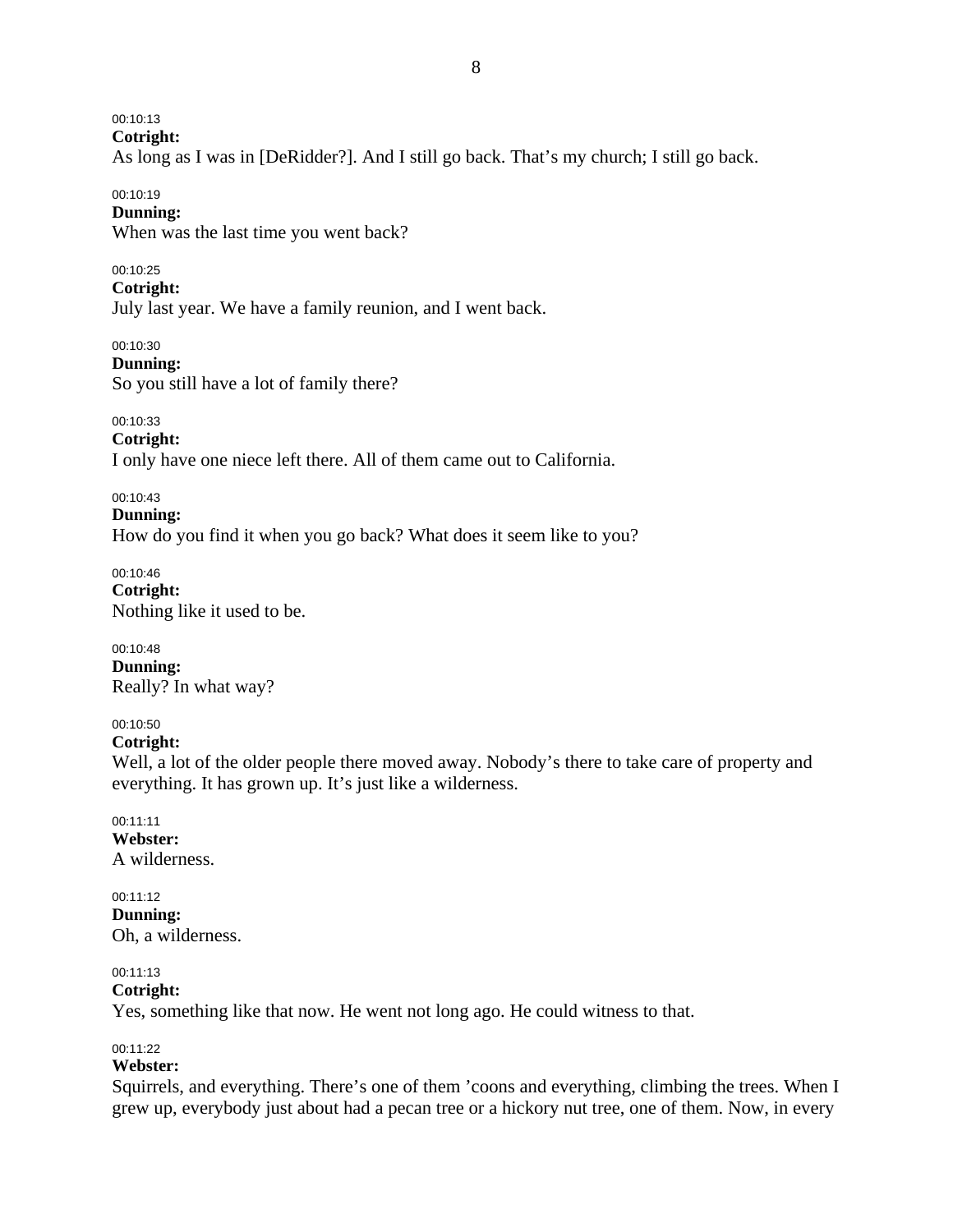00:10:13

**Cotright:** 

As long as I was in [DeRidder?]. And I still go back. That's my church; I still go back.

#### 00:10:19

### **Dunning:**

When was the last time you went back?

### 00:10:25

### **Cotright:**

July last year. We have a family reunion, and I went back.

00:10:30

### **Dunning:**

So you still have a lot of family there?

00:10:33

### **Cotright:**

I only have one niece left there. All of them came out to California.

00:10:43

### **Dunning:**

How do you find it when you go back? What does it seem like to you?

00:10:46 **Cotright:**  Nothing like it used to be.

#### 00:10:48 **Dunning:**  Really? In what way?

### 00:10:50

**Cotright:** 

Well, a lot of the older people there moved away. Nobody's there to take care of property and everything. It has grown up. It's just like a wilderness.

### 00:11:11

**Webster:**  A wilderness.

#### 00:11:12

**Dunning:**  Oh, a wilderness.

### 00:11:13

### **Cotright:**

Yes, something like that now. He went not long ago. He could witness to that.

#### 00:11:22

# **Webster:**

Squirrels, and everything. There's one of them 'coons and everything, climbing the trees. When I grew up, everybody just about had a pecan tree or a hickory nut tree, one of them. Now, in every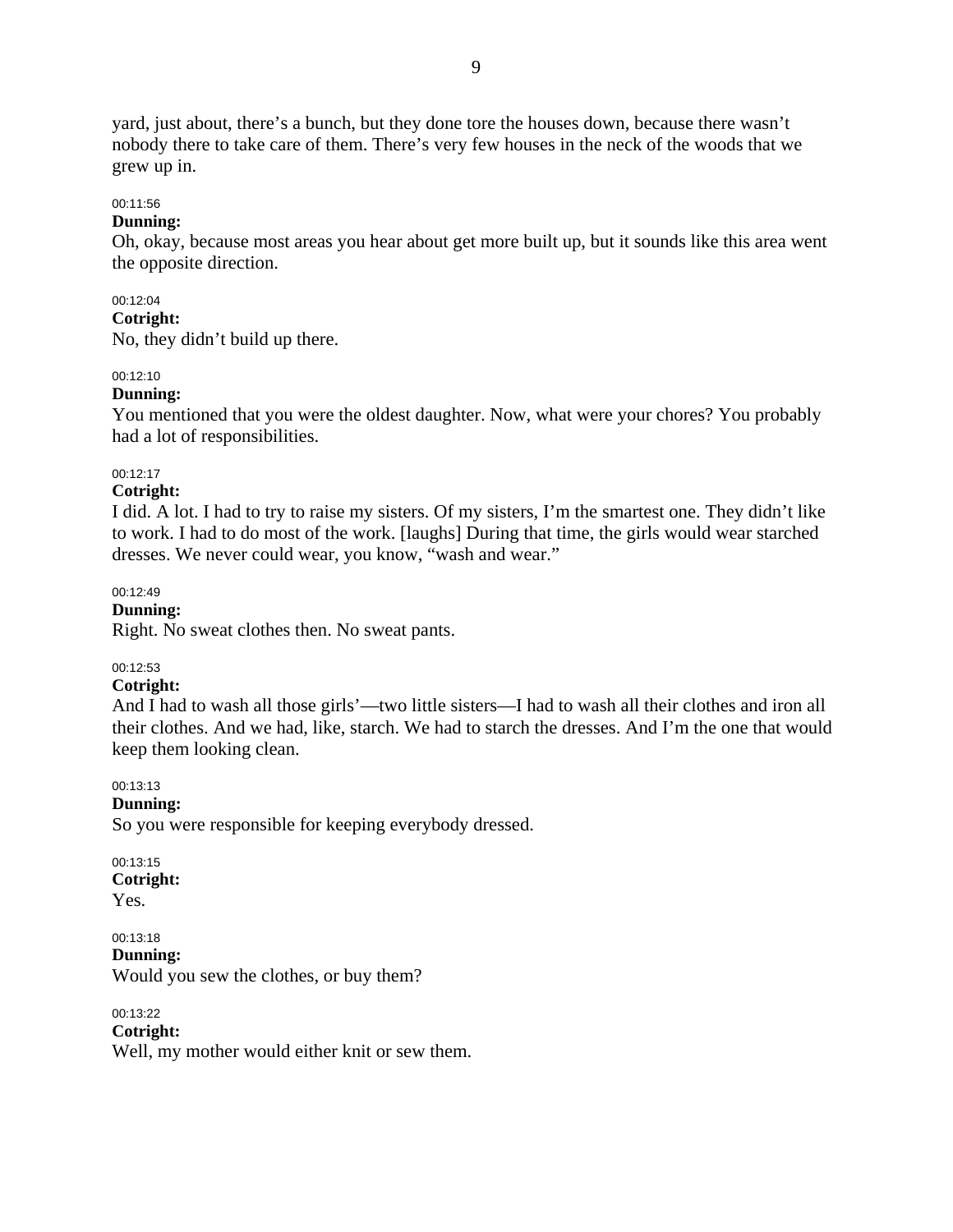yard, just about, there's a bunch, but they done tore the houses down, because there wasn't nobody there to take care of them. There's very few houses in the neck of the woods that we grew up in.

#### 00:11:56

### **Dunning:**

Oh, okay, because most areas you hear about get more built up, but it sounds like this area went the opposite direction.

#### 00:12:04

#### **Cotright:**

No, they didn't build up there.

#### 00:12:10

### **Dunning:**

You mentioned that you were the oldest daughter. Now, what were your chores? You probably had a lot of responsibilities.

00:12:17

#### **Cotright:**

I did. A lot. I had to try to raise my sisters. Of my sisters, I'm the smartest one. They didn't like to work. I had to do most of the work. [laughs] During that time, the girls would wear starched dresses. We never could wear, you know, "wash and wear."

00:12:49

### **Dunning:**

Right. No sweat clothes then. No sweat pants.

### 00:12:53

### **Cotright:**

And I had to wash all those girls'—two little sisters—I had to wash all their clothes and iron all their clothes. And we had, like, starch. We had to starch the dresses. And I'm the one that would keep them looking clean.

00:13:13

#### **Dunning:**

So you were responsible for keeping everybody dressed.

00:13:15 **Cotright:**  Yes.

00:13:18 **Dunning:**  Would you sew the clothes, or buy them?

00:13:22 **Cotright:**  Well, my mother would either knit or sew them.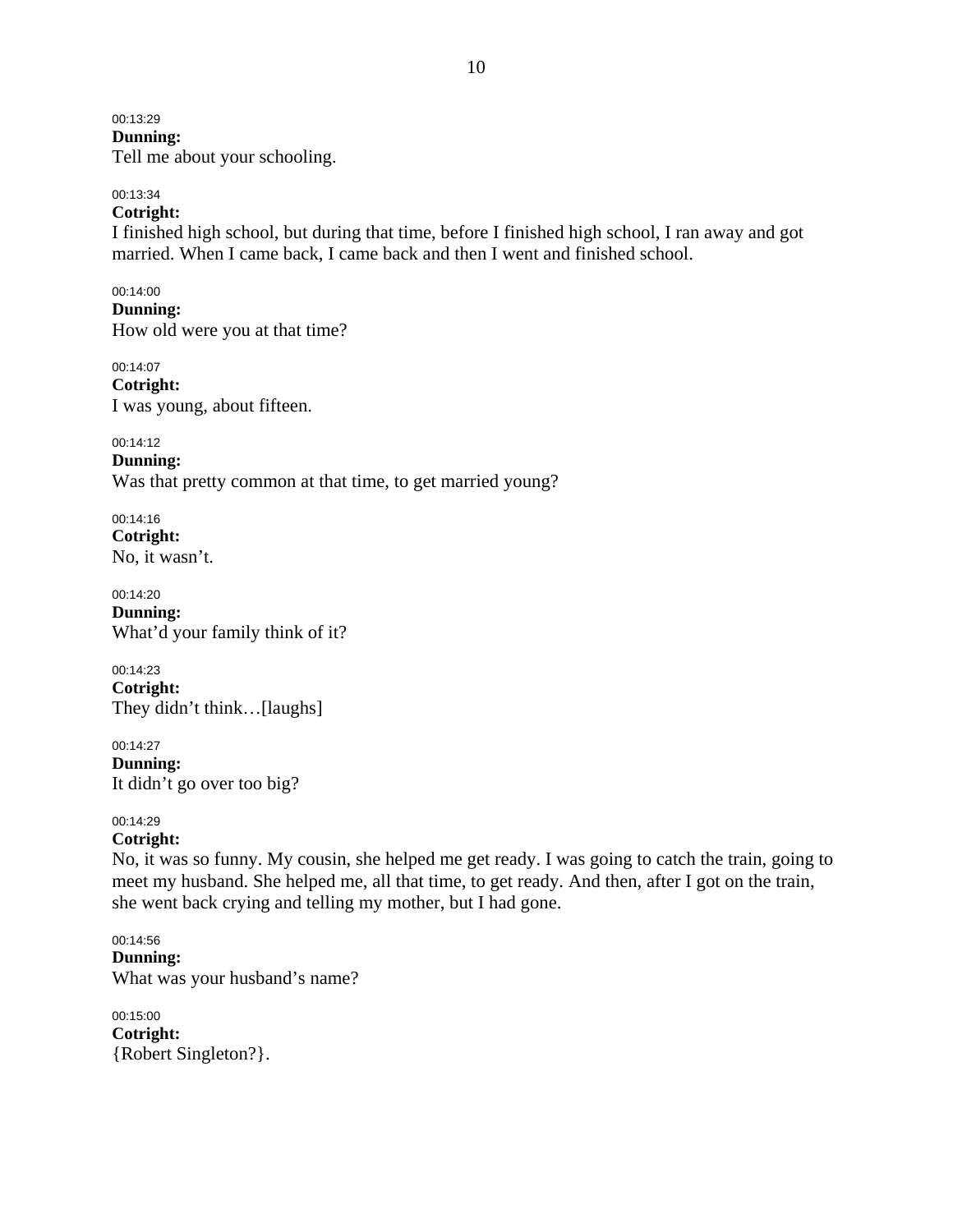00:13:29

**Dunning:**  Tell me about your schooling.

### 00:13:34

### **Cotright:**

I finished high school, but during that time, before I finished high school, I ran away and got married. When I came back, I came back and then I went and finished school.

00:14:00 **Dunning:**  How old were you at that time?

00:14:07 **Cotright:**  I was young, about fifteen.

00:14:12

**Dunning:**  Was that pretty common at that time, to get married young?

00:14:16 **Cotright:**  No, it wasn't.

00:14:20 **Dunning:**  What'd your family think of it?

00:14:23 **Cotright:**  They didn't think…[laughs]

00:14:27 **Dunning:**  It didn't go over too big?

00:14:29 **Cotright:** 

No, it was so funny. My cousin, she helped me get ready. I was going to catch the train, going to meet my husband. She helped me, all that time, to get ready. And then, after I got on the train, she went back crying and telling my mother, but I had gone.

00:14:56 **Dunning:**  What was your husband's name?

00:15:00 **Cotright:**  {Robert Singleton?}.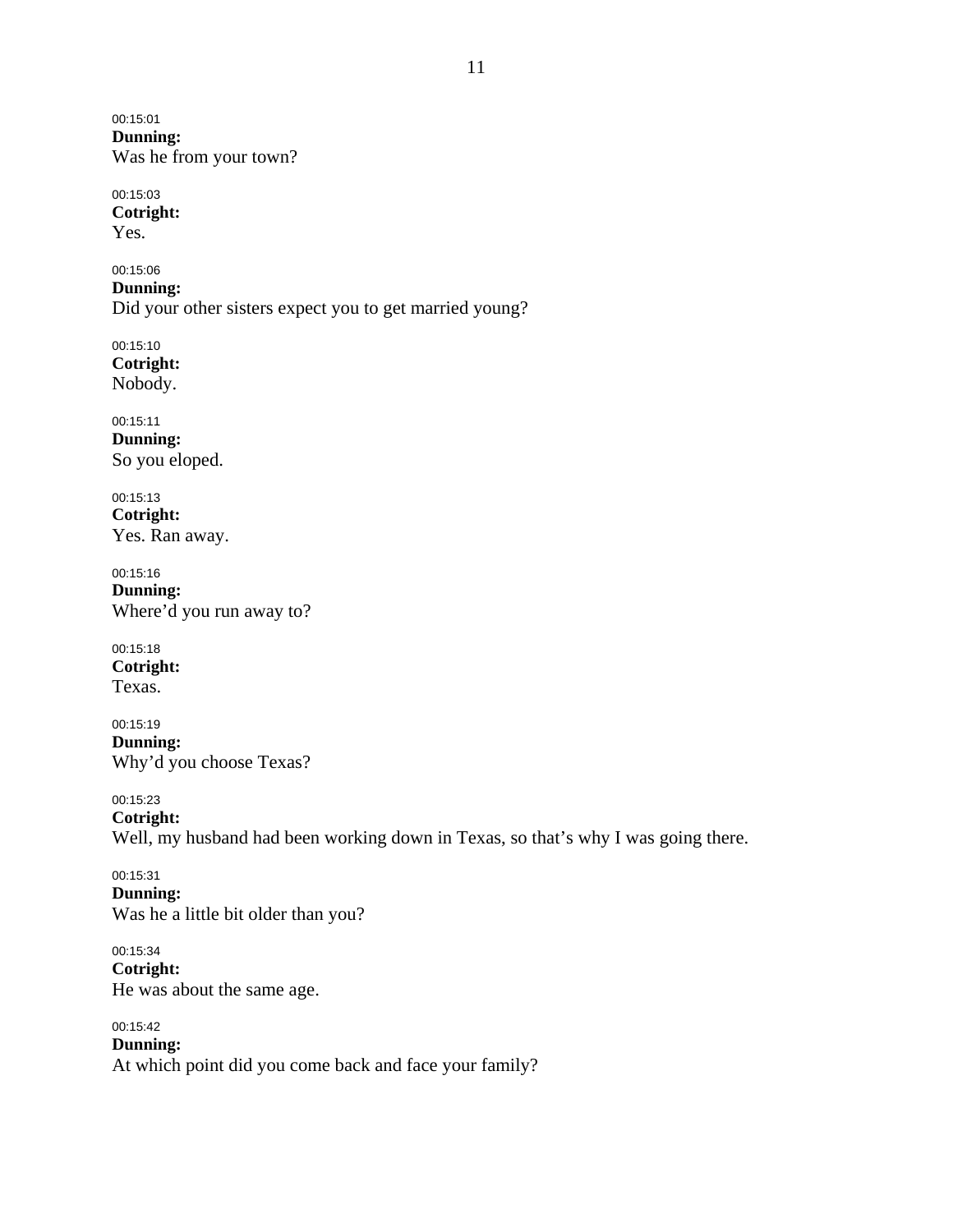00:15:01 **Dunning:**  Was he from your town?

00:15:03 **Cotright:**  Yes.

00:15:06 **Dunning:**  Did your other sisters expect you to get married young?

00:15:10 **Cotright:**  Nobody.

00:15:11 **Dunning:**  So you eloped.

00:15:13 **Cotright:**  Yes. Ran away.

00:15:16 **Dunning:**  Where'd you run away to?

00:15:18 **Cotright:**  Texas.

00:15:19 **Dunning:**  Why'd you choose Texas?

00:15:23 **Cotright:**  Well, my husband had been working down in Texas, so that's why I was going there.

00:15:31 **Dunning:**  Was he a little bit older than you?

00:15:34 **Cotright:**  He was about the same age.

00:15:42 **Dunning:**  At which point did you come back and face your family?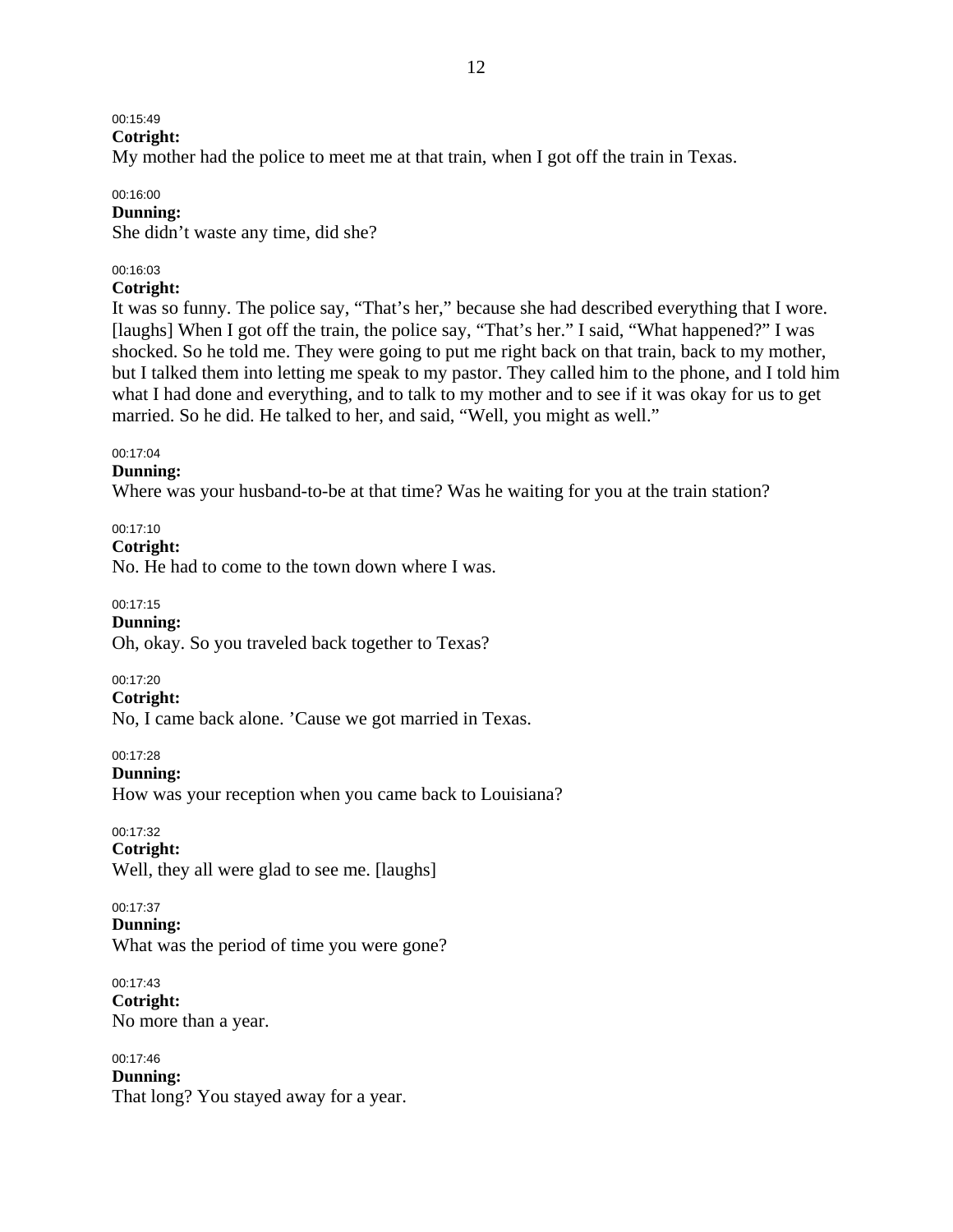# 00:15:49

**Cotright:** 

My mother had the police to meet me at that train, when I got off the train in Texas.

### 00:16:00

### **Dunning:**

She didn't waste any time, did she?

### 00:16:03

### **Cotright:**

It was so funny. The police say, "That's her," because she had described everything that I wore. [laughs] When I got off the train, the police say, "That's her." I said, "What happened?" I was shocked. So he told me. They were going to put me right back on that train, back to my mother, but I talked them into letting me speak to my pastor. They called him to the phone, and I told him what I had done and everything, and to talk to my mother and to see if it was okay for us to get married. So he did. He talked to her, and said, "Well, you might as well."

### 00:17:04

### **Dunning:**

Where was your husband-to-be at that time? Was he waiting for you at the train station?

00:17:10

**Cotright:** 

No. He had to come to the town down where I was.

00:17:15

**Dunning:** 

Oh, okay. So you traveled back together to Texas?

00:17:20

### **Cotright:**

No, I came back alone. 'Cause we got married in Texas.

00:17:28

**Dunning:** 

How was your reception when you came back to Louisiana?

00:17:32

**Cotright:** 

Well, they all were glad to see me. [laughs]

### 00:17:37

**Dunning:** 

What was the period of time you were gone?

00:17:43 **Cotright:**  No more than a year.

00:17:46

**Dunning:** 

That long? You stayed away for a year.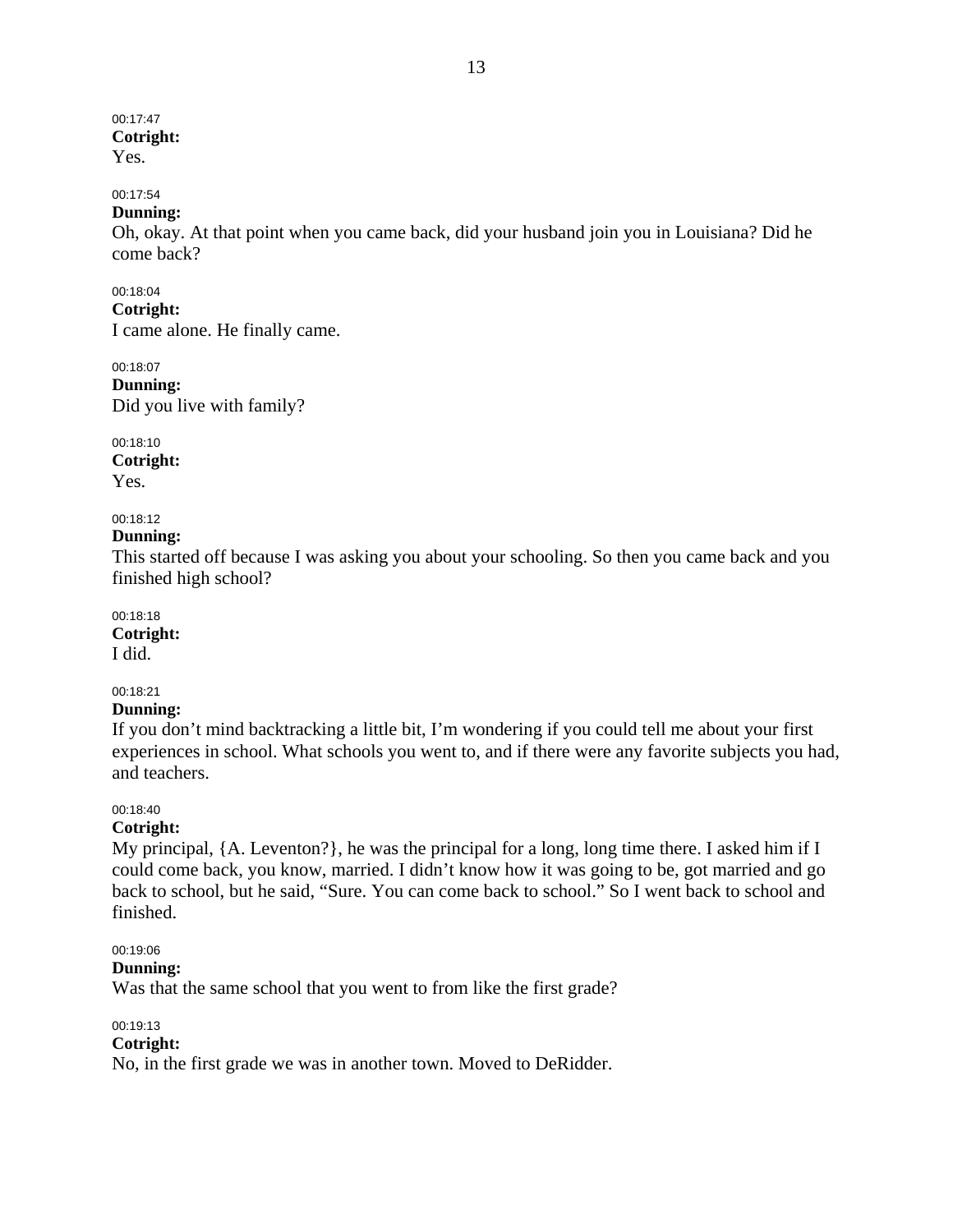# 00:17:47 **Cotright:**

Yes.

# 00:17:54

### **Dunning:**

Oh, okay. At that point when you came back, did your husband join you in Louisiana? Did he come back?

00:18:04

**Cotright:** 

I came alone. He finally came.

00:18:07 **Dunning:**  Did you live with family?

00:18:10 **Cotright:** 

Yes.

### 00:18:12

#### **Dunning:**

This started off because I was asking you about your schooling. So then you came back and you finished high school?

00:18:18 **Cotright:** 

I did.

### 00:18:21

### **Dunning:**

If you don't mind backtracking a little bit, I'm wondering if you could tell me about your first experiences in school. What schools you went to, and if there were any favorite subjects you had, and teachers.

### 00:18:40

### **Cotright:**

My principal, {A. Leventon?}, he was the principal for a long, long time there. I asked him if I could come back, you know, married. I didn't know how it was going to be, got married and go back to school, but he said, "Sure. You can come back to school." So I went back to school and finished.

### 00:19:06

### **Dunning:**

Was that the same school that you went to from like the first grade?

00:19:13

### **Cotright:**

No, in the first grade we was in another town. Moved to DeRidder.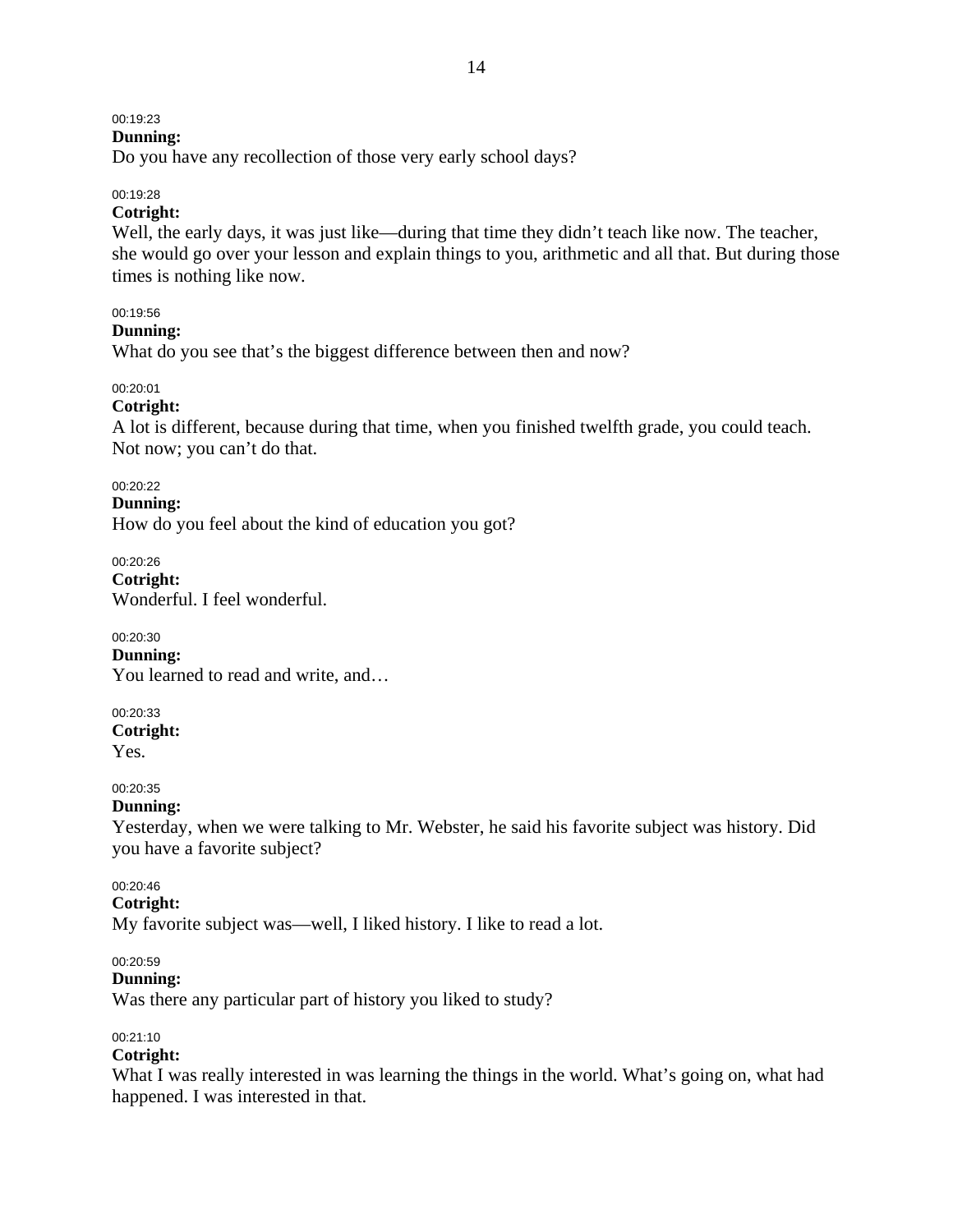### 00:19:23

### **Dunning:**

Do you have any recollection of those very early school days?

#### 00:19:28

### **Cotright:**

Well, the early days, it was just like—during that time they didn't teach like now. The teacher, she would go over your lesson and explain things to you, arithmetic and all that. But during those times is nothing like now.

### 00:19:56

#### **Dunning:**

What do you see that's the biggest difference between then and now?

### 00:20:01

### **Cotright:**

A lot is different, because during that time, when you finished twelfth grade, you could teach. Not now; you can't do that.

#### 00:20:22

**Dunning:** 

How do you feel about the kind of education you got?

00:20:26 **Cotright:**  Wonderful. I feel wonderful.

00:20:30 **Dunning:**  You learned to read and write, and…

00:20:33 **Cotright:** 

Yes.

#### 00:20:35

### **Dunning:**

Yesterday, when we were talking to Mr. Webster, he said his favorite subject was history. Did you have a favorite subject?

00:20:46

### **Cotright:**

My favorite subject was—well, I liked history. I like to read a lot.

#### 00:20:59

### **Dunning:**

Was there any particular part of history you liked to study?

### 00:21:10

### **Cotright:**

What I was really interested in was learning the things in the world. What's going on, what had happened. I was interested in that.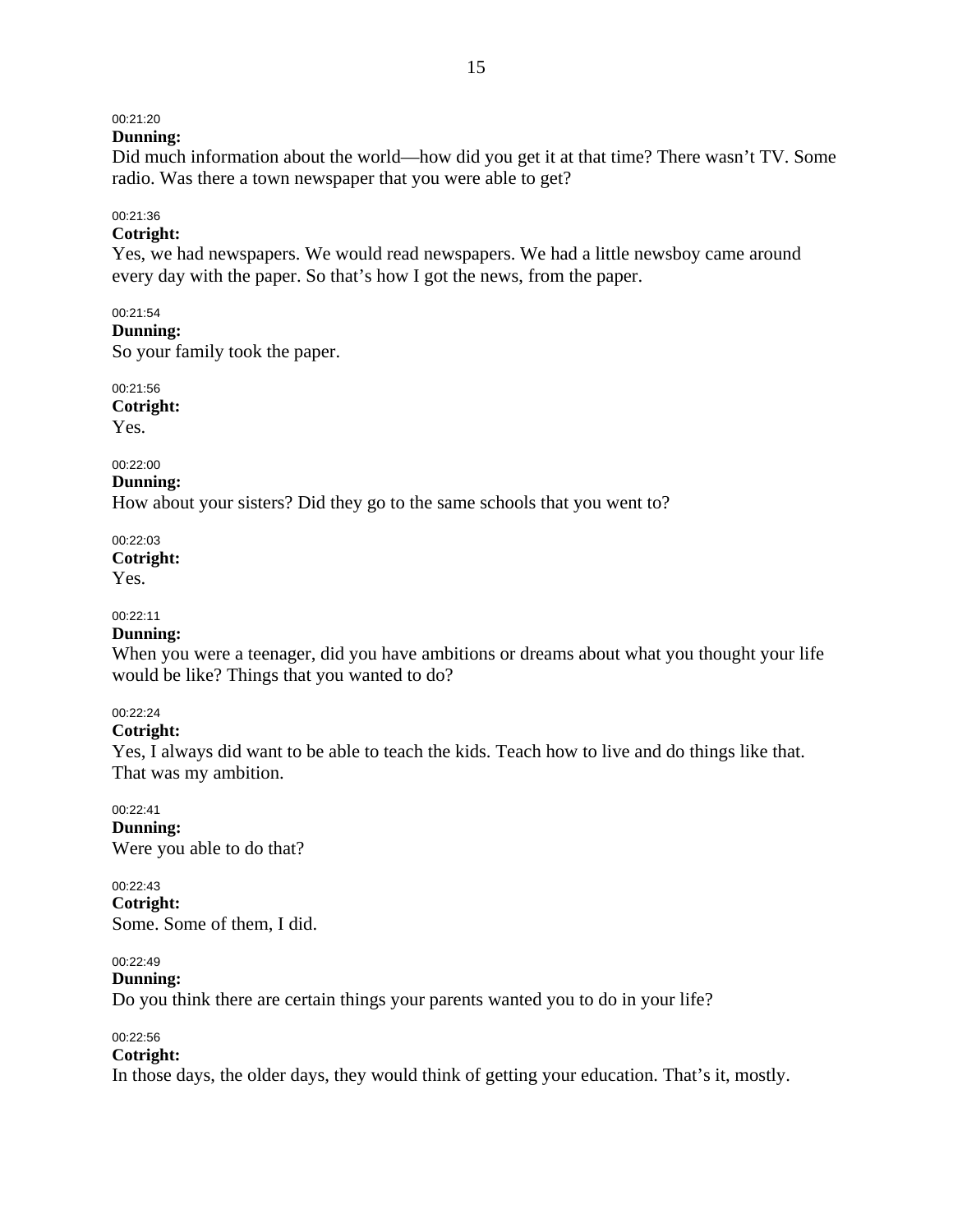### 00:21:20

### **Dunning:**

Did much information about the world—how did you get it at that time? There wasn't TV. Some radio. Was there a town newspaper that you were able to get?

### 00:21:36

### **Cotright:**

Yes, we had newspapers. We would read newspapers. We had a little newsboy came around every day with the paper. So that's how I got the news, from the paper.

### 00:21:54

**Dunning:** 

So your family took the paper.

00:21:56 **Cotright:** 

Yes.

# 00:22:00

**Dunning:** 

How about your sisters? Did they go to the same schools that you went to?

00:22:03 **Cotright:** 

Yes.

# 00:22:11

# **Dunning:**

When you were a teenager, did you have ambitions or dreams about what you thought your life would be like? Things that you wanted to do?

### 00:22:24

### **Cotright:**

Yes, I always did want to be able to teach the kids. Teach how to live and do things like that. That was my ambition.

00:22:41 **Dunning:**  Were you able to do that?

# 00:22:43

**Cotright:**  Some. Some of them, I did.

### 00:22:49

### **Dunning:**

Do you think there are certain things your parents wanted you to do in your life?

### 00:22:56

### **Cotright:**

In those days, the older days, they would think of getting your education. That's it, mostly.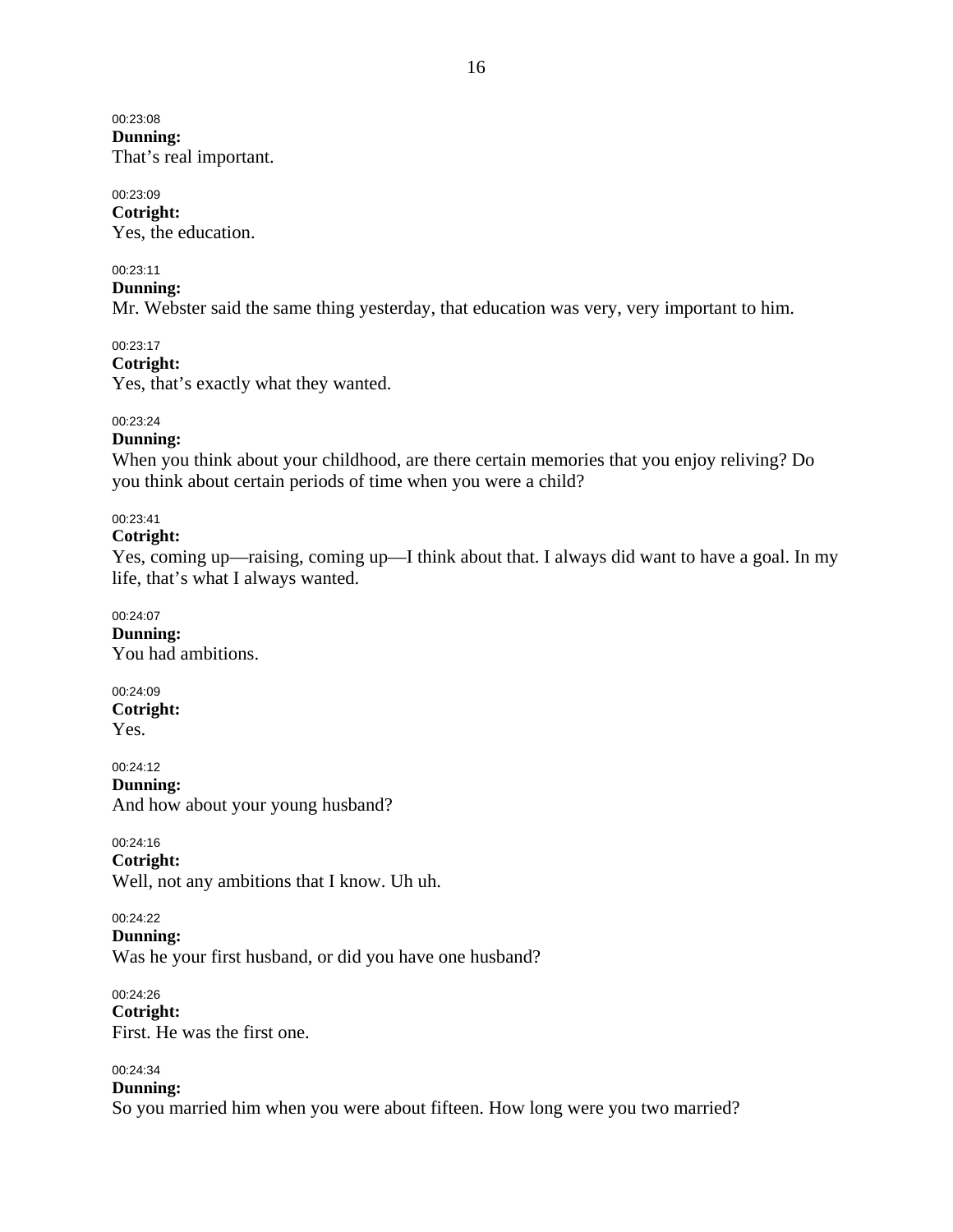#### 00:23:08 **Dunning:**

That's real important.

#### 00:23:09 **Cotright:**

Yes, the education.

### 00:23:11

### **Dunning:**

Mr. Webster said the same thing yesterday, that education was very, very important to him.

### 00:23:17

### **Cotright:**

Yes, that's exactly what they wanted.

### 00:23:24

### **Dunning:**

When you think about your childhood, are there certain memories that you enjoy reliving? Do you think about certain periods of time when you were a child?

### 00:23:41

### **Cotright:**

Yes, coming up—raising, coming up—I think about that. I always did want to have a goal. In my life, that's what I always wanted.

#### 00:24:07 **Dunning:**

You had ambitions.

# 00:24:09 **Cotright:**

Yes.

#### 00:24:12 **Dunning:**  And how about your young husband?

00:24:16

#### **Cotright:**

Well, not any ambitions that I know. Uh uh.

### 00:24:22

**Dunning:** 

Was he your first husband, or did you have one husband?

# 00:24:26 **Cotright:**

First. He was the first one.

### 00:24:34

**Dunning:** 

So you married him when you were about fifteen. How long were you two married?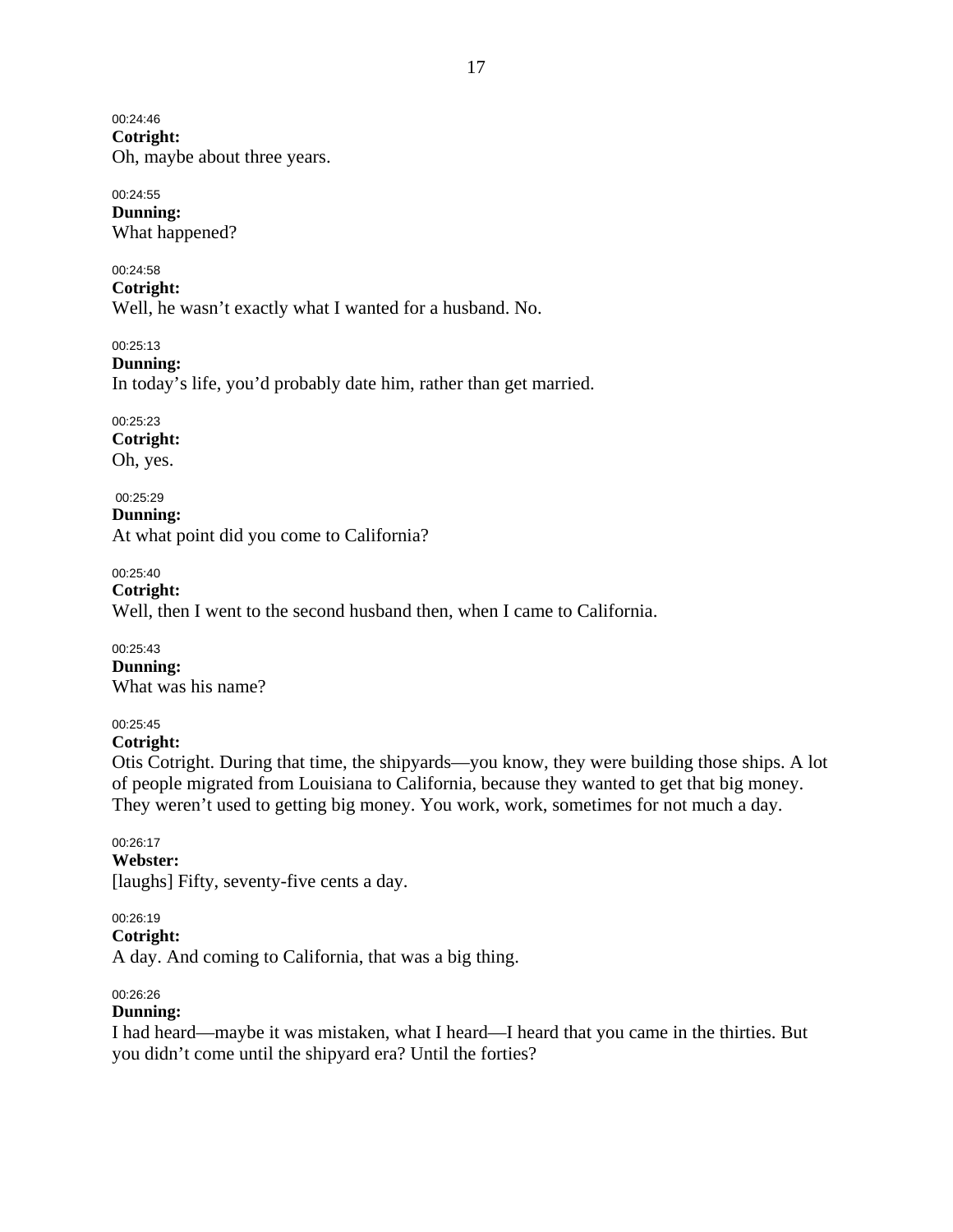00:24:46

**Cotright:**  Oh, maybe about three years.

# 00:24:55 **Dunning:**

What happened?

# 00:24:58

**Cotright:** 

Well, he wasn't exactly what I wanted for a husband. No.

00:25:13

### **Dunning:**

In today's life, you'd probably date him, rather than get married.

# 00:25:23

**Cotright:**  Oh, yes.

# 00:25:29

**Dunning:**  At what point did you come to California?

# 00:25:40

**Cotright:**  Well, then I went to the second husband then, when I came to California.

### 00:25:43

**Dunning:**  What was his name?

# 00:25:45

### **Cotright:**

Otis Cotright. During that time, the shipyards—you know, they were building those ships. A lot of people migrated from Louisiana to California, because they wanted to get that big money. They weren't used to getting big money. You work, work, sometimes for not much a day.

### 00:26:17 **Webster:**  [laughs] Fifty, seventy-five cents a day.

# 00:26:19

### **Cotright:**

A day. And coming to California, that was a big thing.

### 00:26:26

# **Dunning:**

I had heard—maybe it was mistaken, what I heard—I heard that you came in the thirties. But you didn't come until the shipyard era? Until the forties?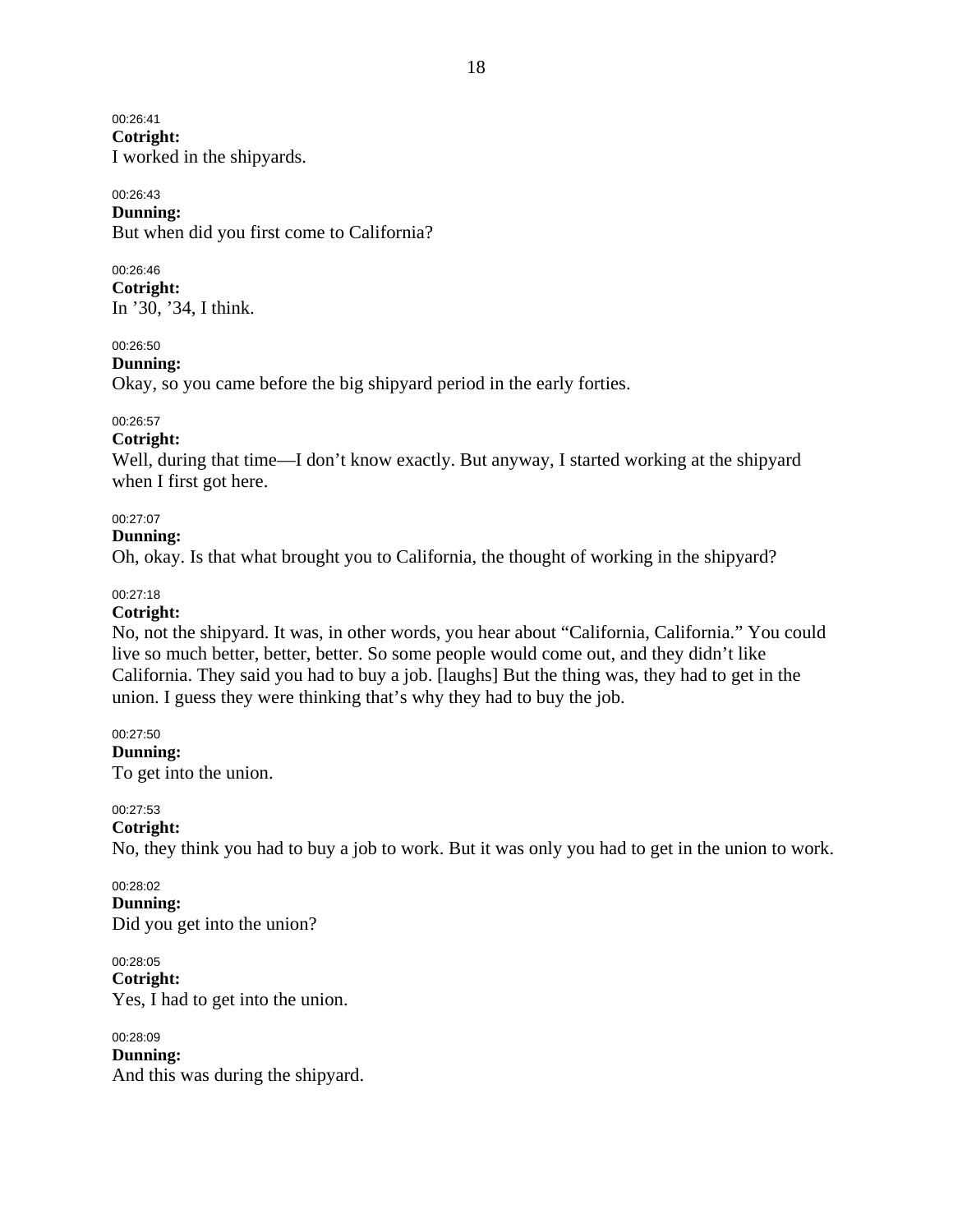00:26:41 **Cotright:**  I worked in the shipyards.

#### 00:26:43 **Dunning:**

But when did you first come to California?

### 00:26:46

**Cotright:**  In '30, '34, I think.

### 00:26:50

**Dunning:** 

Okay, so you came before the big shipyard period in the early forties.

### 00:26:57

**Cotright:** 

Well, during that time—I don't know exactly. But anyway, I started working at the shipyard when I first got here.

### 00:27:07

### **Dunning:**

Oh, okay. Is that what brought you to California, the thought of working in the shipyard?

### 00:27:18

### **Cotright:**

No, not the shipyard. It was, in other words, you hear about "California, California." You could live so much better, better, better. So some people would come out, and they didn't like California. They said you had to buy a job. [laughs] But the thing was, they had to get in the union. I guess they were thinking that's why they had to buy the job.

### 00:27:50

**Dunning:** 

To get into the union.

### 00:27:53

**Cotright:** 

No, they think you had to buy a job to work. But it was only you had to get in the union to work.

#### 00:28:02 **Dunning:**  Did you get into the union?

00:28:05 **Cotright:** 

Yes, I had to get into the union.

00:28:09 **Dunning:**  And this was during the shipyard.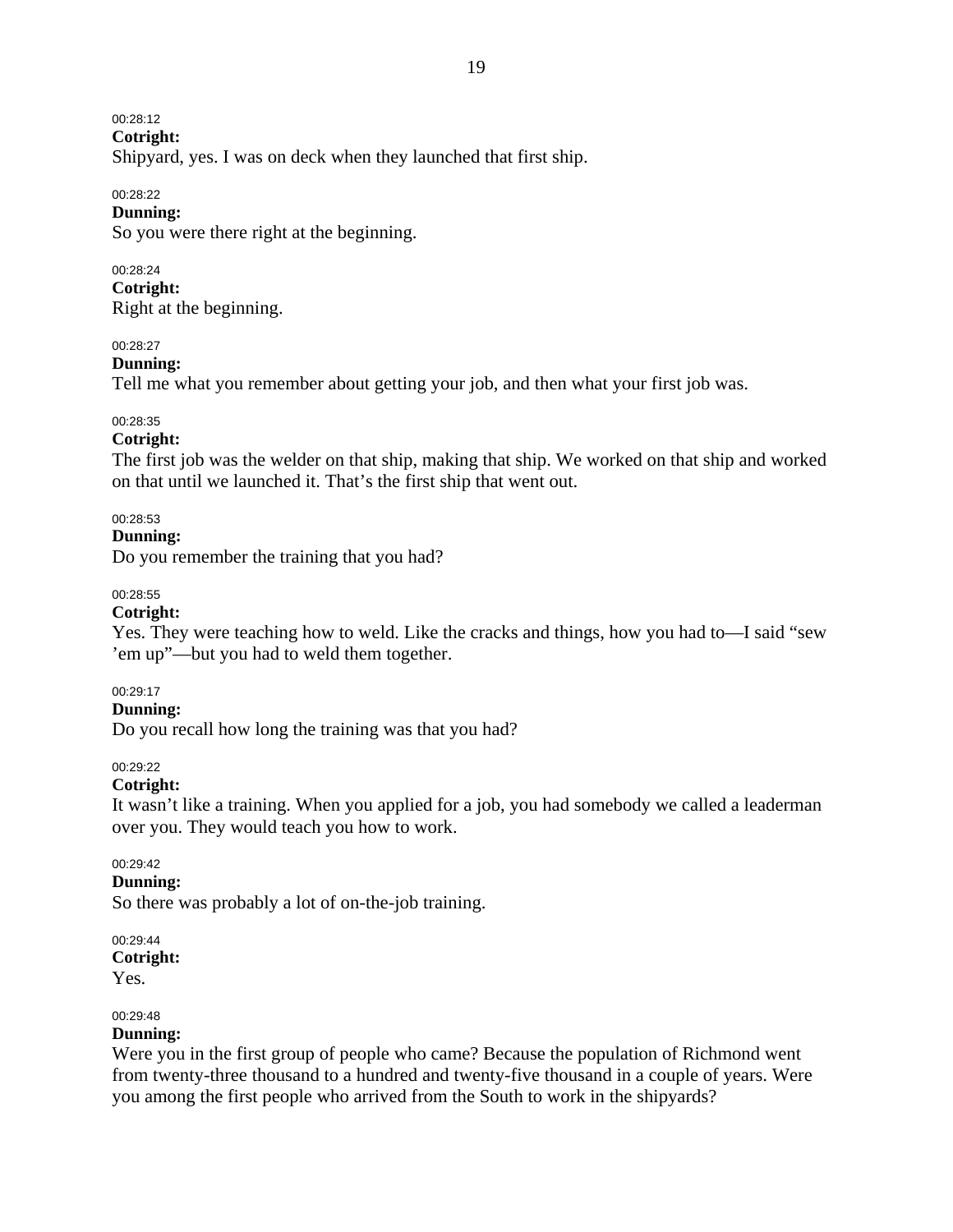00:28:12

**Cotright:** 

Shipyard, yes. I was on deck when they launched that first ship.

### 00:28:22

### **Dunning:**

So you were there right at the beginning.

### 00:28:24

**Cotright:** 

Right at the beginning.

#### 00:28:27

#### **Dunning:**

Tell me what you remember about getting your job, and then what your first job was.

#### 00:28:35

#### **Cotright:**

The first job was the welder on that ship, making that ship. We worked on that ship and worked on that until we launched it. That's the first ship that went out.

### 00:28:53

#### **Dunning:**

Do you remember the training that you had?

### 00:28:55

#### **Cotright:**

Yes. They were teaching how to weld. Like the cracks and things, how you had to—I said "sew 'em up"—but you had to weld them together.

#### 00:29:17

#### **Dunning:**

Do you recall how long the training was that you had?

#### 00:29:22

#### **Cotright:**

It wasn't like a training. When you applied for a job, you had somebody we called a leaderman over you. They would teach you how to work.

### 00:29:42

#### **Dunning:**

So there was probably a lot of on-the-job training.

#### 00:29:44 **Cotright:**  Yes.

# 00:29:48

# **Dunning:**

Were you in the first group of people who came? Because the population of Richmond went from twenty-three thousand to a hundred and twenty-five thousand in a couple of years. Were you among the first people who arrived from the South to work in the shipyards?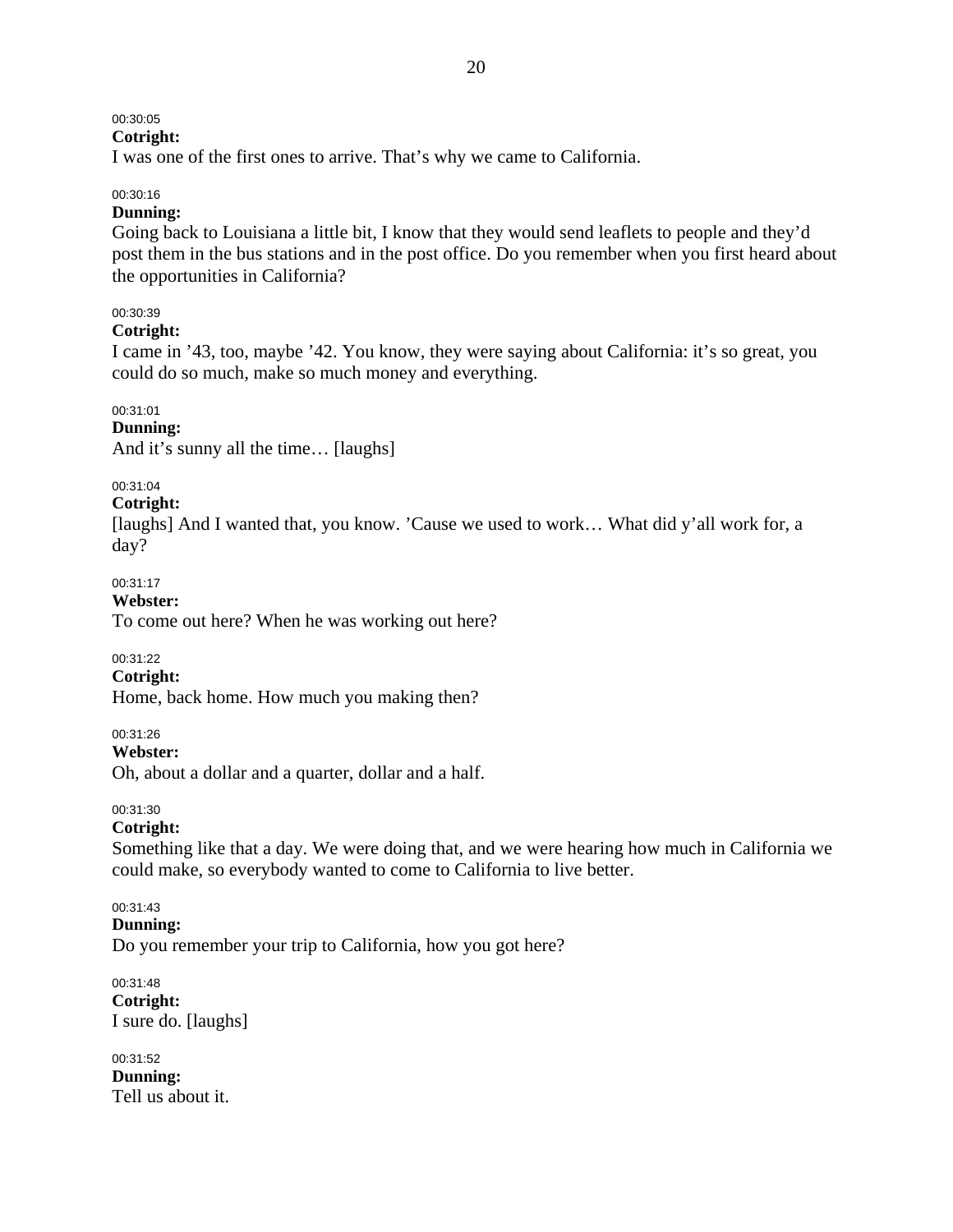# 00:30:05

# **Cotright:**

I was one of the first ones to arrive. That's why we came to California.

### 00:30:16

### **Dunning:**

Going back to Louisiana a little bit, I know that they would send leaflets to people and they'd post them in the bus stations and in the post office. Do you remember when you first heard about the opportunities in California?

### 00:30:39

### **Cotright:**

I came in '43, too, maybe '42. You know, they were saying about California: it's so great, you could do so much, make so much money and everything.

### 00:31:01

### **Dunning:**

And it's sunny all the time… [laughs]

### 00:31:04

### **Cotright:**

[laughs] And I wanted that, you know. 'Cause we used to work... What did y'all work for, a day?

### 00:31:17

#### **Webster:**

To come out here? When he was working out here?

### 00:31:22

### **Cotright:**

Home, back home. How much you making then?

00:31:26

**Webster:** 

Oh, about a dollar and a quarter, dollar and a half.

### 00:31:30

### **Cotright:**

Something like that a day. We were doing that, and we were hearing how much in California we could make, so everybody wanted to come to California to live better.

#### 00:31:43 **Dunning:**

Do you remember your trip to California, how you got here?

#### 00:31:48 **Cotright:**  I sure do. [laughs]

#### 00:31:52 **Dunning:**  Tell us about it.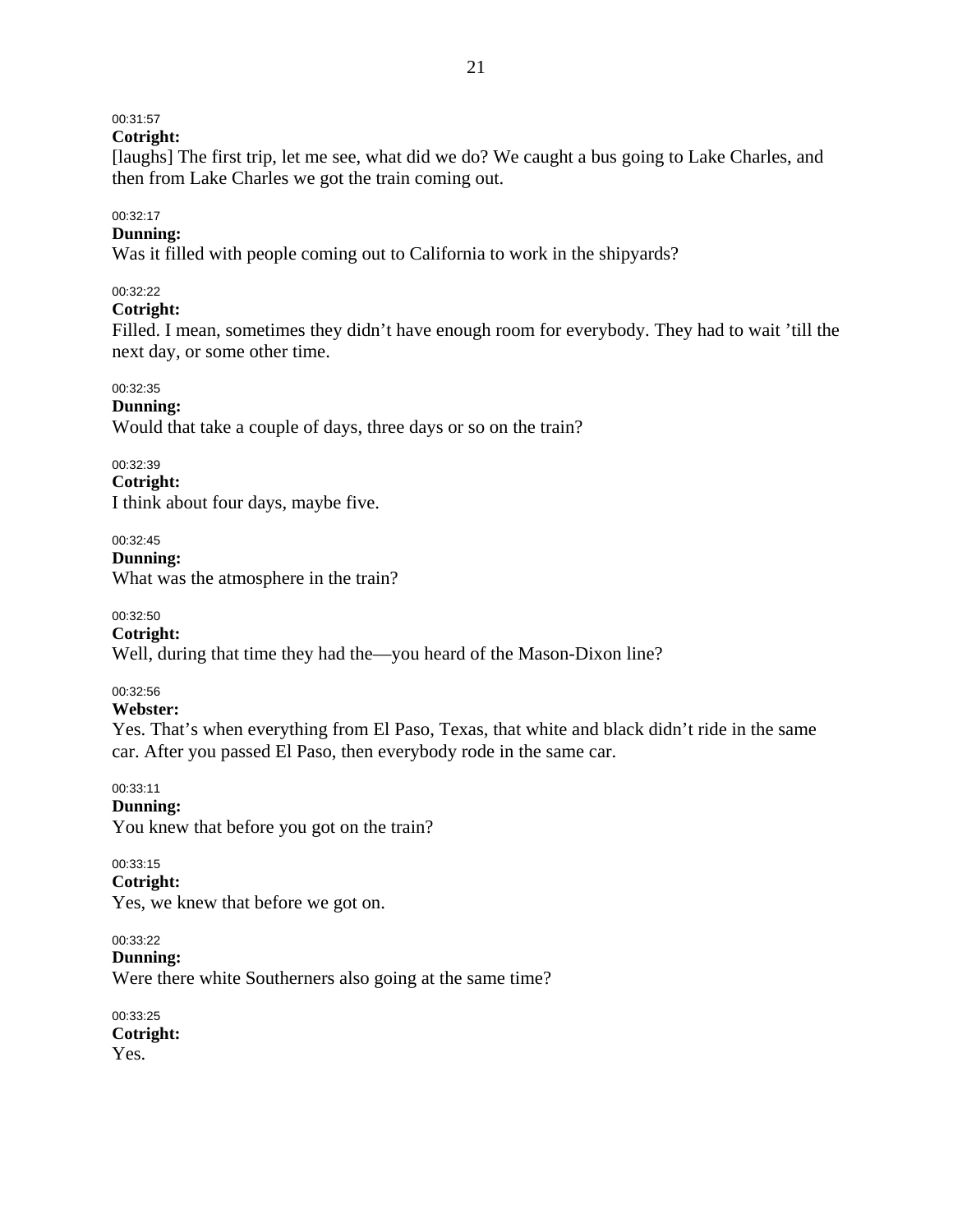# 00:31:57

**Cotright:** 

[laughs] The first trip, let me see, what did we do? We caught a bus going to Lake Charles, and then from Lake Charles we got the train coming out.

### 00:32:17

# **Dunning:**

Was it filled with people coming out to California to work in the shipyards?

### 00:32:22

### **Cotright:**

Filled. I mean, sometimes they didn't have enough room for everybody. They had to wait 'till the next day, or some other time.

### 00:32:35

### **Dunning:**

Would that take a couple of days, three days or so on the train?

### 00:32:39

**Cotright:**  I think about four days, maybe five.

00:32:45

**Dunning:** 

What was the atmosphere in the train?

### 00:32:50

### **Cotright:**

Well, during that time they had the—you heard of the Mason-Dixon line?

### 00:32:56

### **Webster:**

Yes. That's when everything from El Paso, Texas, that white and black didn't ride in the same car. After you passed El Paso, then everybody rode in the same car.

00:33:11

### **Dunning:**

You knew that before you got on the train?

### 00:33:15

### **Cotright:**

Yes, we knew that before we got on.

00:33:22 **Dunning:**  Were there white Southerners also going at the same time?

00:33:25 **Cotright:**  Yes.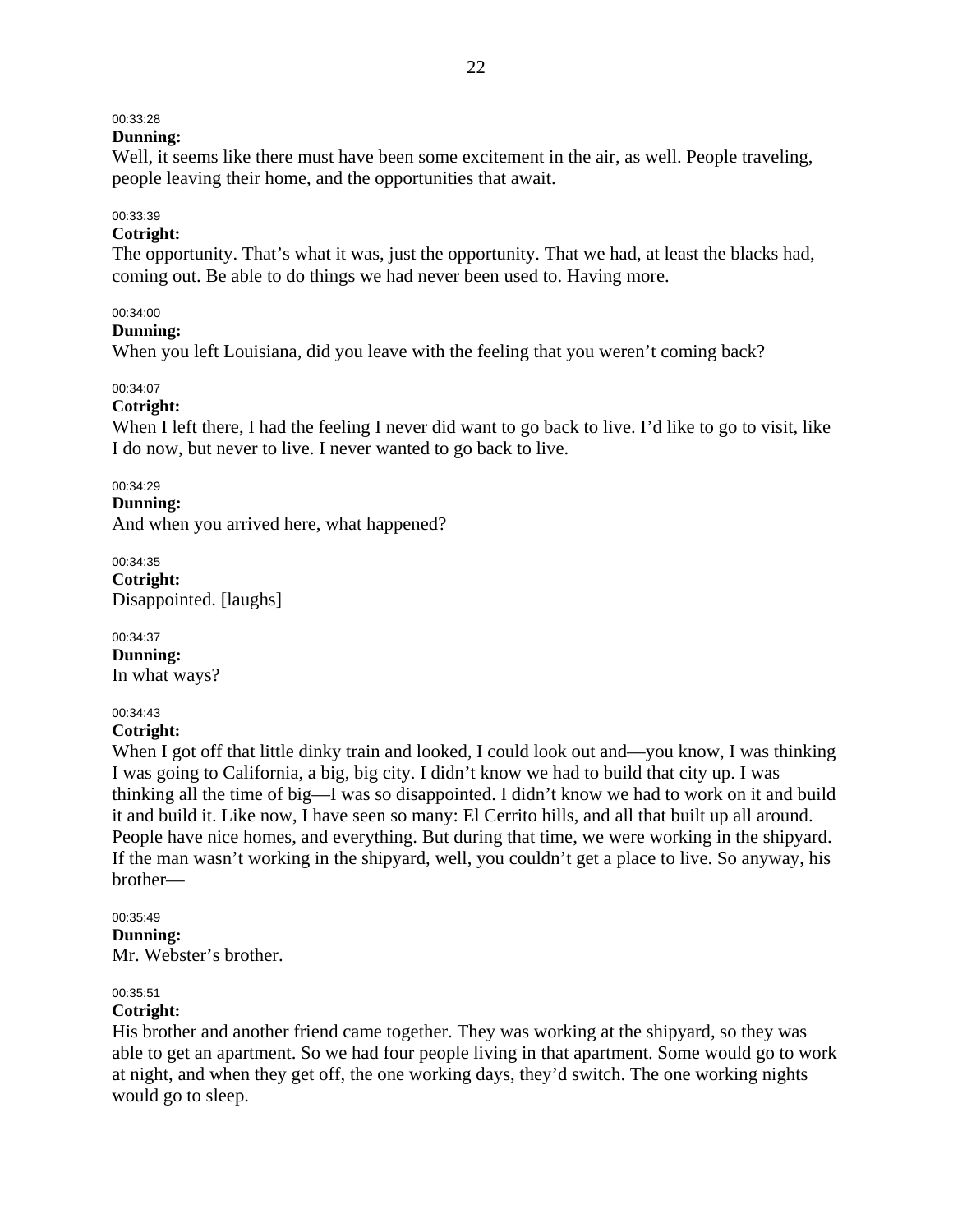### 00:33:28

### **Dunning:**

Well, it seems like there must have been some excitement in the air, as well. People traveling, people leaving their home, and the opportunities that await.

# 00:33:39

### **Cotright:**

The opportunity. That's what it was, just the opportunity. That we had, at least the blacks had, coming out. Be able to do things we had never been used to. Having more.

### 00:34:00

#### **Dunning:**

When you left Louisiana, did you leave with the feeling that you weren't coming back?

### 00:34:07

### **Cotright:**

When I left there, I had the feeling I never did want to go back to live. I'd like to go to visit, like I do now, but never to live. I never wanted to go back to live.

#### 00:34:29

#### **Dunning:**

And when you arrived here, what happened?

00:34:35 **Cotright:**  Disappointed. [laughs]

00:34:37 **Dunning:**  In what ways?

#### 00:34:43

### **Cotright:**

When I got off that little dinky train and looked, I could look out and—you know, I was thinking I was going to California, a big, big city. I didn't know we had to build that city up. I was thinking all the time of big—I was so disappointed. I didn't know we had to work on it and build it and build it. Like now, I have seen so many: El Cerrito hills, and all that built up all around. People have nice homes, and everything. But during that time, we were working in the shipyard. If the man wasn't working in the shipyard, well, you couldn't get a place to live. So anyway, his brother—

#### 00:35:49

**Dunning:** 

Mr. Webster's brother.

### 00:35:51

### **Cotright:**

His brother and another friend came together. They was working at the shipyard, so they was able to get an apartment. So we had four people living in that apartment. Some would go to work at night, and when they get off, the one working days, they'd switch. The one working nights would go to sleep.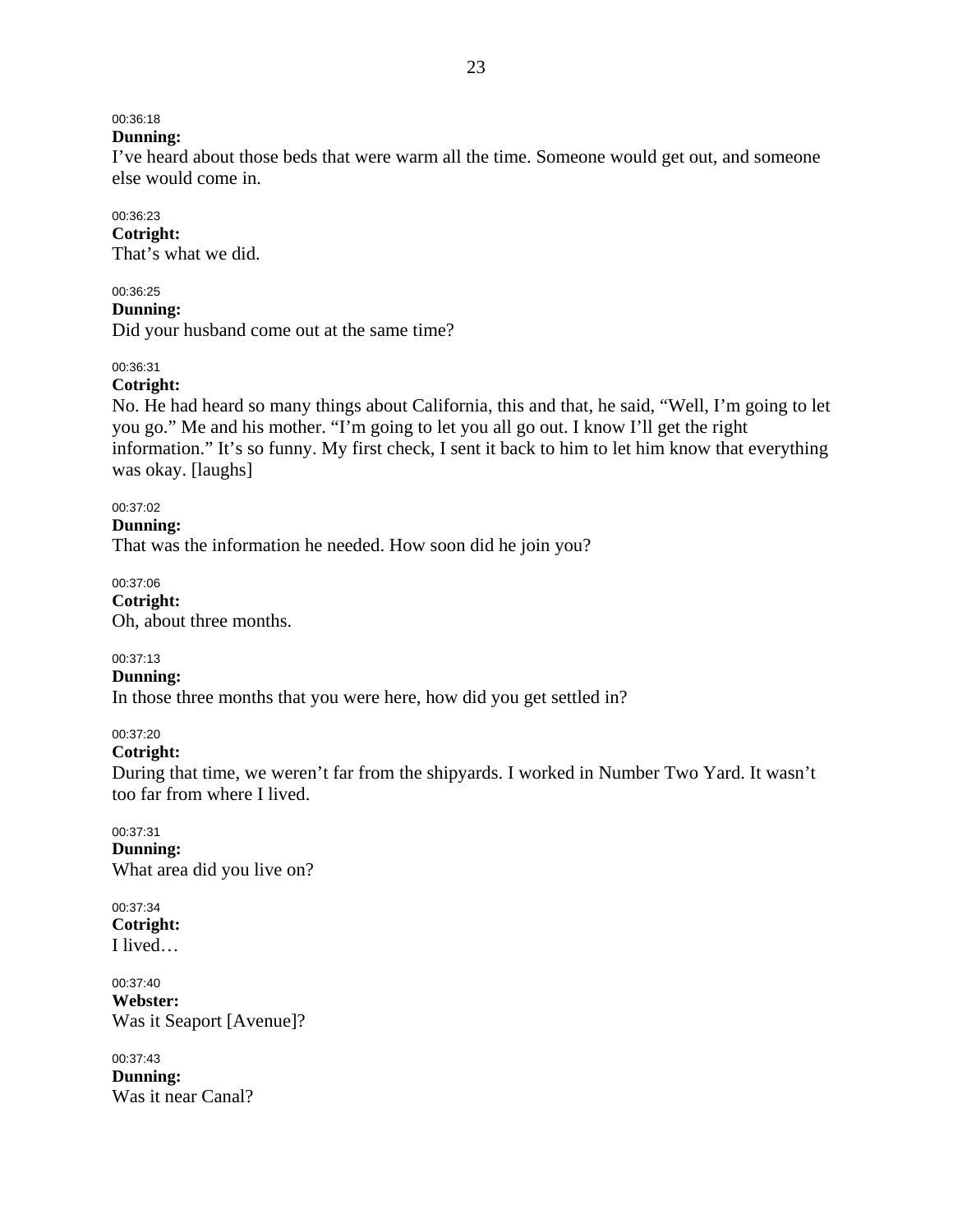# 00:36:18

#### **Dunning:**

I've heard about those beds that were warm all the time. Someone would get out, and someone else would come in.

### 00:36:23

**Cotright:**  That's what we did.

### 00:36:25

**Dunning:** 

Did your husband come out at the same time?

### 00:36:31

### **Cotright:**

No. He had heard so many things about California, this and that, he said, "Well, I'm going to let you go." Me and his mother. "I'm going to let you all go out. I know I'll get the right information." It's so funny. My first check, I sent it back to him to let him know that everything was okay. [laughs]

00:37:02

#### **Dunning:**

That was the information he needed. How soon did he join you?

00:37:06 **Cotright:**  Oh, about three months.

00:37:13

**Dunning:** 

In those three months that you were here, how did you get settled in?

### 00:37:20

#### **Cotright:**

During that time, we weren't far from the shipyards. I worked in Number Two Yard. It wasn't too far from where I lived.

00:37:31 **Dunning:**  What area did you live on?

00:37:34 **Cotright:**  I lived…

00:37:40 **Webster:**  Was it Seaport [Avenue]?

00:37:43 **Dunning:**  Was it near Canal?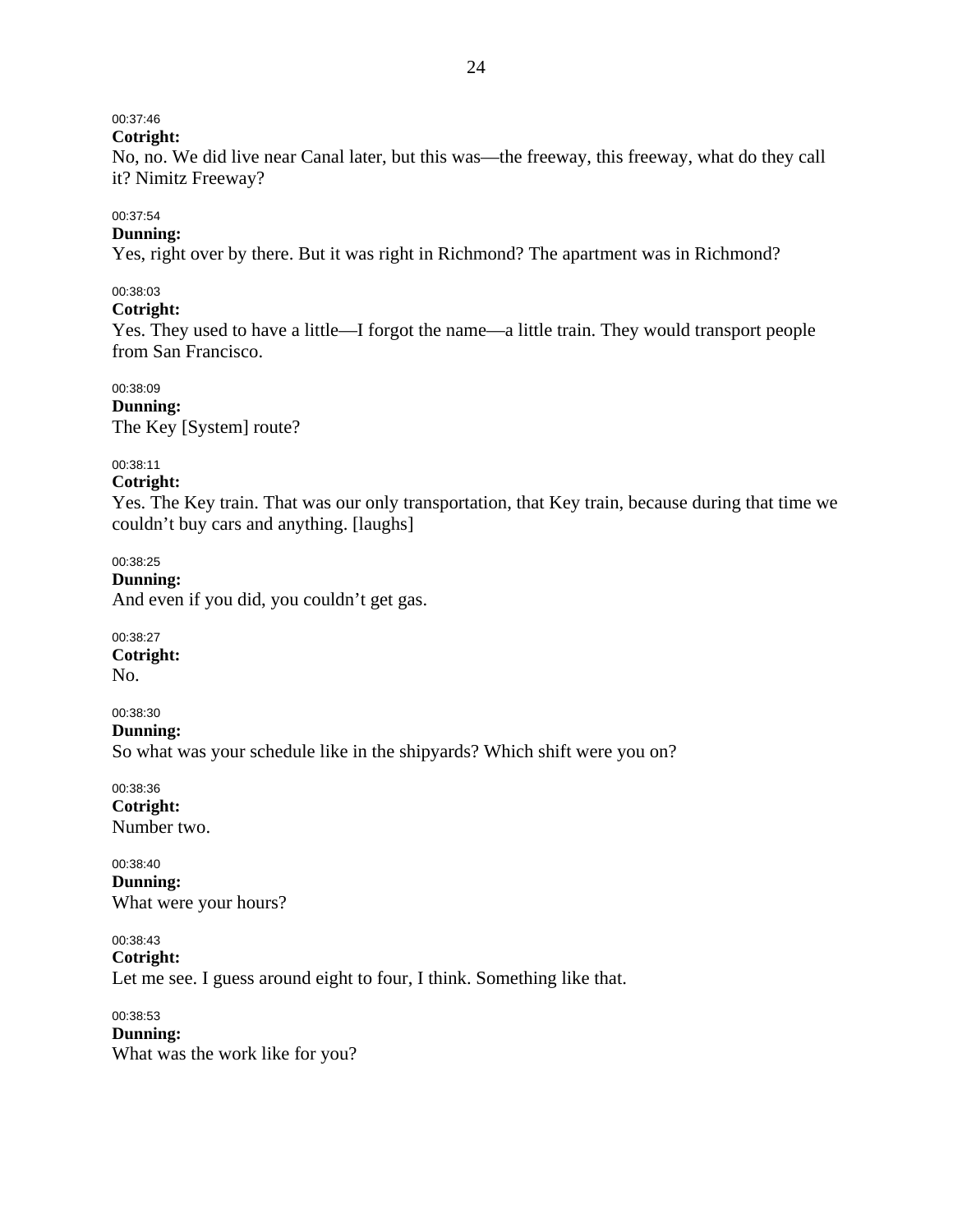# 00:37:46

### **Cotright:**

No, no. We did live near Canal later, but this was—the freeway, this freeway, what do they call it? Nimitz Freeway?

### 00:37:54

# **Dunning:**

Yes, right over by there. But it was right in Richmond? The apartment was in Richmond?

### 00:38:03

### **Cotright:**

Yes. They used to have a little—I forgot the name—a little train. They would transport people from San Francisco.

### 00:38:09

**Dunning:** 

The Key [System] route?

# 00:38:11

**Cotright:** 

Yes. The Key train. That was our only transportation, that Key train, because during that time we couldn't buy cars and anything. [laughs]

00:38:25

### **Dunning:**

And even if you did, you couldn't get gas.

00:38:27 **Cotright:**  No.

### 00:38:30

**Dunning:** 

So what was your schedule like in the shipyards? Which shift were you on?

00:38:36 **Cotright:**  Number two.

00:38:40 **Dunning:**  What were your hours?

00:38:43 **Cotright:**  Let me see. I guess around eight to four, I think. Something like that.

00:38:53 **Dunning:**  What was the work like for you?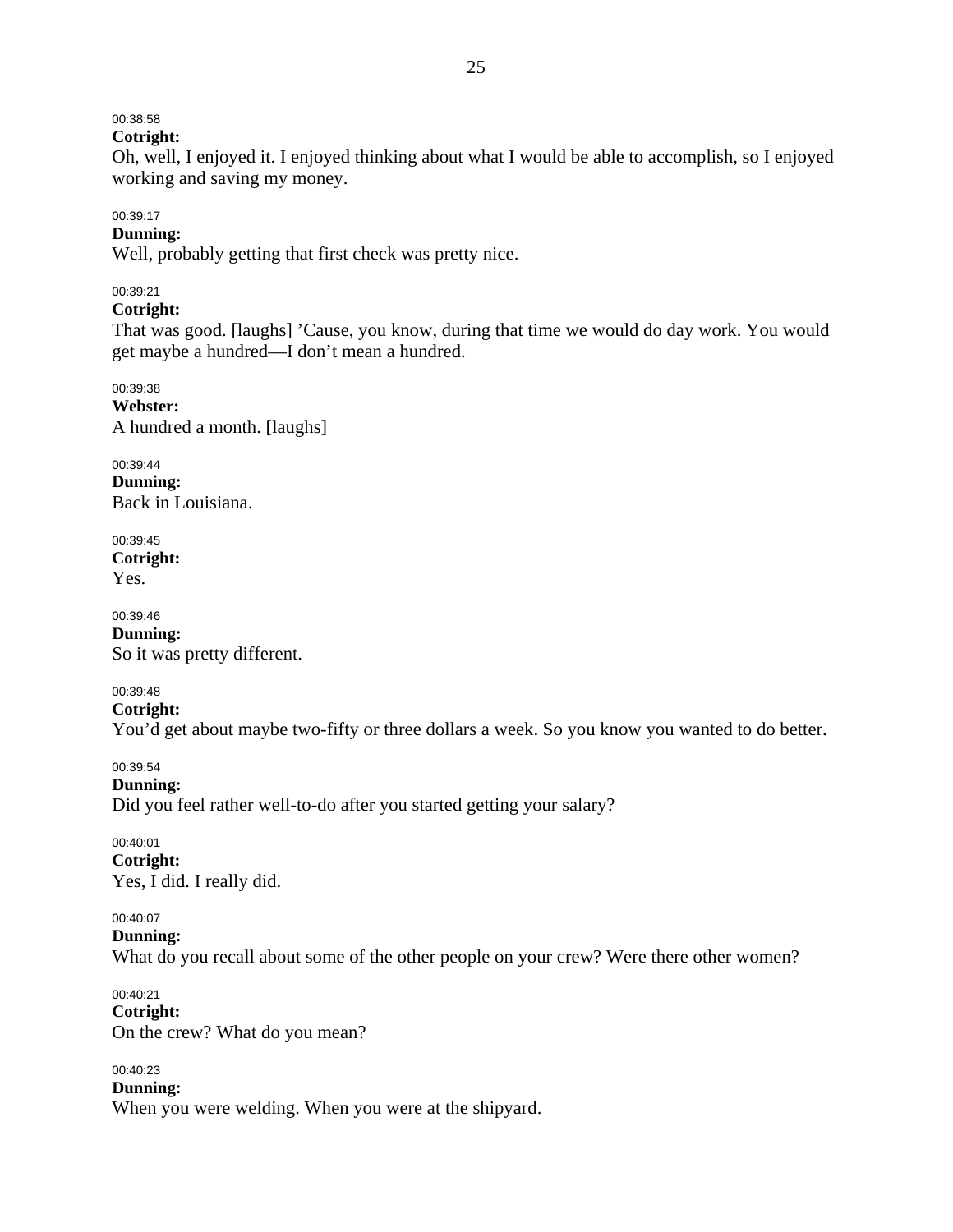### 00:38:58

**Cotright:** 

Oh, well, I enjoyed it. I enjoyed thinking about what I would be able to accomplish, so I enjoyed working and saving my money.

### 00:39:17

# **Dunning:**

Well, probably getting that first check was pretty nice.

### 00:39:21

### **Cotright:**

That was good. [laughs] 'Cause, you know, during that time we would do day work. You would get maybe a hundred—I don't mean a hundred.

00:39:38 **Webster:**  A hundred a month. [laughs]

00:39:44 **Dunning:**  Back in Louisiana.

00:39:45 **Cotright:**  Yes.

00:39:46 **Dunning:**  So it was pretty different.

### 00:39:48

**Cotright:** 

You'd get about maybe two-fifty or three dollars a week. So you know you wanted to do better.

### 00:39:54

**Dunning:** 

Did you feel rather well-to-do after you started getting your salary?

00:40:01 **Cotright:**  Yes, I did. I really did.

### 00:40:07

**Dunning:** 

What do you recall about some of the other people on your crew? Were there other women?

00:40:21 **Cotright:**  On the crew? What do you mean?

### 00:40:23

**Dunning:**  When you were welding. When you were at the shipyard.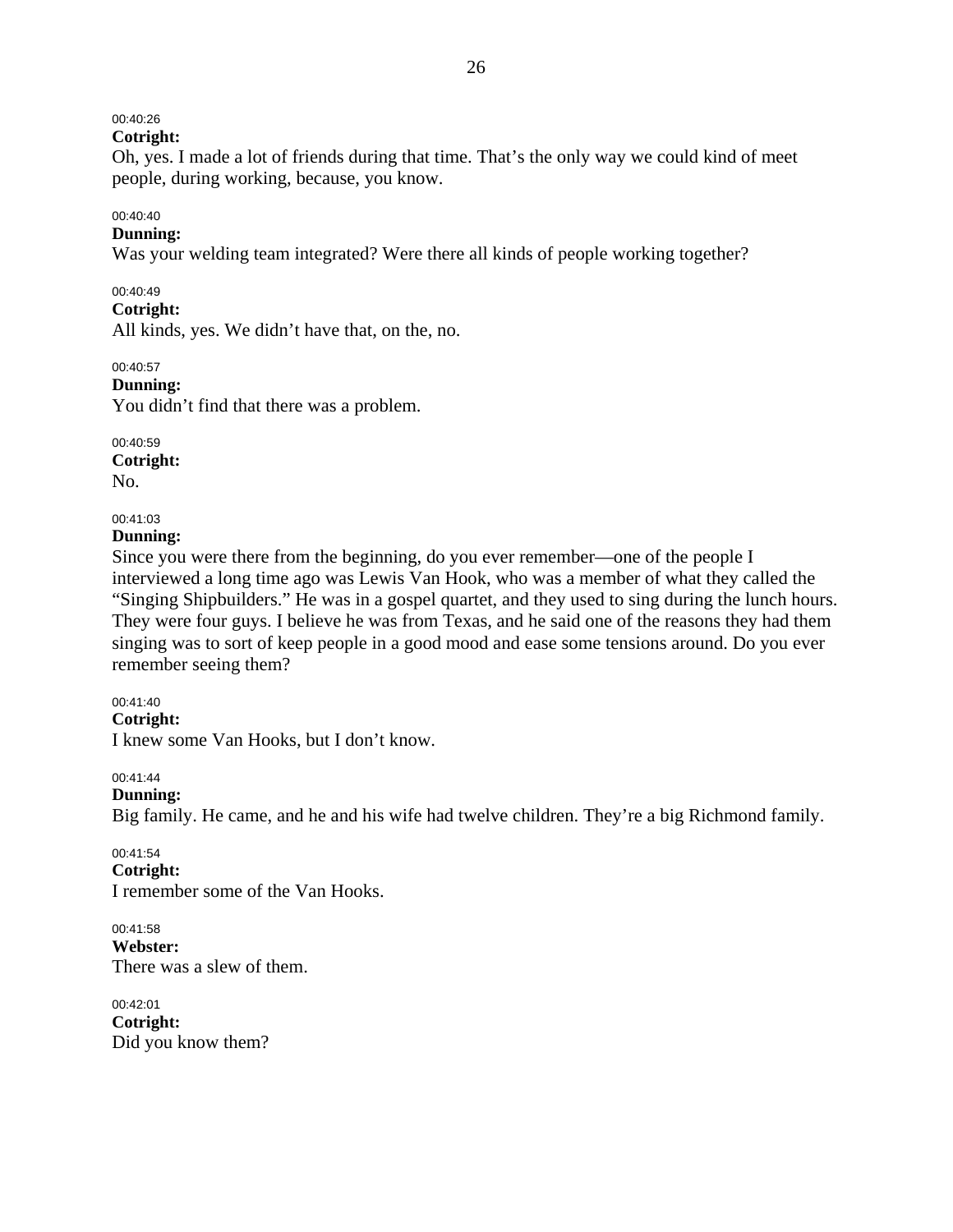# 00:40:26

**Cotright:** 

Oh, yes. I made a lot of friends during that time. That's the only way we could kind of meet people, during working, because, you know.

# 00:40:40

### **Dunning:**

Was your welding team integrated? Were there all kinds of people working together?

### 00:40:49

### **Cotright:**

All kinds, yes. We didn't have that, on the, no.

00:40:57

**Dunning:** 

You didn't find that there was a problem.

00:40:59 **Cotright:**  No.

# 00:41:03

### **Dunning:**

Since you were there from the beginning, do you ever remember—one of the people I interviewed a long time ago was Lewis Van Hook, who was a member of what they called the "Singing Shipbuilders." He was in a gospel quartet, and they used to sing during the lunch hours. They were four guys. I believe he was from Texas, and he said one of the reasons they had them singing was to sort of keep people in a good mood and ease some tensions around. Do you ever remember seeing them?

### 00:41:40

### **Cotright:**

I knew some Van Hooks, but I don't know.

### 00:41:44

### **Dunning:**

Big family. He came, and he and his wife had twelve children. They're a big Richmond family.

### 00:41:54

### **Cotright:**

I remember some of the Van Hooks.

### 00:41:58 **Webster:**  There was a slew of them.

00:42:01 **Cotright:**  Did you know them?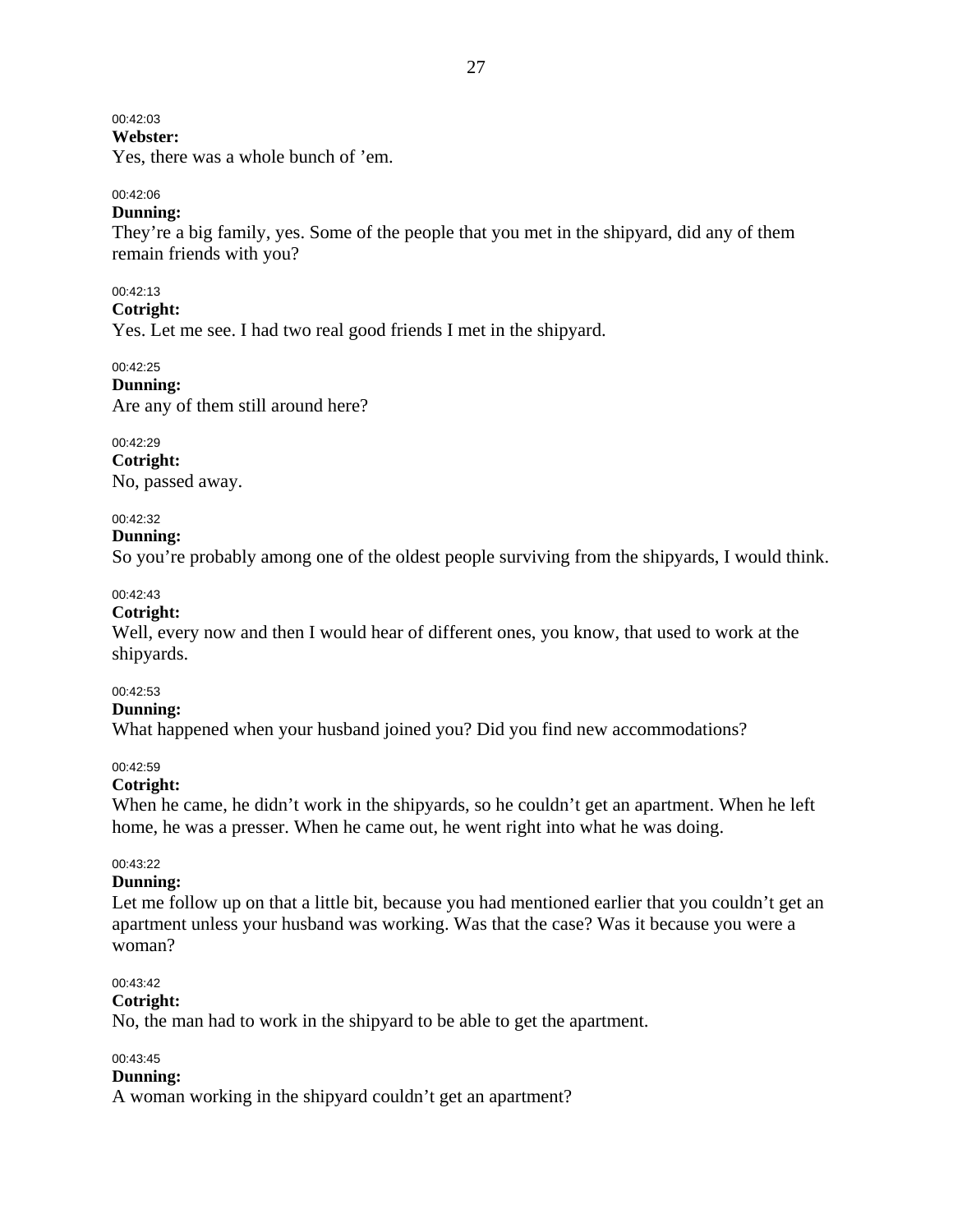### 00:42:03

## **Webster:**

Yes, there was a whole bunch of 'em.

### 00:42:06

### **Dunning:**

They're a big family, yes. Some of the people that you met in the shipyard, did any of them remain friends with you?

#### 00:42:13

### **Cotright:**

Yes. Let me see. I had two real good friends I met in the shipyard.

### 00:42:25

**Dunning:**  Are any of them still around here?

00:42:29

**Cotright:** 

# No, passed away.

### 00:42:32

#### **Dunning:**

So you're probably among one of the oldest people surviving from the shipyards, I would think.

#### 00:42:43

#### **Cotright:**

Well, every now and then I would hear of different ones, you know, that used to work at the shipyards.

#### 00:42:53

#### **Dunning:**

What happened when your husband joined you? Did you find new accommodations?

#### 00:42:59

#### **Cotright:**

When he came, he didn't work in the shipyards, so he couldn't get an apartment. When he left home, he was a presser. When he came out, he went right into what he was doing.

### 00:43:22

### **Dunning:**

Let me follow up on that a little bit, because you had mentioned earlier that you couldn't get an apartment unless your husband was working. Was that the case? Was it because you were a woman?

#### 00:43:42

### **Cotright:**

No, the man had to work in the shipyard to be able to get the apartment.

#### 00:43:45

#### **Dunning:**

A woman working in the shipyard couldn't get an apartment?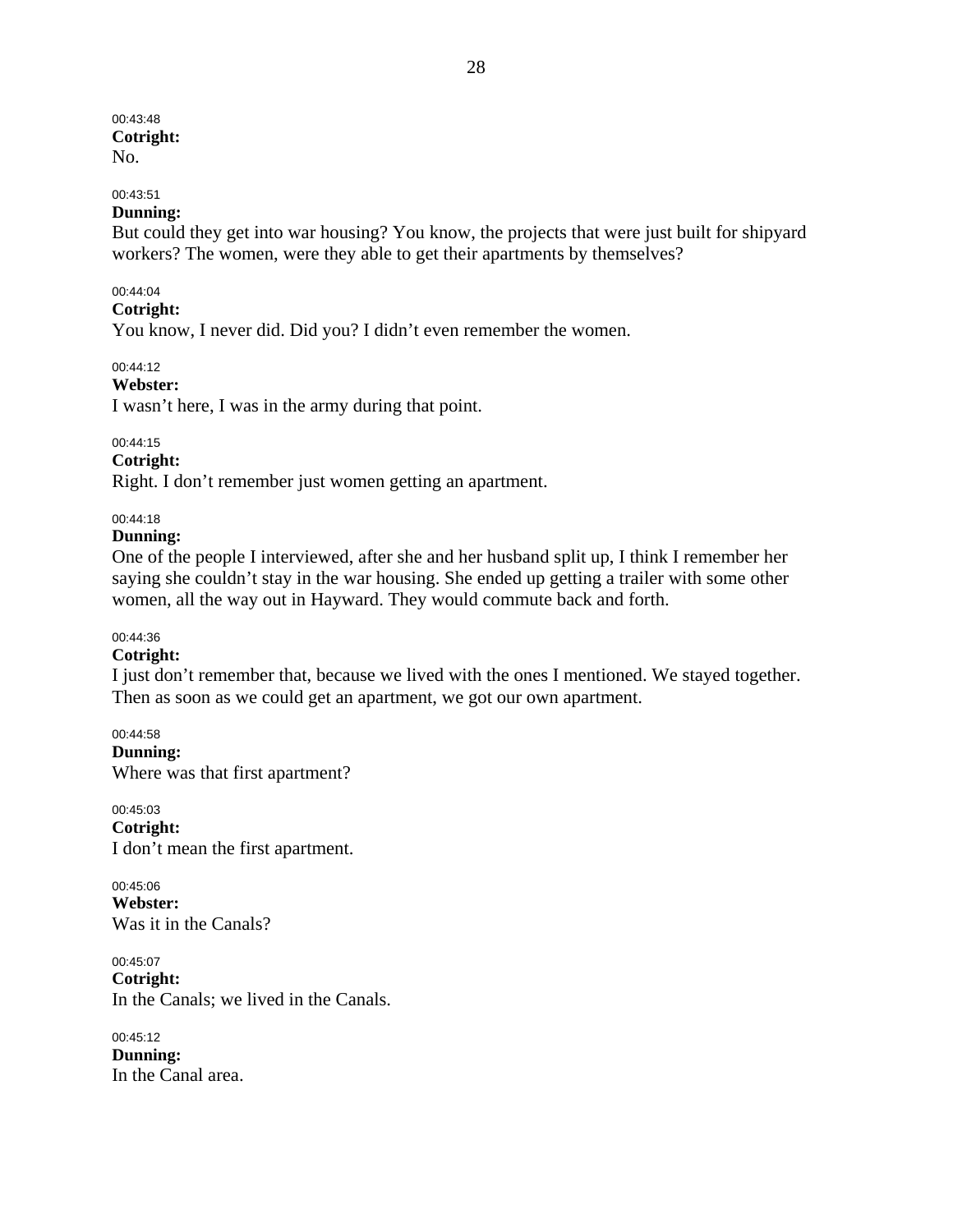#### 00:43:48 **Cotright:**  No.

### 00:43:51

### **Dunning:**

But could they get into war housing? You know, the projects that were just built for shipyard workers? The women, were they able to get their apartments by themselves?

#### 00:44:04

### **Cotright:**

You know, I never did. Did you? I didn't even remember the women.

### 00:44:12

**Webster:** 

I wasn't here, I was in the army during that point.

### 00:44:15

### **Cotright:**

Right. I don't remember just women getting an apartment.

### 00:44:18

### **Dunning:**

One of the people I interviewed, after she and her husband split up, I think I remember her saying she couldn't stay in the war housing. She ended up getting a trailer with some other women, all the way out in Hayward. They would commute back and forth.

### 00:44:36

### **Cotright:**

I just don't remember that, because we lived with the ones I mentioned. We stayed together. Then as soon as we could get an apartment, we got our own apartment.

00:44:58 **Dunning:**  Where was that first apartment?

00:45:03 **Cotright:**  I don't mean the first apartment.

00:45:06 **Webster:**  Was it in the Canals?

00:45:07 **Cotright:**  In the Canals; we lived in the Canals.

00:45:12 **Dunning:**  In the Canal area.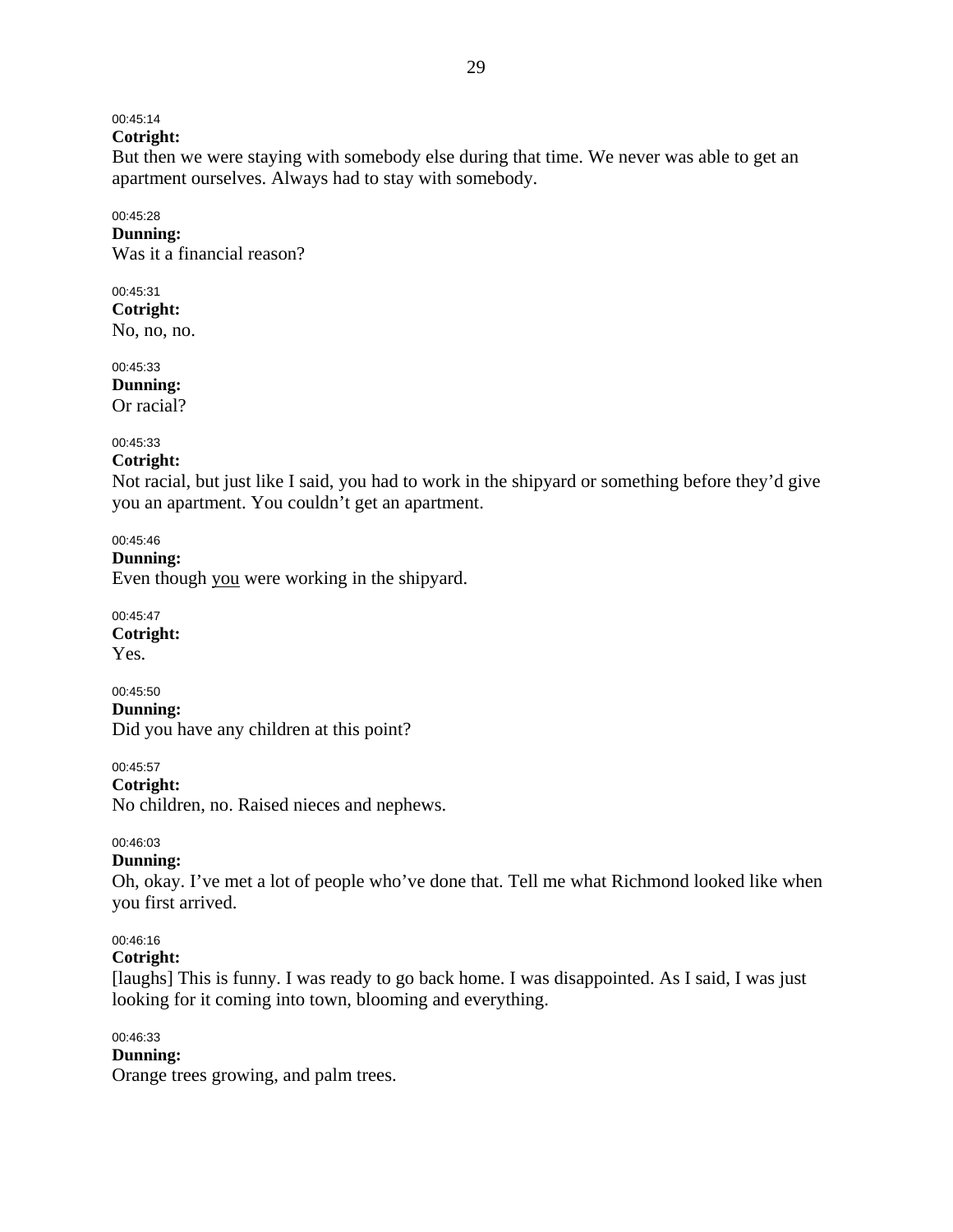### 00:45:14

# **Cotright:**

But then we were staying with somebody else during that time. We never was able to get an apartment ourselves. Always had to stay with somebody.

### 00:45:28

**Dunning:**  Was it a financial reason?

#### 00:45:31 **Cotright:**

No, no, no.

00:45:33 **Dunning:**  Or racial?

### 00:45:33

### **Cotright:**

Not racial, but just like I said, you had to work in the shipyard or something before they'd give you an apartment. You couldn't get an apartment.

00:45:46

**Dunning:** 

Even though you were working in the shipyard.

00:45:47 **Cotright:** 

Yes.

00:45:50 **Dunning:**  Did you have any children at this point?

00:45:57

**Cotright:** 

No children, no. Raised nieces and nephews.

### 00:46:03

### **Dunning:**

Oh, okay. I've met a lot of people who've done that. Tell me what Richmond looked like when you first arrived.

### 00:46:16

**Cotright:** 

[laughs] This is funny. I was ready to go back home. I was disappointed. As I said, I was just looking for it coming into town, blooming and everything.

### 00:46:33

### **Dunning:**

Orange trees growing, and palm trees.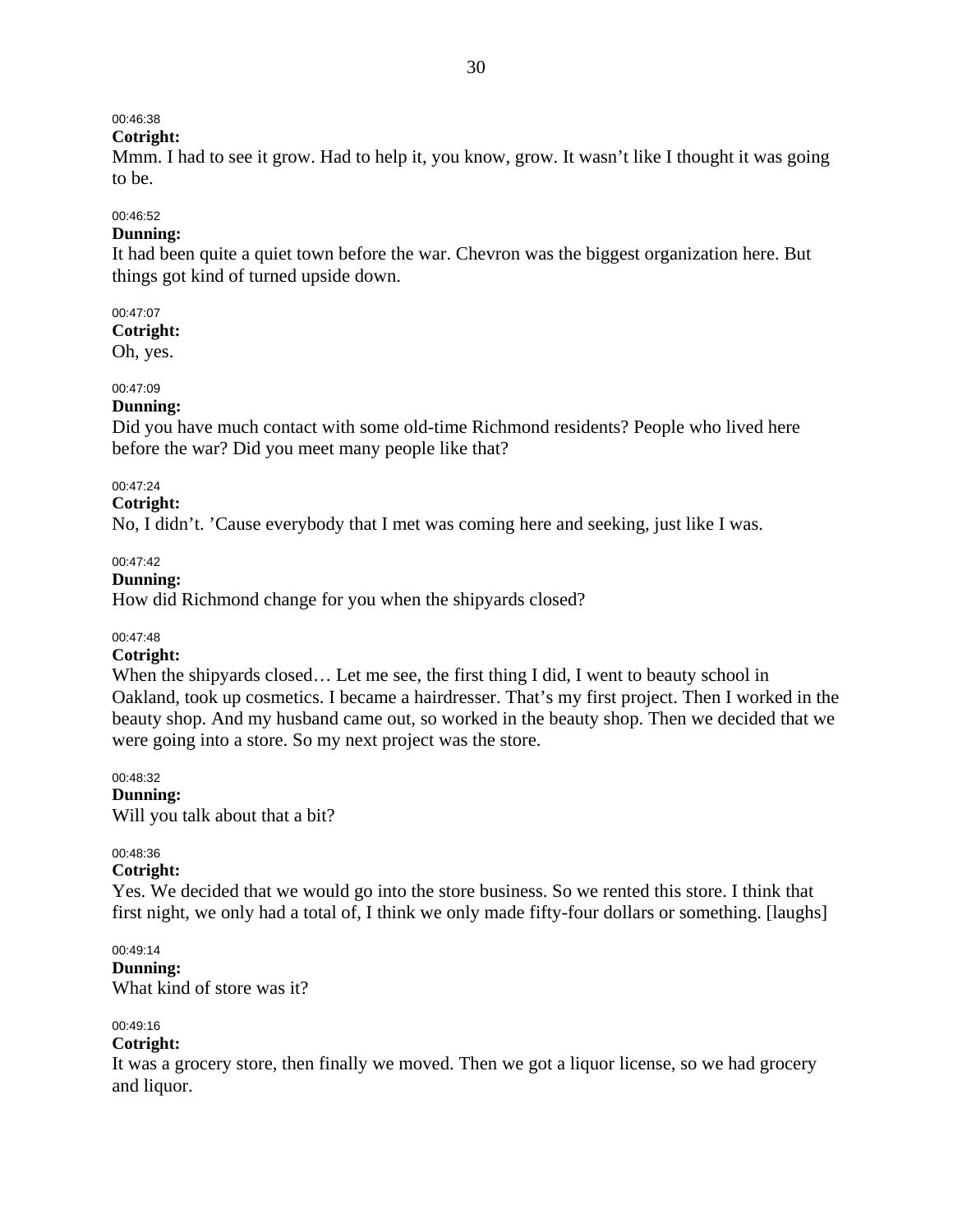### 00:46:38

### **Cotright:**

Mmm. I had to see it grow. Had to help it, you know, grow. It wasn't like I thought it was going to be.

# 00:46:52

### **Dunning:**

It had been quite a quiet town before the war. Chevron was the biggest organization here. But things got kind of turned upside down.

### 00:47:07

**Cotright:** 

Oh, yes.

### 00:47:09

### **Dunning:**

Did you have much contact with some old-time Richmond residents? People who lived here before the war? Did you meet many people like that?

### 00:47:24

**Cotright:** 

No, I didn't. 'Cause everybody that I met was coming here and seeking, just like I was.

### $00.47.42$

**Dunning:** 

How did Richmond change for you when the shipyards closed?

### 00:47:48

### **Cotright:**

When the shipyards closed... Let me see, the first thing I did, I went to beauty school in Oakland, took up cosmetics. I became a hairdresser. That's my first project. Then I worked in the beauty shop. And my husband came out, so worked in the beauty shop. Then we decided that we were going into a store. So my next project was the store.

### 00:48:32

**Dunning:**  Will you talk about that a bit?

### 00:48:36

### **Cotright:**

Yes. We decided that we would go into the store business. So we rented this store. I think that first night, we only had a total of, I think we only made fifty-four dollars or something. [laughs]

### 00:49:14

**Dunning:**  What kind of store was it?

### 00:49:16

### **Cotright:**

It was a grocery store, then finally we moved. Then we got a liquor license, so we had grocery and liquor.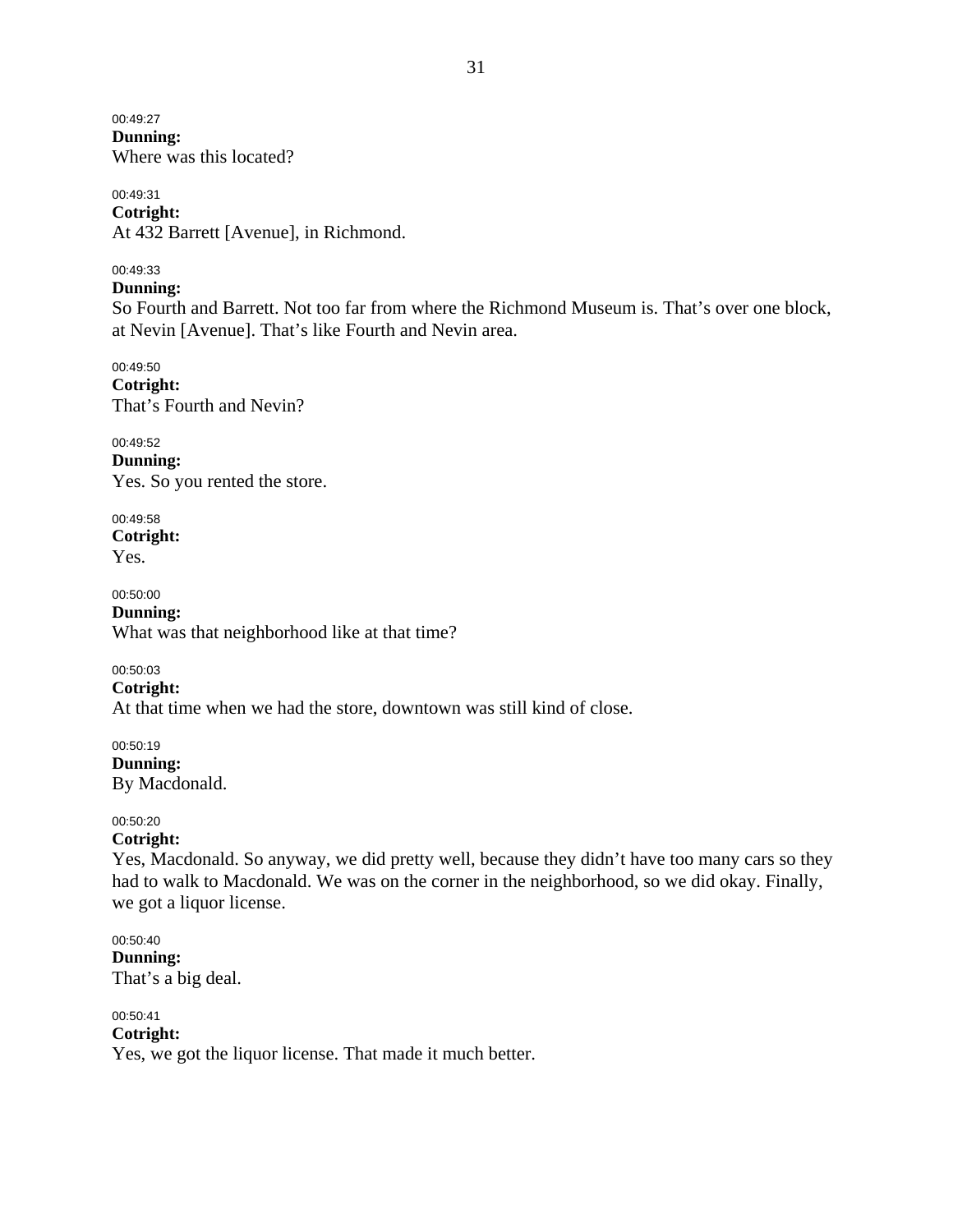00:49:27 **Dunning:**  Where was this located?

00:49:31 **Cotright:**  At 432 Barrett [Avenue], in Richmond.

00:49:33

### **Dunning:**

So Fourth and Barrett. Not too far from where the Richmond Museum is. That's over one block, at Nevin [Avenue]. That's like Fourth and Nevin area.

00:49:50 **Cotright:**  That's Fourth and Nevin?

00:49:52 **Dunning:**  Yes. So you rented the store.

00:49:58 **Cotright:**  Yes.

00:50:00 **Dunning:**  What was that neighborhood like at that time?

00:50:03

**Cotright:** 

At that time when we had the store, downtown was still kind of close.

00:50:19 **Dunning:**  By Macdonald.

### 00:50:20

00:50:41

### **Cotright:**

Yes, Macdonald. So anyway, we did pretty well, because they didn't have too many cars so they had to walk to Macdonald. We was on the corner in the neighborhood, so we did okay. Finally, we got a liquor license.

00:50:40 **Dunning:**  That's a big deal.

**Cotright:**  Yes, we got the liquor license. That made it much better.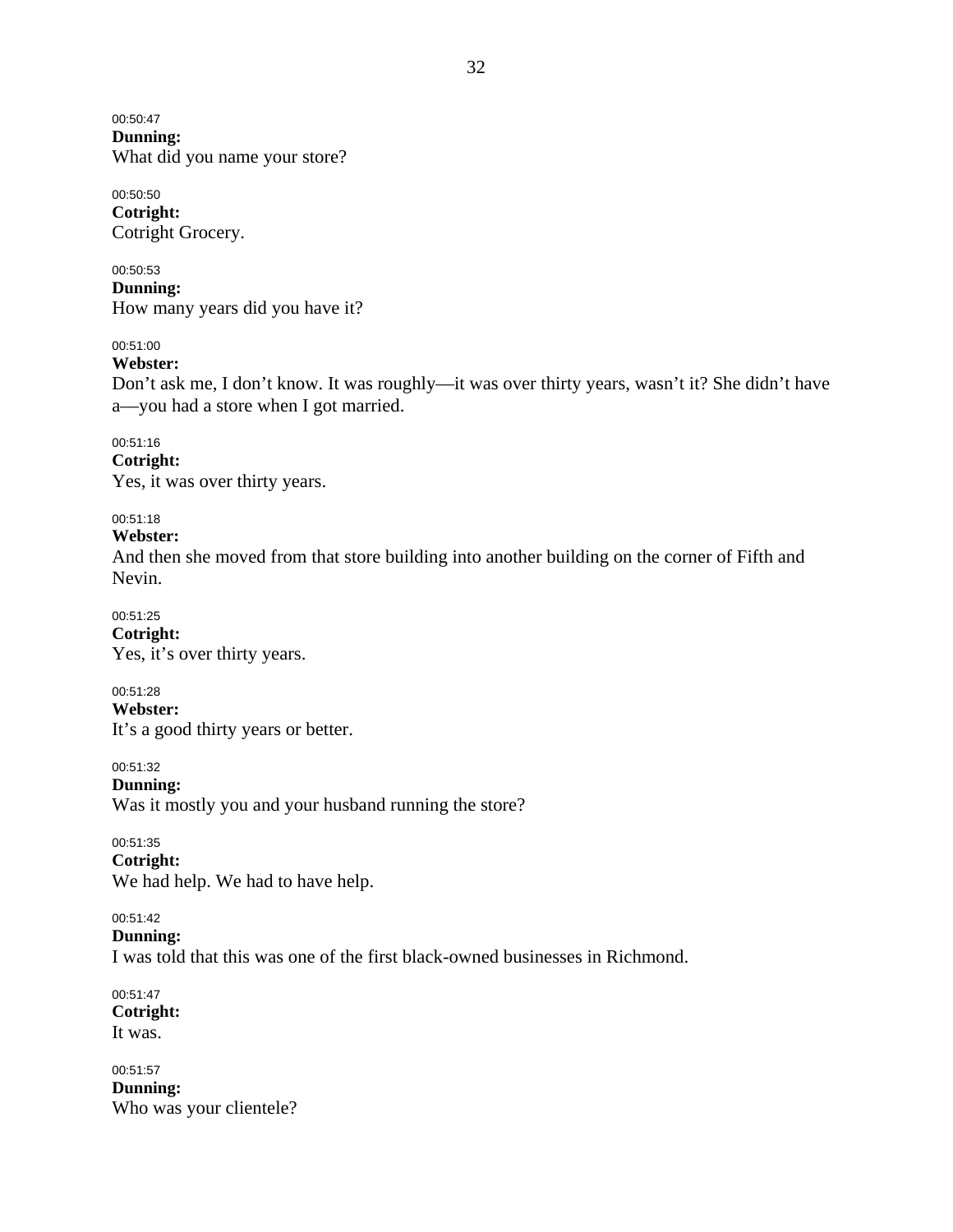00:50:47 **Dunning:**  What did you name your store?

00:50:50 **Cotright:**  Cotright Grocery.

00:50:53 **Dunning:**  How many years did you have it?

00:51:00

### **Webster:**

Don't ask me, I don't know. It was roughly—it was over thirty years, wasn't it? She didn't have a—you had a store when I got married.

00:51:16

**Cotright:** 

Yes, it was over thirty years.

00:51:18

**Webster:** 

And then she moved from that store building into another building on the corner of Fifth and Nevin.

00:51:25 **Cotright:**  Yes, it's over thirty years.

00:51:28 **Webster:**  It's a good thirty years or better.

00:51:32 **Dunning:**  Was it mostly you and your husband running the store?

00:51:35 **Cotright:**  We had help. We had to have help.

00:51:42

**Dunning:** 

I was told that this was one of the first black-owned businesses in Richmond.

00:51:47 **Cotright:**  It was.

00:51:57 **Dunning:**  Who was your clientele?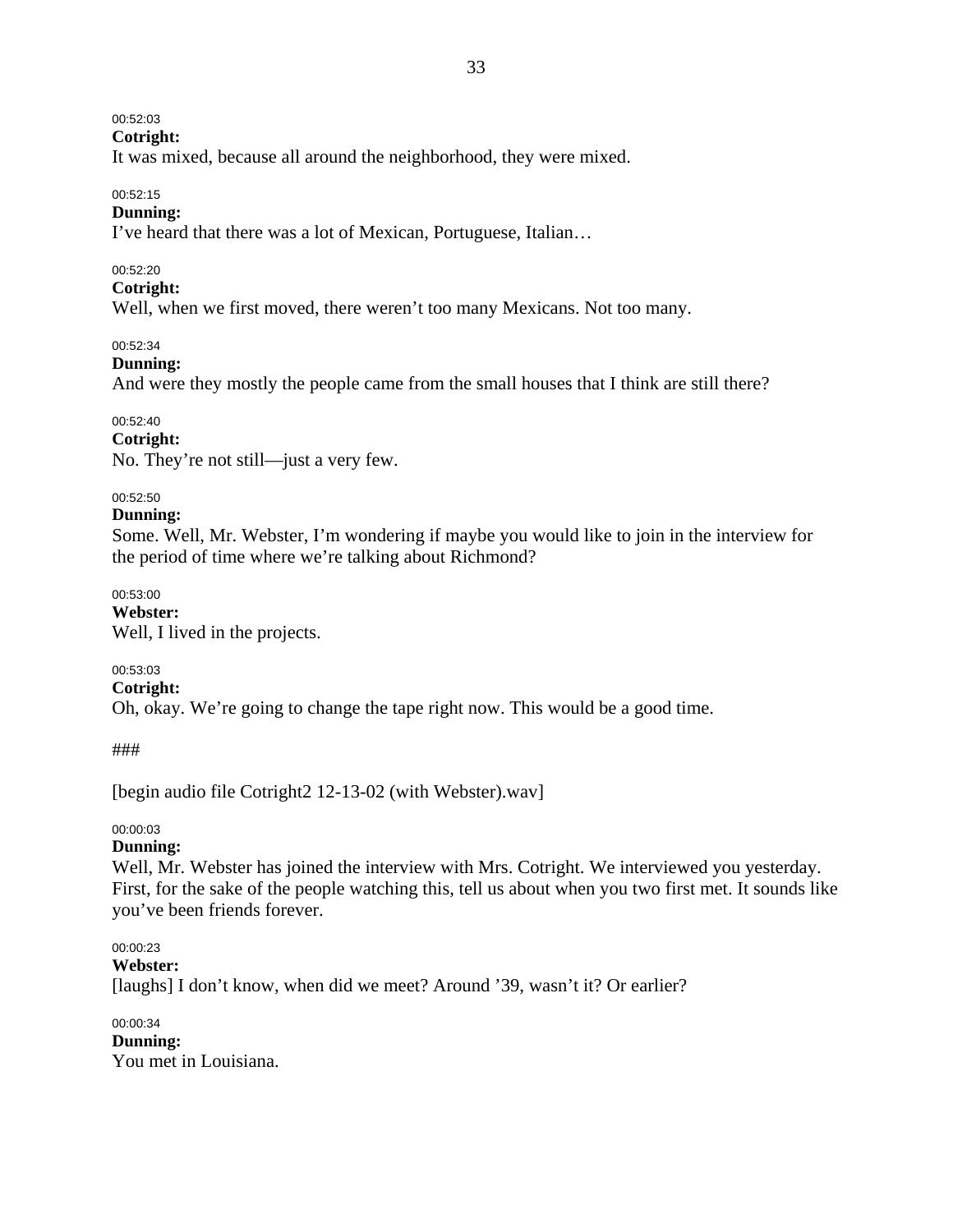### 00:52:03

**Cotright:** 

It was mixed, because all around the neighborhood, they were mixed.

#### 00:52:15

### **Dunning:**

I've heard that there was a lot of Mexican, Portuguese, Italian…

### 00:52:20

### **Cotright:**

Well, when we first moved, there weren't too many Mexicans. Not too many.

00:52:34

### **Dunning:**

And were they mostly the people came from the small houses that I think are still there?

### 00:52:40

**Cotright:**  No. They're not still—just a very few.

### 00:52:50

### **Dunning:**

Some. Well, Mr. Webster, I'm wondering if maybe you would like to join in the interview for the period of time where we're talking about Richmond?

00:53:00

**Webster:**  Well, I lived in the projects.

### 00:53:03

**Cotright:** 

Oh, okay. We're going to change the tape right now. This would be a good time.

###

[begin audio file Cotright2 12-13-02 (with Webster).wav]

### 00:00:03

### **Dunning:**

Well, Mr. Webster has joined the interview with Mrs. Cotright. We interviewed you yesterday. First, for the sake of the people watching this, tell us about when you two first met. It sounds like you've been friends forever.

### 00:00:23

```
Webster:
```
[laughs] I don't know, when did we meet? Around '39, wasn't it? Or earlier?

00:00:34 **Dunning:**  You met in Louisiana.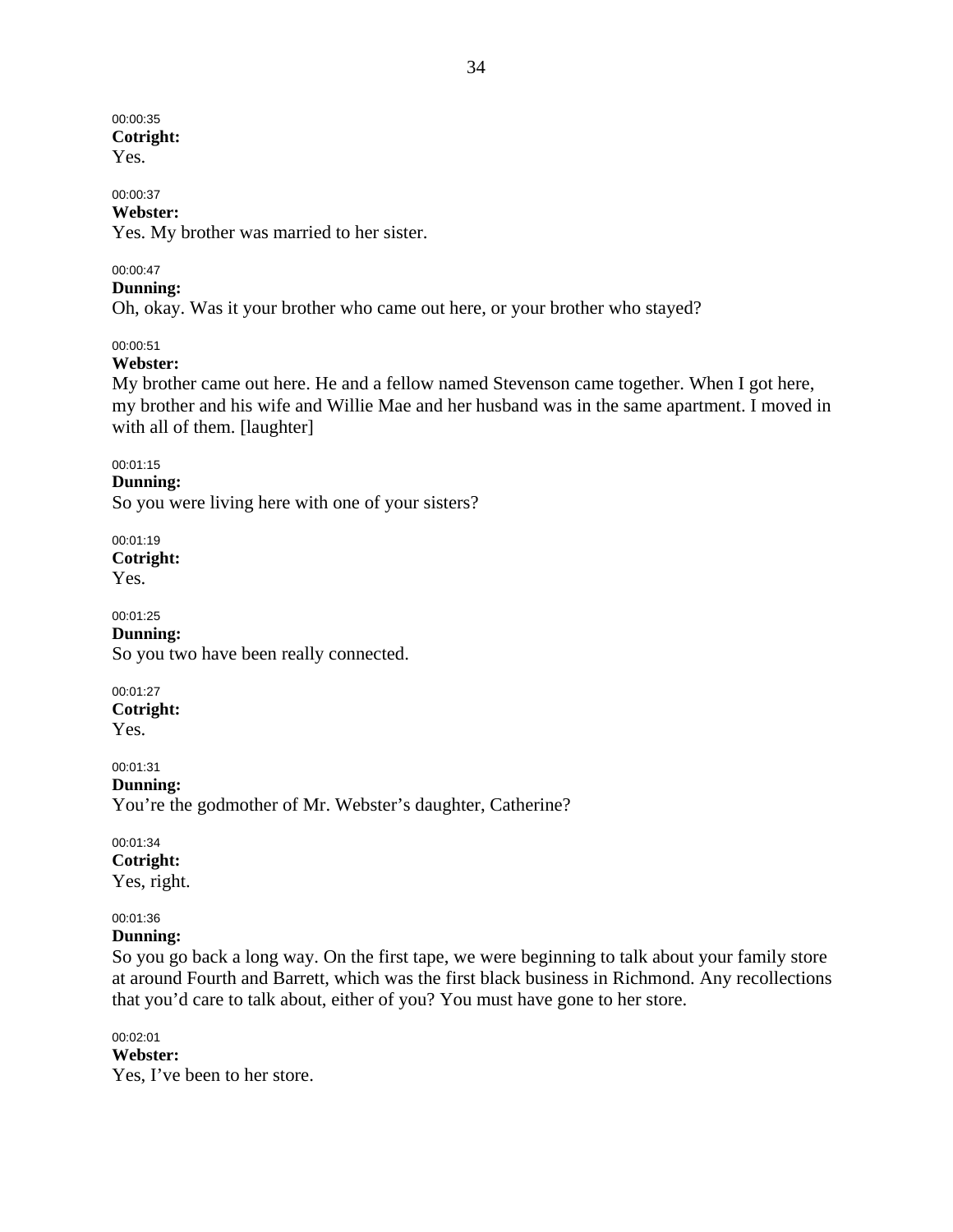# 00:00:35 **Cotright:**

Yes.

# 00:00:37

**Webster:**  Yes. My brother was married to her sister.

### 00:00:47

**Dunning:** 

Oh, okay. Was it your brother who came out here, or your brother who stayed?

### 00:00:51

### **Webster:**

My brother came out here. He and a fellow named Stevenson came together. When I got here, my brother and his wife and Willie Mae and her husband was in the same apartment. I moved in with all of them. [laughter]

### 00:01:15

**Dunning:**  So you were living here with one of your sisters?

00:01:19 **Cotright:**  Yes.

00:01:25 **Dunning:**  So you two have been really connected.

00:01:27 **Cotright:**  Yes.

00:01:31 **Dunning:**  You're the godmother of Mr. Webster's daughter, Catherine?

00:01:34 **Cotright:**  Yes, right.

### 00:01:36

### **Dunning:**

So you go back a long way. On the first tape, we were beginning to talk about your family store at around Fourth and Barrett, which was the first black business in Richmond. Any recollections that you'd care to talk about, either of you? You must have gone to her store.

00:02:01 **Webster:**  Yes, I've been to her store.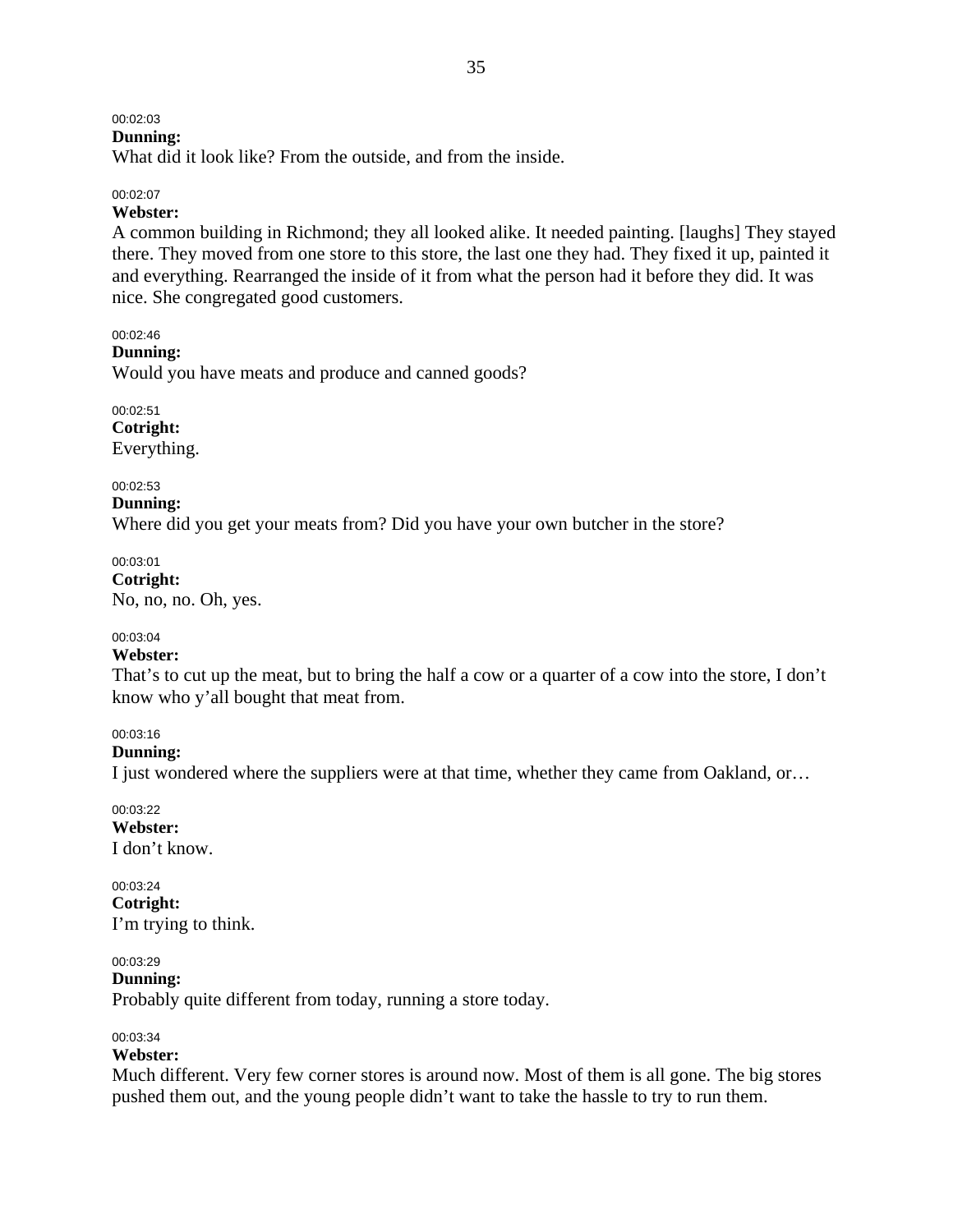# 00:02:03

# **Dunning:**

What did it look like? From the outside, and from the inside.

#### 00:02:07

### **Webster:**

A common building in Richmond; they all looked alike. It needed painting. [laughs] They stayed there. They moved from one store to this store, the last one they had. They fixed it up, painted it and everything. Rearranged the inside of it from what the person had it before they did. It was nice. She congregated good customers.

### 00:02:46

**Dunning:** 

Would you have meats and produce and canned goods?

00:02:51 **Cotright:**  Everything.

#### 00:02:53

**Dunning:**  Where did you get your meats from? Did you have your own butcher in the store?

00:03:01 **Cotright:**  No, no, no. Oh, yes.

### 00:03:04

#### **Webster:**

That's to cut up the meat, but to bring the half a cow or a quarter of a cow into the store, I don't know who y'all bought that meat from.

### 00:03:16

**Dunning:** 

I just wondered where the suppliers were at that time, whether they came from Oakland, or…

00:03:22 **Webster:**  I don't know.

#### 00:03:24 **Cotright:**  I'm trying to think.

00:03:29

**Dunning:** 

Probably quite different from today, running a store today.

### 00:03:34

### **Webster:**

Much different. Very few corner stores is around now. Most of them is all gone. The big stores pushed them out, and the young people didn't want to take the hassle to try to run them.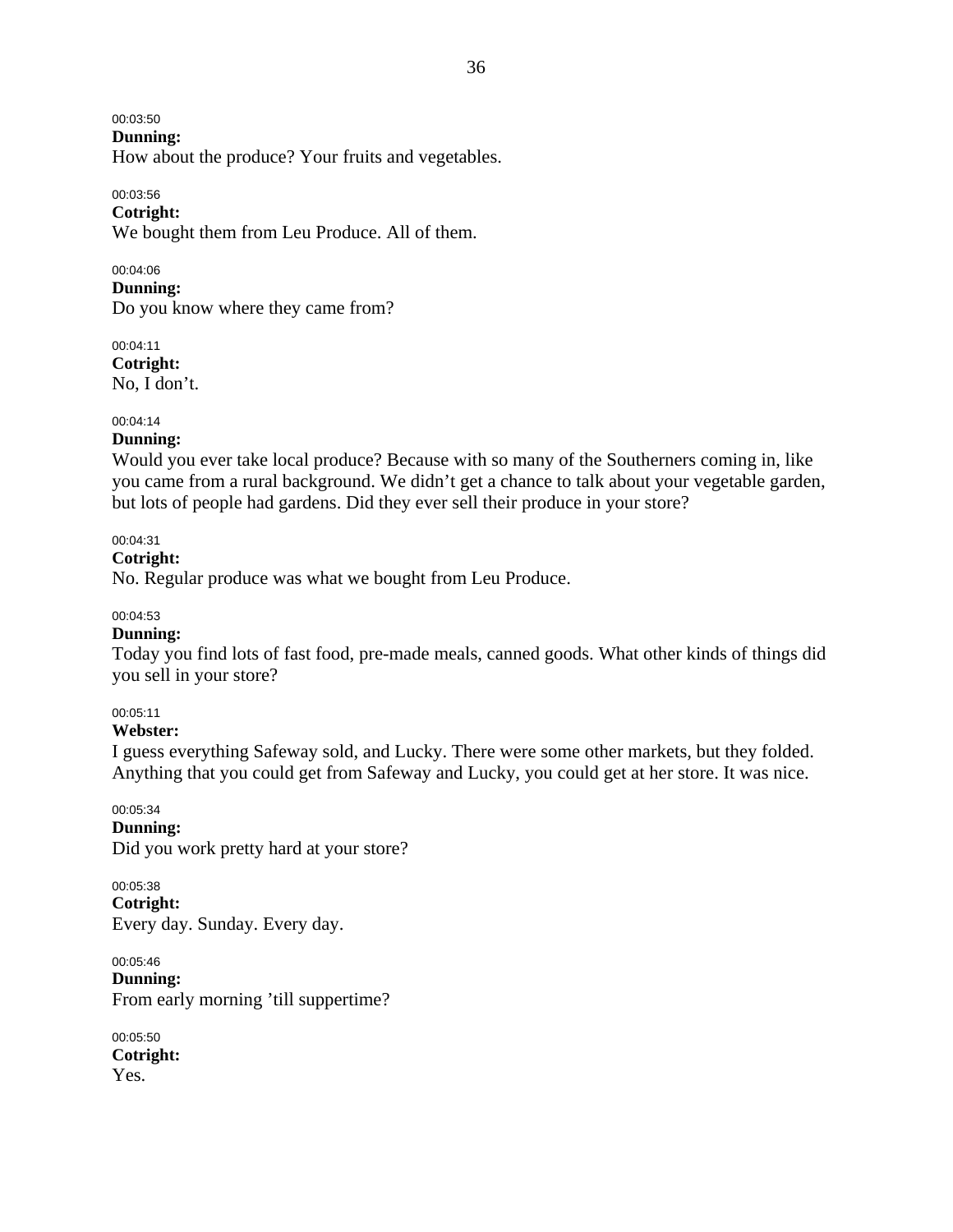00:03:50

**Dunning:** 

How about the produce? Your fruits and vegetables.

00:03:56

**Cotright:** 

We bought them from Leu Produce. All of them.

00:04:06 **Dunning:**  Do you know where they came from?

00:04:11 **Cotright:**  No, I don't.

### 00:04:14

#### **Dunning:**

Would you ever take local produce? Because with so many of the Southerners coming in, like you came from a rural background. We didn't get a chance to talk about your vegetable garden, but lots of people had gardens. Did they ever sell their produce in your store?

### 00:04:31

#### **Cotright:**

No. Regular produce was what we bought from Leu Produce.

### 00:04:53

### **Dunning:**

Today you find lots of fast food, pre-made meals, canned goods. What other kinds of things did you sell in your store?

00:05:11

### **Webster:**

I guess everything Safeway sold, and Lucky. There were some other markets, but they folded. Anything that you could get from Safeway and Lucky, you could get at her store. It was nice.

00:05:34

**Dunning:** 

Did you work pretty hard at your store?

00:05:38 **Cotright:**  Every day. Sunday. Every day.

00:05:46 **Dunning:**  From early morning 'till suppertime?

00:05:50 **Cotright:**  Yes.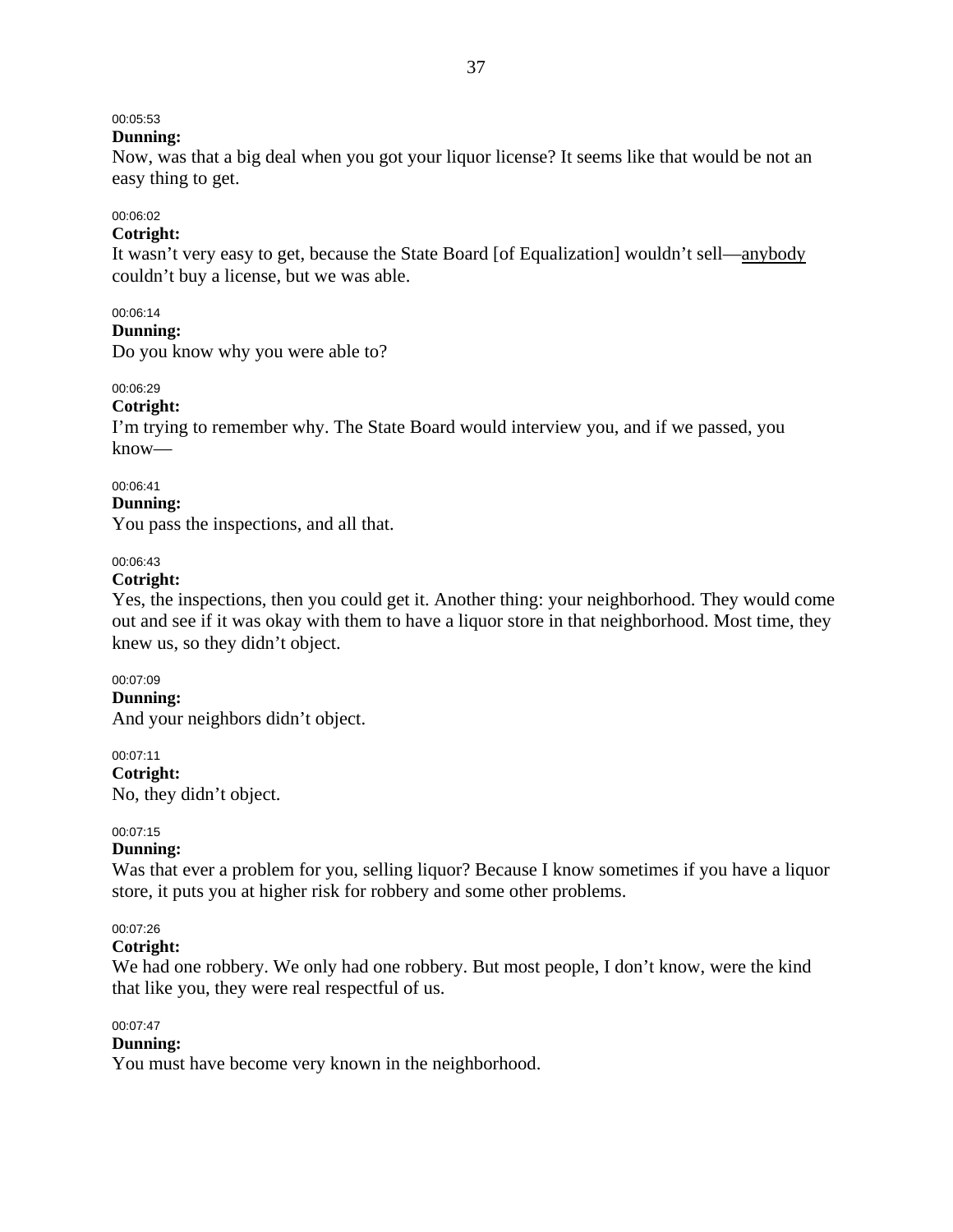# 00:05:53

### **Dunning:**

Now, was that a big deal when you got your liquor license? It seems like that would be not an easy thing to get.

# 00:06:02

### **Cotright:**

It wasn't very easy to get, because the State Board [of Equalization] wouldn't sell—anybody couldn't buy a license, but we was able.

### 00:06:14

#### **Dunning:**

Do you know why you were able to?

### 00:06:29

### **Cotright:**

I'm trying to remember why. The State Board would interview you, and if we passed, you know—

#### 00:06:41

#### **Dunning:**

You pass the inspections, and all that.

### 00:06:43

### **Cotright:**

Yes, the inspections, then you could get it. Another thing: your neighborhood. They would come out and see if it was okay with them to have a liquor store in that neighborhood. Most time, they knew us, so they didn't object.

### 00:07:09

**Dunning:** 

And your neighbors didn't object.

### 00:07:11

**Cotright:** 

No, they didn't object.

### 00:07:15

### **Dunning:**

Was that ever a problem for you, selling liquor? Because I know sometimes if you have a liquor store, it puts you at higher risk for robbery and some other problems.

### 00:07:26

**Cotright:** 

We had one robbery. We only had one robbery. But most people, I don't know, were the kind that like you, they were real respectful of us.

### 00:07:47

### **Dunning:**

You must have become very known in the neighborhood.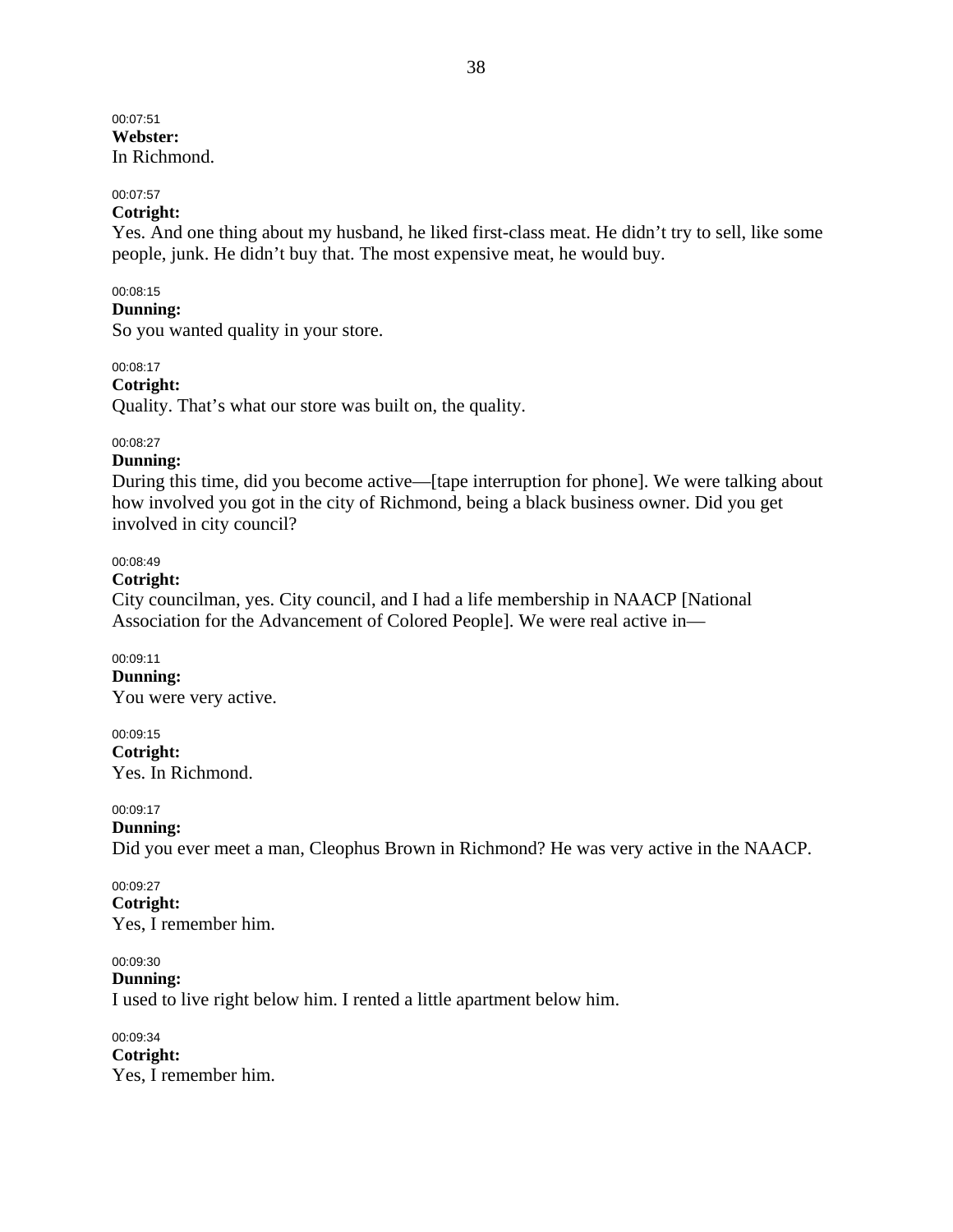00:07:51 **Webster:**  In Richmond.

#### 00:07:57

### **Cotright:**

Yes. And one thing about my husband, he liked first-class meat. He didn't try to sell, like some people, junk. He didn't buy that. The most expensive meat, he would buy.

#### 00:08:15

### **Dunning:**

So you wanted quality in your store.

#### 00:08:17

**Cotright:** 

Quality. That's what our store was built on, the quality.

#### 00:08:27

#### **Dunning:**

During this time, did you become active—[tape interruption for phone]. We were talking about how involved you got in the city of Richmond, being a black business owner. Did you get involved in city council?

#### 00:08:49

### **Cotright:**

City councilman, yes. City council, and I had a life membership in NAACP [National Association for the Advancement of Colored People]. We were real active in—

#### 00:09:11

**Dunning:**  You were very active.

00:09:15 **Cotright:**  Yes. In Richmond.

00:09:17

#### **Dunning:**

Did you ever meet a man, Cleophus Brown in Richmond? He was very active in the NAACP.

#### 00:09:27 **Cotright:**  Yes, I remember him.

### 00:09:30

**Dunning:** 

I used to live right below him. I rented a little apartment below him.

00:09:34 **Cotright:**  Yes, I remember him.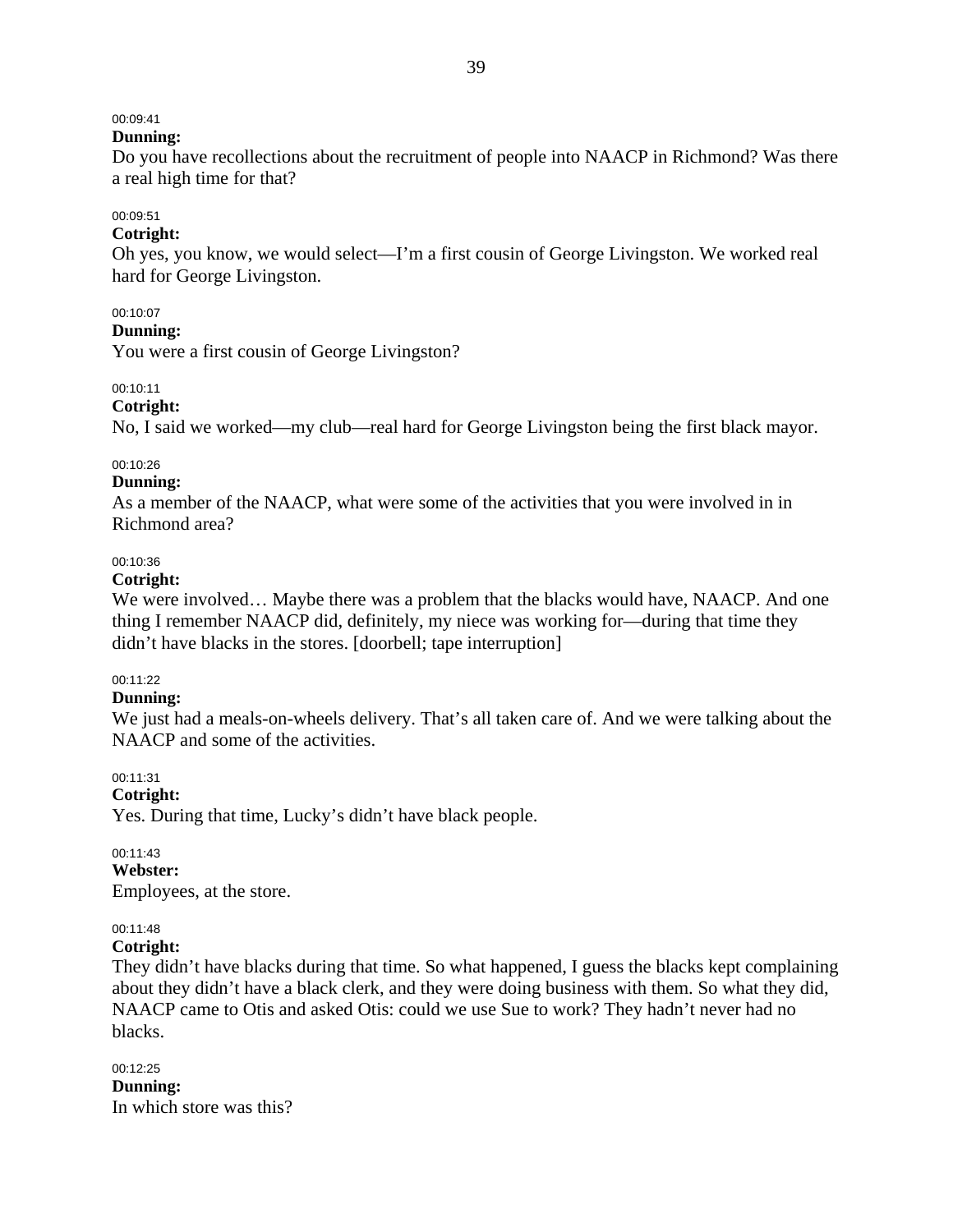# 00:09:41

#### **Dunning:**

Do you have recollections about the recruitment of people into NAACP in Richmond? Was there a real high time for that?

# 00:09:51

### **Cotright:**

Oh yes, you know, we would select—I'm a first cousin of George Livingston. We worked real hard for George Livingston.

### 00:10:07

#### **Dunning:**

You were a first cousin of George Livingston?

### 00:10:11

### **Cotright:**

No, I said we worked—my club—real hard for George Livingston being the first black mayor.

### 00:10:26

#### **Dunning:**

As a member of the NAACP, what were some of the activities that you were involved in in Richmond area?

#### 00:10:36

#### **Cotright:**

We were involved... Maybe there was a problem that the blacks would have, NAACP. And one thing I remember NAACP did, definitely, my niece was working for—during that time they didn't have blacks in the stores. [doorbell; tape interruption]

### 00:11:22

### **Dunning:**

We just had a meals-on-wheels delivery. That's all taken care of. And we were talking about the NAACP and some of the activities.

### 00:11:31

**Cotright:** 

Yes. During that time, Lucky's didn't have black people.

### 00:11:43

### **Webster:**

Employees, at the store.

### 00:11:48

### **Cotright:**

They didn't have blacks during that time. So what happened, I guess the blacks kept complaining about they didn't have a black clerk, and they were doing business with them. So what they did, NAACP came to Otis and asked Otis: could we use Sue to work? They hadn't never had no blacks.

# 00:12:25

**Dunning:**  In which store was this?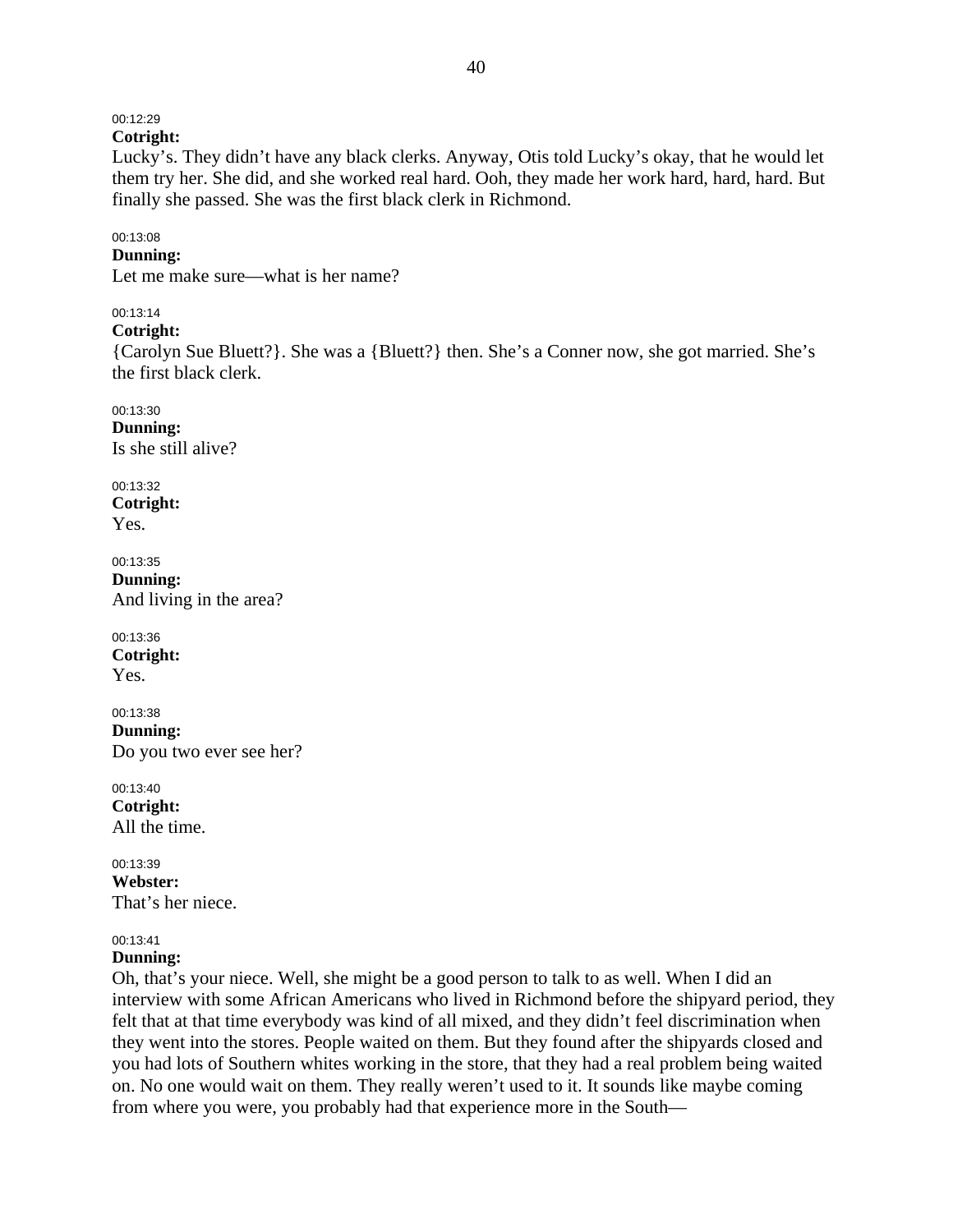# 00:12:29

**Cotright:** 

Lucky's. They didn't have any black clerks. Anyway, Otis told Lucky's okay, that he would let them try her. She did, and she worked real hard. Ooh, they made her work hard, hard, hard. But finally she passed. She was the first black clerk in Richmond.

### 00:13:08

### **Dunning:**

Let me make sure—what is her name?

### 00:13:14

**Cotright:** 

{Carolyn Sue Bluett?}. She was a {Bluett?} then. She's a Conner now, she got married. She's the first black clerk.

00:13:30 **Dunning:**  Is she still alive?

00:13:32 **Cotright:**  Yes.

00:13:35 **Dunning:**  And living in the area?

00:13:36 **Cotright:**  Yes.

00:13:38 **Dunning:**  Do you two ever see her?

00:13:40 **Cotright:**  All the time.

00:13:39 **Webster:**  That's her niece.

### 00:13:41

# **Dunning:**

Oh, that's your niece. Well, she might be a good person to talk to as well. When I did an interview with some African Americans who lived in Richmond before the shipyard period, they felt that at that time everybody was kind of all mixed, and they didn't feel discrimination when they went into the stores. People waited on them. But they found after the shipyards closed and you had lots of Southern whites working in the store, that they had a real problem being waited on. No one would wait on them. They really weren't used to it. It sounds like maybe coming from where you were, you probably had that experience more in the South—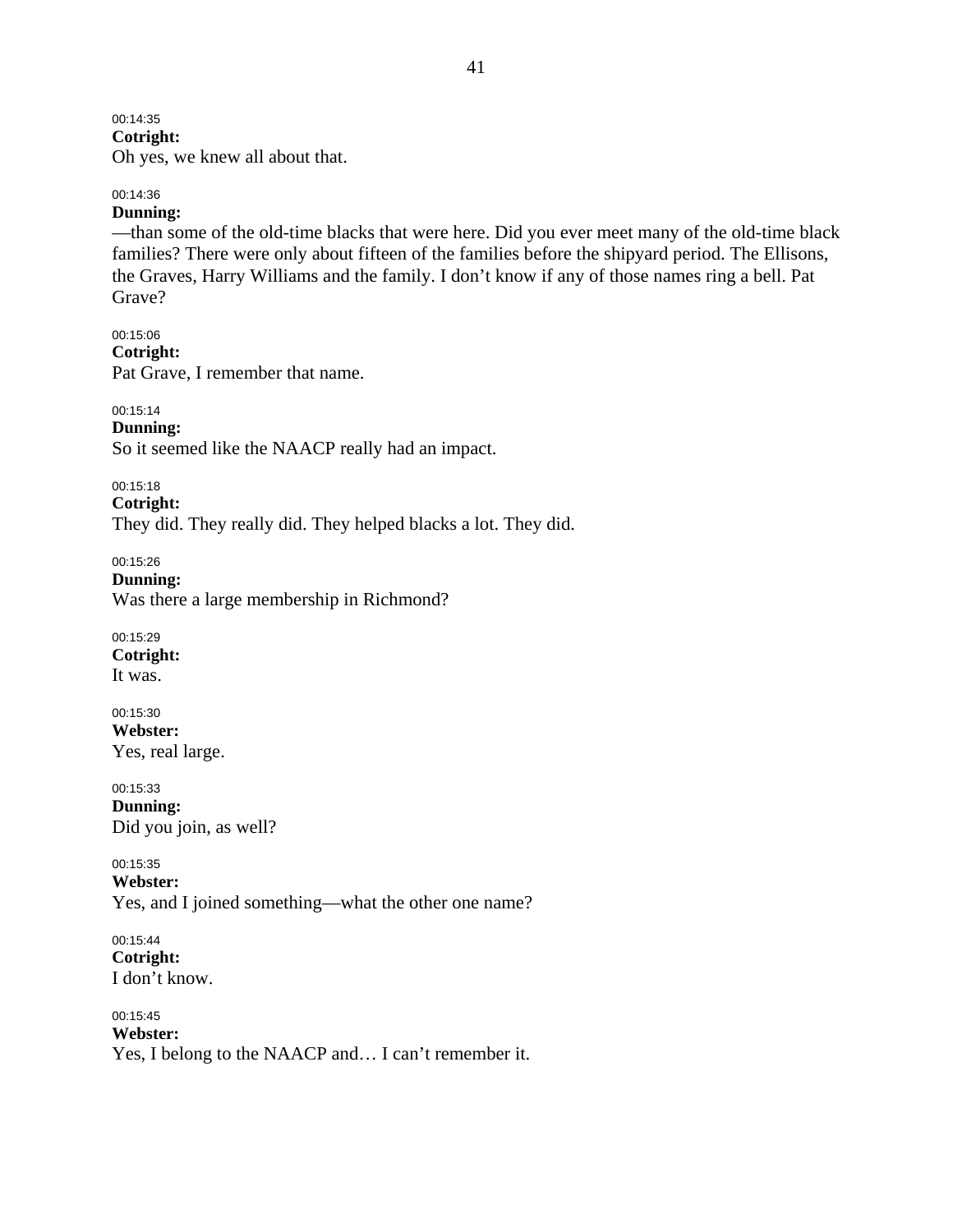## 00:14:35

**Cotright:** 

Oh yes, we knew all about that.

# 00:14:36

### **Dunning:**

—than some of the old-time blacks that were here. Did you ever meet many of the old-time black families? There were only about fifteen of the families before the shipyard period. The Ellisons, the Graves, Harry Williams and the family. I don't know if any of those names ring a bell. Pat Grave?

00:15:06 **Cotright:**  Pat Grave, I remember that name.

00:15:14 **Dunning:**  So it seemed like the NAACP really had an impact.

00:15:18

**Cotright:**  They did. They really did. They helped blacks a lot. They did.

00:15:26 **Dunning:**  Was there a large membership in Richmond?

00:15:29 **Cotright:**  It was.

00:15:30 **Webster:**  Yes, real large.

00:15:33 **Dunning:**  Did you join, as well?

00:15:35 **Webster:**  Yes, and I joined something—what the other one name?

00:15:44 **Cotright:**  I don't know.

00:15:45 **Webster:**  Yes, I belong to the NAACP and… I can't remember it.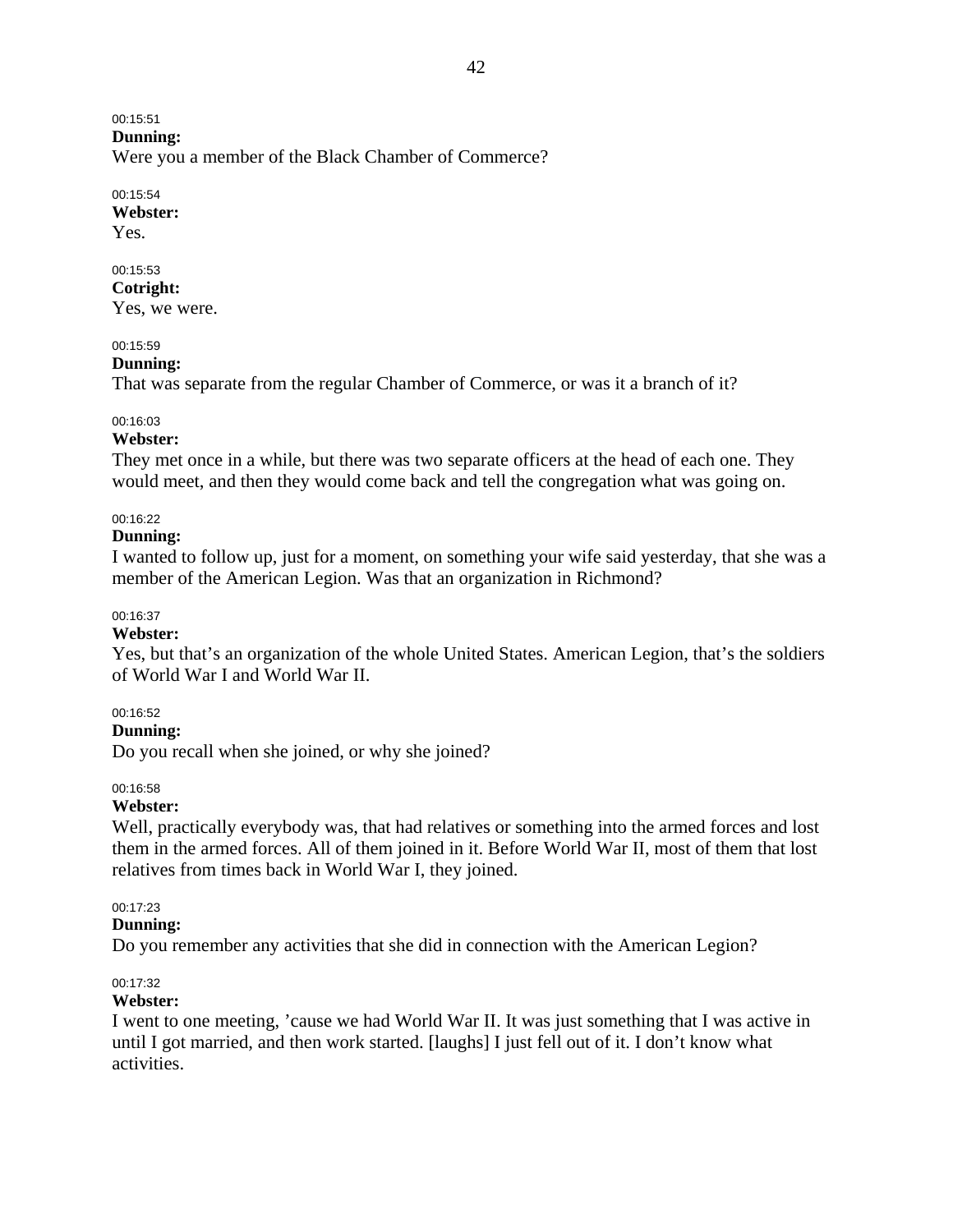#### 00:15:51 **Dunning:**

Were you a member of the Black Chamber of Commerce?

### 00:15:54

**Webster:**  Yes.

# 00:15:53

**Cotright:**  Yes, we were.

### 00:15:59

### **Dunning:**

That was separate from the regular Chamber of Commerce, or was it a branch of it?

### 00:16:03

### **Webster:**

They met once in a while, but there was two separate officers at the head of each one. They would meet, and then they would come back and tell the congregation what was going on.

### 00:16:22

### **Dunning:**

I wanted to follow up, just for a moment, on something your wife said yesterday, that she was a member of the American Legion. Was that an organization in Richmond?

### 00:16:37

### **Webster:**

Yes, but that's an organization of the whole United States. American Legion, that's the soldiers of World War I and World War II.

### 00:16:52

### **Dunning:**

Do you recall when she joined, or why she joined?

### 00:16:58

### **Webster:**

Well, practically everybody was, that had relatives or something into the armed forces and lost them in the armed forces. All of them joined in it. Before World War II, most of them that lost relatives from times back in World War I, they joined.

00:17:23

### **Dunning:**

Do you remember any activities that she did in connection with the American Legion?

### 00:17:32

### **Webster:**

I went to one meeting, 'cause we had World War II. It was just something that I was active in until I got married, and then work started. [laughs] I just fell out of it. I don't know what activities.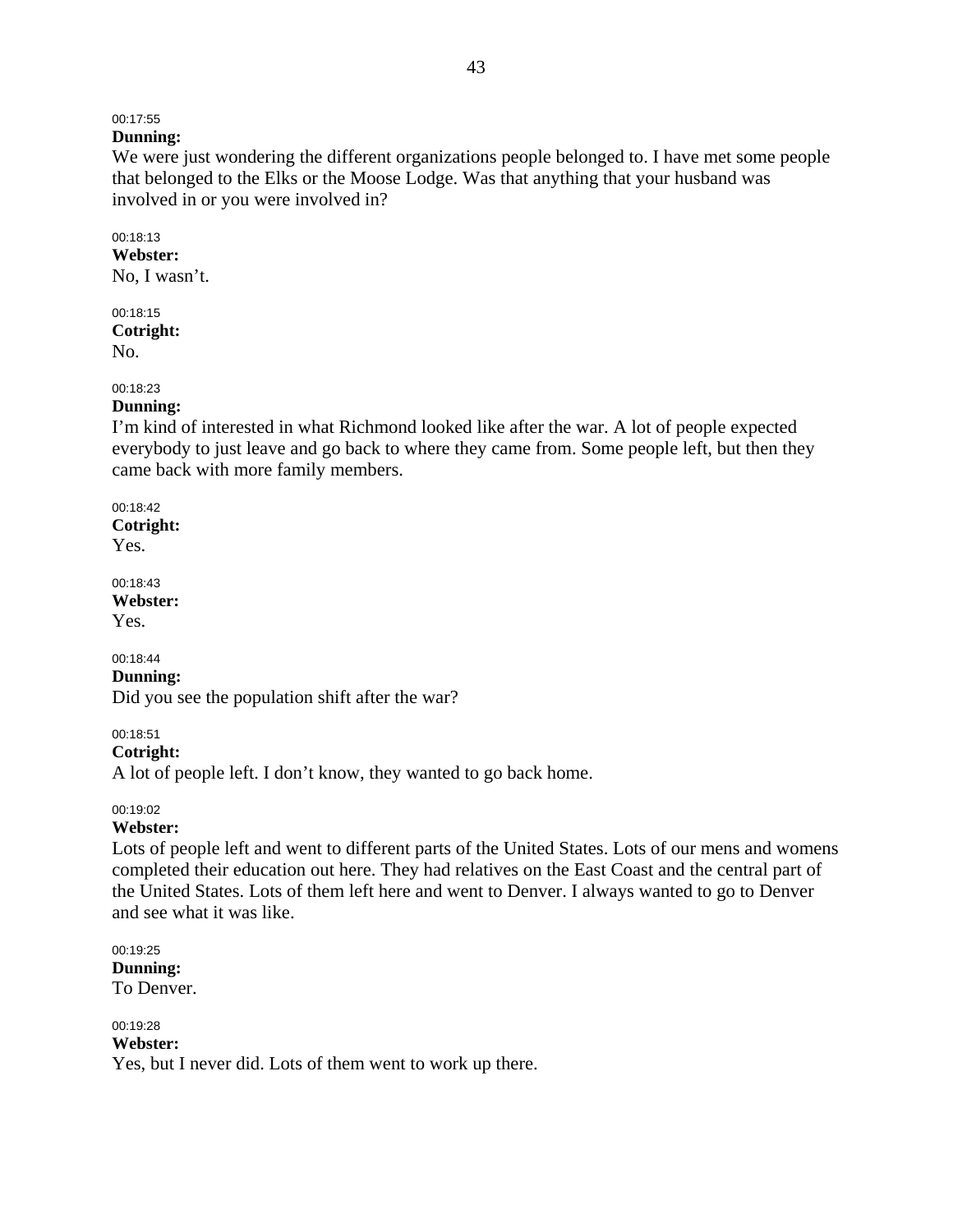# 00:17:55

# **Dunning:**

We were just wondering the different organizations people belonged to. I have met some people that belonged to the Elks or the Moose Lodge. Was that anything that your husband was involved in or you were involved in?

#### 00:18:13 **Webster:**

No, I wasn't.

00:18:15 **Cotright:**  No.

### 00:18:23

### **Dunning:**

I'm kind of interested in what Richmond looked like after the war. A lot of people expected everybody to just leave and go back to where they came from. Some people left, but then they came back with more family members.

# 00:18:42

**Cotright:**  Yes.

00:18:43 **Webster:**  Yes.

### 00:18:44

**Dunning:** 

Did you see the population shift after the war?

00:18:51

**Cotright:** 

A lot of people left. I don't know, they wanted to go back home.

### 00:19:02

### **Webster:**

Lots of people left and went to different parts of the United States. Lots of our mens and womens completed their education out here. They had relatives on the East Coast and the central part of the United States. Lots of them left here and went to Denver. I always wanted to go to Denver and see what it was like.

00:19:25 **Dunning:**  To Denver.

#### 00:19:28 **Webster:**

Yes, but I never did. Lots of them went to work up there.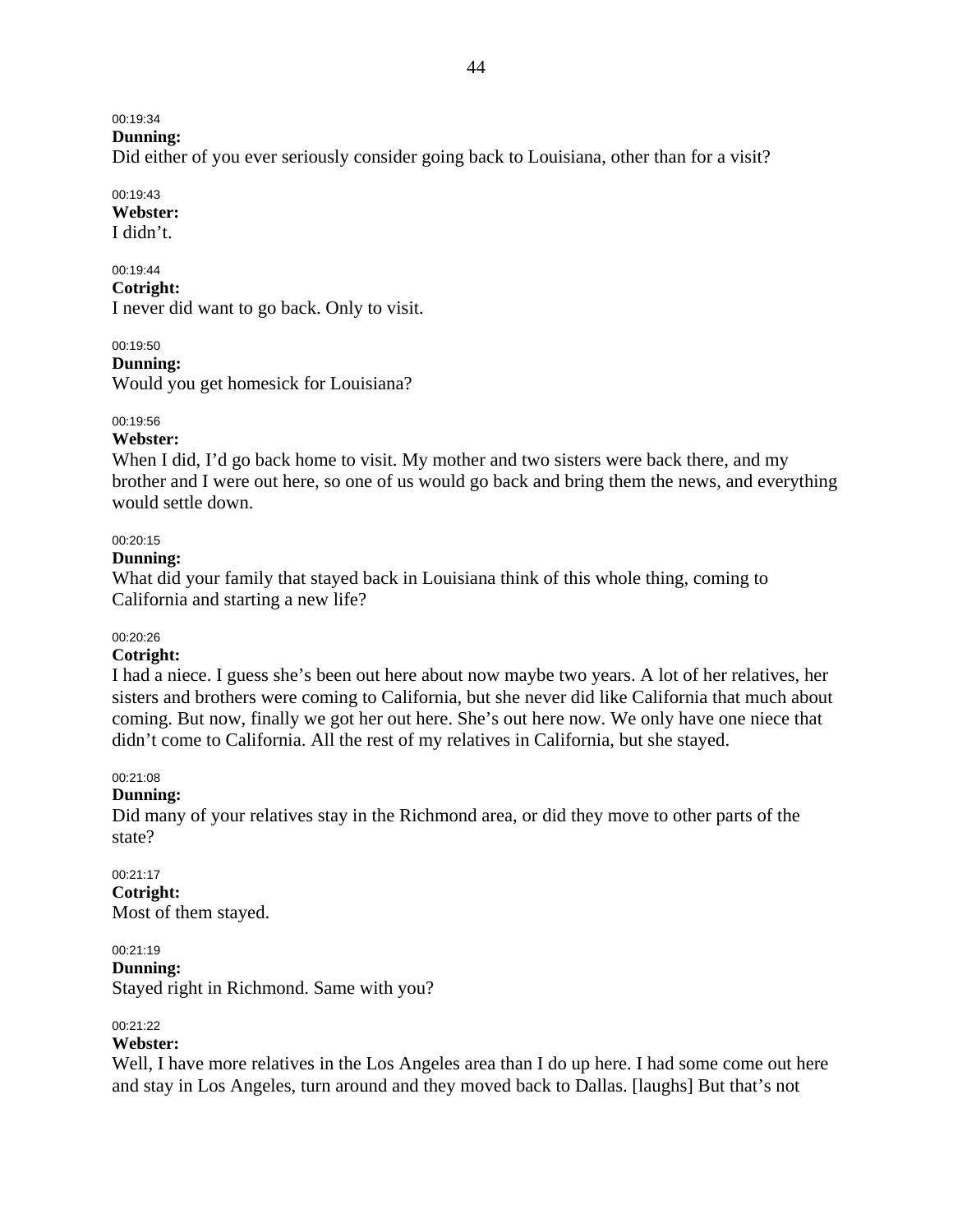### 00:19:34

**Dunning:** 

Did either of you ever seriously consider going back to Louisiana, other than for a visit?

#### 00:19:43 **Webster:**

I didn't.

00:19:44 **Cotright:**  I never did want to go back. Only to visit.

00:19:50

**Dunning:** 

Would you get homesick for Louisiana?

### 00:19:56

### **Webster:**

When I did, I'd go back home to visit. My mother and two sisters were back there, and my brother and I were out here, so one of us would go back and bring them the news, and everything would settle down.

### 00:20:15

### **Dunning:**

What did your family that stayed back in Louisiana think of this whole thing, coming to California and starting a new life?

### 00:20:26

### **Cotright:**

I had a niece. I guess she's been out here about now maybe two years. A lot of her relatives, her sisters and brothers were coming to California, but she never did like California that much about coming. But now, finally we got her out here. She's out here now. We only have one niece that didn't come to California. All the rest of my relatives in California, but she stayed.

### 00:21:08

### **Dunning:**

Did many of your relatives stay in the Richmond area, or did they move to other parts of the state?

# 00:21:17 **Cotright:**

Most of them stayed.

# 00:21:19

**Dunning:**  Stayed right in Richmond. Same with you?

### 00:21:22

### **Webster:**

Well, I have more relatives in the Los Angeles area than I do up here. I had some come out here and stay in Los Angeles, turn around and they moved back to Dallas. [laughs] But that's not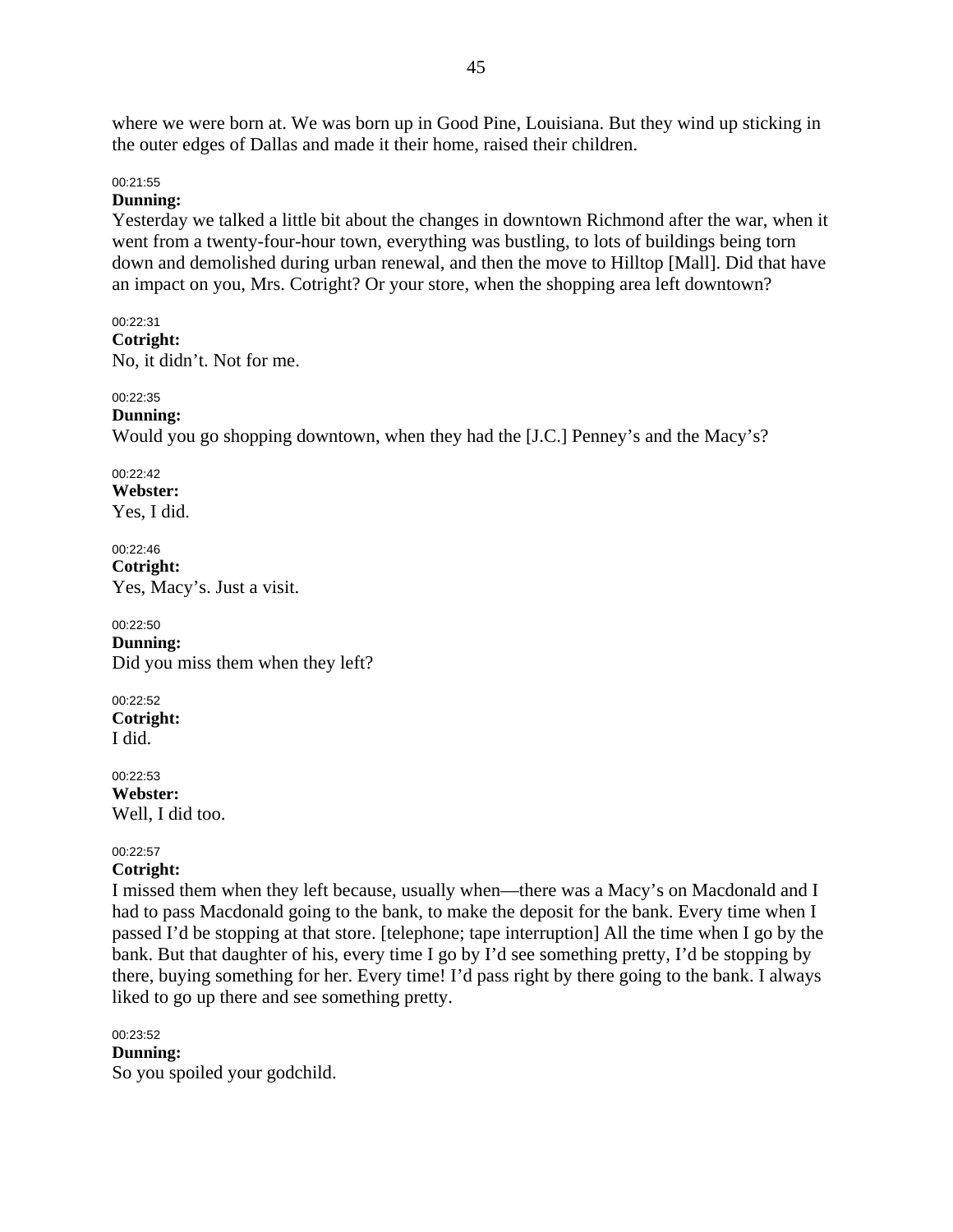where we were born at. We was born up in Good Pine, Louisiana. But they wind up sticking in the outer edges of Dallas and made it their home, raised their children.

#### 00:21:55

#### **Dunning:**

Yesterday we talked a little bit about the changes in downtown Richmond after the war, when it went from a twenty-four-hour town, everything was bustling, to lots of buildings being torn down and demolished during urban renewal, and then the move to Hilltop [Mall]. Did that have an impact on you, Mrs. Cotright? Or your store, when the shopping area left downtown?

#### 00:22:31 **Cotright:**  No, it didn't. Not for me.

#### 00:22:35 **Dunning:**

Would you go shopping downtown, when they had the [J.C.] Penney's and the Macy's?

00:22:42 **Webster:**  Yes, I did.

00:22:46 **Cotright:**  Yes, Macy's. Just a visit.

00:22:50 **Dunning:**  Did you miss them when they left?

00:22:52 **Cotright:**  I did.

00:22:53 **Webster:**  Well, I did too.

### 00:22:57

### **Cotright:**

I missed them when they left because, usually when—there was a Macy's on Macdonald and I had to pass Macdonald going to the bank, to make the deposit for the bank. Every time when I passed I'd be stopping at that store. [telephone; tape interruption] All the time when I go by the bank. But that daughter of his, every time I go by I'd see something pretty, I'd be stopping by there, buying something for her. Every time! I'd pass right by there going to the bank. I always liked to go up there and see something pretty.

### 00:23:52

**Dunning:**  So you spoiled your godchild.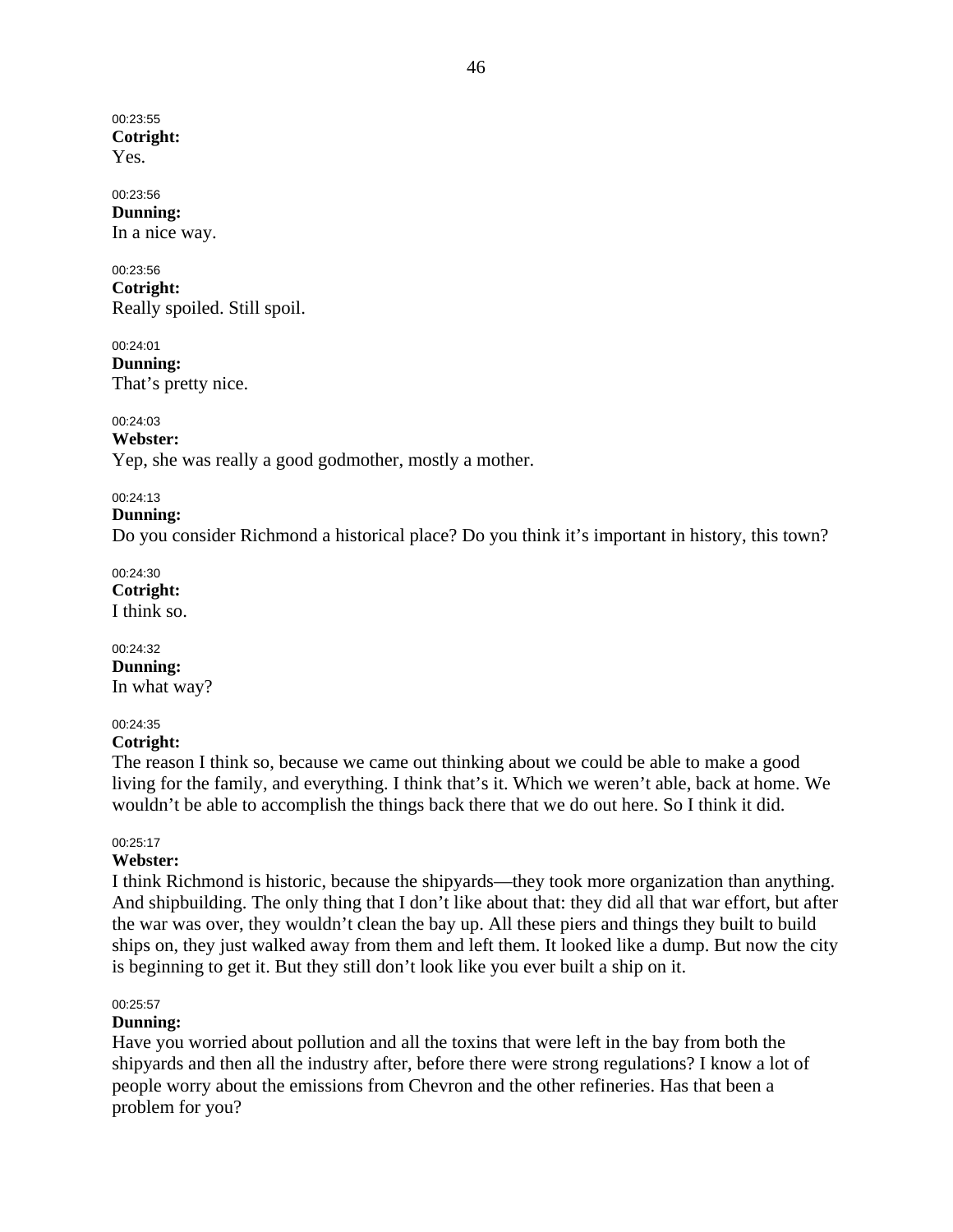00:23:55 **Cotright:**  Yes.

#### 00:23:56 **Dunning:**

In a nice way.

# 00:23:56

**Cotright:**  Really spoiled. Still spoil.

00:24:01 **Dunning:**  That's pretty nice.

00:24:03

**Webster:** 

Yep, she was really a good godmother, mostly a mother.

### 00:24:13

### **Dunning:**

Do you consider Richmond a historical place? Do you think it's important in history, this town?

00:24:30 **Cotright:** 

I think so.

00:24:32 **Dunning:** 

In what way?

# 00:24:35

### **Cotright:**

The reason I think so, because we came out thinking about we could be able to make a good living for the family, and everything. I think that's it. Which we weren't able, back at home. We wouldn't be able to accomplish the things back there that we do out here. So I think it did.

### 00:25:17

### **Webster:**

I think Richmond is historic, because the shipyards—they took more organization than anything. And shipbuilding. The only thing that I don't like about that: they did all that war effort, but after the war was over, they wouldn't clean the bay up. All these piers and things they built to build ships on, they just walked away from them and left them. It looked like a dump. But now the city is beginning to get it. But they still don't look like you ever built a ship on it.

### 00:25:57

### **Dunning:**

Have you worried about pollution and all the toxins that were left in the bay from both the shipyards and then all the industry after, before there were strong regulations? I know a lot of people worry about the emissions from Chevron and the other refineries. Has that been a problem for you?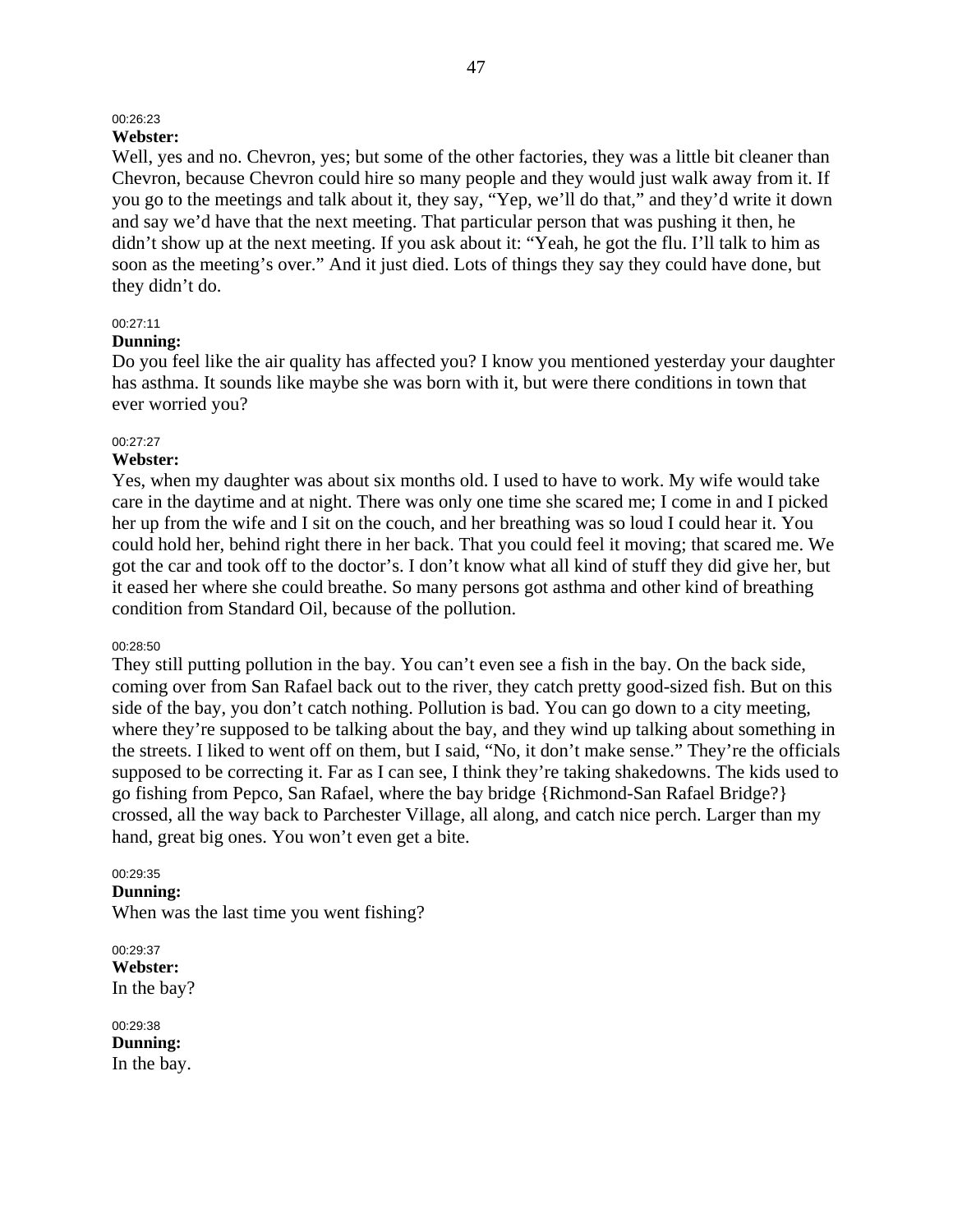### 00:26:23

### **Webster:**

Well, yes and no. Chevron, yes; but some of the other factories, they was a little bit cleaner than Chevron, because Chevron could hire so many people and they would just walk away from it. If you go to the meetings and talk about it, they say, "Yep, we'll do that," and they'd write it down and say we'd have that the next meeting. That particular person that was pushing it then, he didn't show up at the next meeting. If you ask about it: "Yeah, he got the flu. I'll talk to him as soon as the meeting's over." And it just died. Lots of things they say they could have done, but they didn't do.

#### 00:27:11

#### **Dunning:**

Do you feel like the air quality has affected you? I know you mentioned yesterday your daughter has asthma. It sounds like maybe she was born with it, but were there conditions in town that ever worried you?

#### 00:27:27

#### **Webster:**

Yes, when my daughter was about six months old. I used to have to work. My wife would take care in the daytime and at night. There was only one time she scared me; I come in and I picked her up from the wife and I sit on the couch, and her breathing was so loud I could hear it. You could hold her, behind right there in her back. That you could feel it moving; that scared me. We got the car and took off to the doctor's. I don't know what all kind of stuff they did give her, but it eased her where she could breathe. So many persons got asthma and other kind of breathing condition from Standard Oil, because of the pollution.

#### 00:28:50

They still putting pollution in the bay. You can't even see a fish in the bay. On the back side, coming over from San Rafael back out to the river, they catch pretty good-sized fish. But on this side of the bay, you don't catch nothing. Pollution is bad. You can go down to a city meeting, where they're supposed to be talking about the bay, and they wind up talking about something in the streets. I liked to went off on them, but I said, "No, it don't make sense." They're the officials supposed to be correcting it. Far as I can see, I think they're taking shakedowns. The kids used to go fishing from Pepco, San Rafael, where the bay bridge {Richmond-San Rafael Bridge?} crossed, all the way back to Parchester Village, all along, and catch nice perch. Larger than my hand, great big ones. You won't even get a bite.

#### 00:29:35

**Dunning:**  When was the last time you went fishing?

00:29:37 **Webster:**  In the bay?

00:29:38 **Dunning:**  In the bay.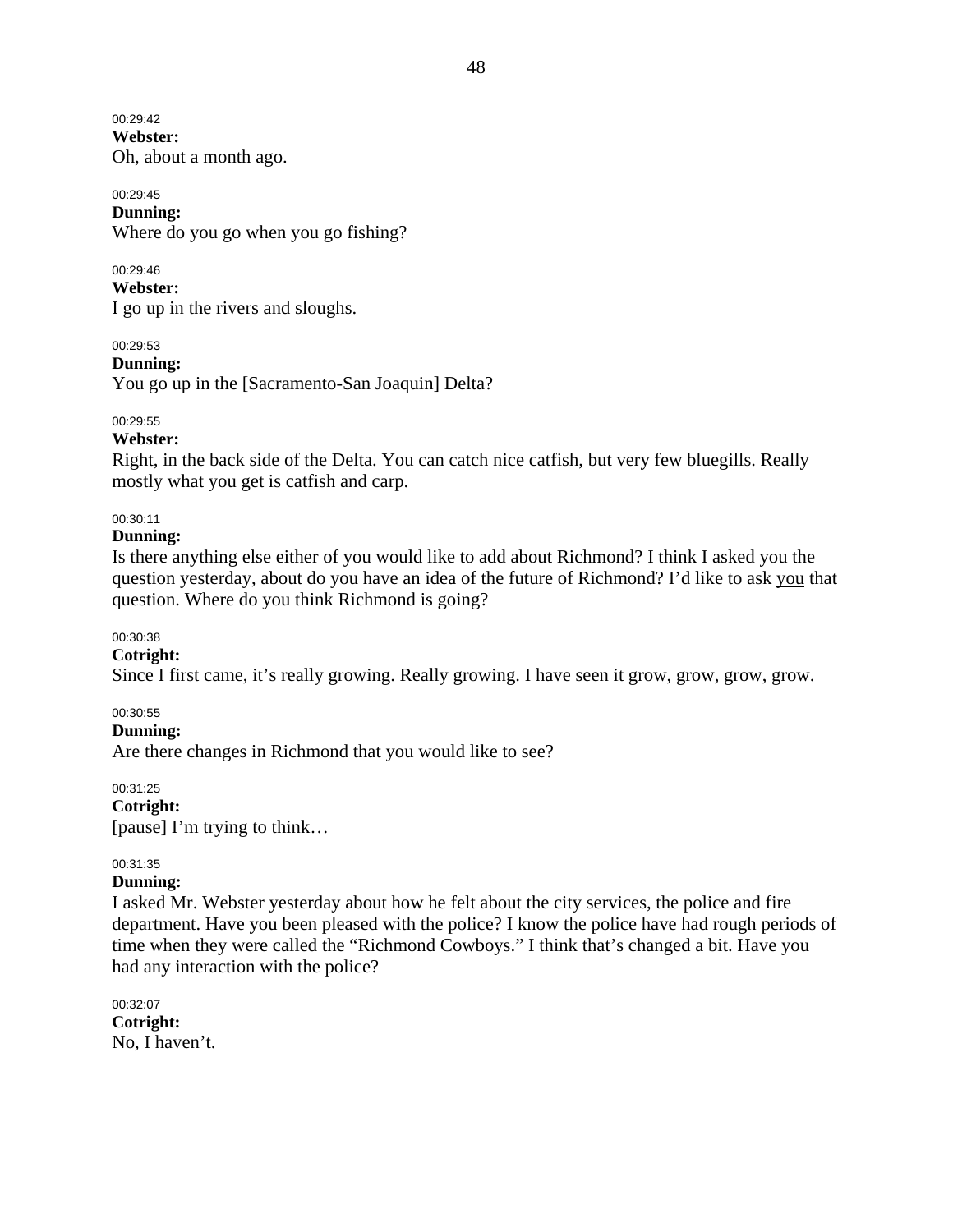00:29:42 **Webster:**  Oh, about a month ago.

00:29:45 **Dunning:**  Where do you go when you go fishing?

00:29:46 **Webster:**  I go up in the rivers and sloughs.

00:29:53 **Dunning:**  You go up in the [Sacramento-San Joaquin] Delta?

- 00:29:55
- **Webster:**

Right, in the back side of the Delta. You can catch nice catfish, but very few bluegills. Really mostly what you get is catfish and carp.

### 00:30:11

#### **Dunning:**

Is there anything else either of you would like to add about Richmond? I think I asked you the question yesterday, about do you have an idea of the future of Richmond? I'd like to ask you that question. Where do you think Richmond is going?

00:30:38

### **Cotright:**

Since I first came, it's really growing. Really growing. I have seen it grow, grow, grow, grow.

#### 00:30:55

**Dunning:** 

Are there changes in Richmond that you would like to see?

00:31:25 **Cotright:**  [pause] I'm trying to think…

#### 00:31:35

### **Dunning:**

I asked Mr. Webster yesterday about how he felt about the city services, the police and fire department. Have you been pleased with the police? I know the police have had rough periods of time when they were called the "Richmond Cowboys." I think that's changed a bit. Have you had any interaction with the police?

00:32:07 **Cotright:**  No, I haven't.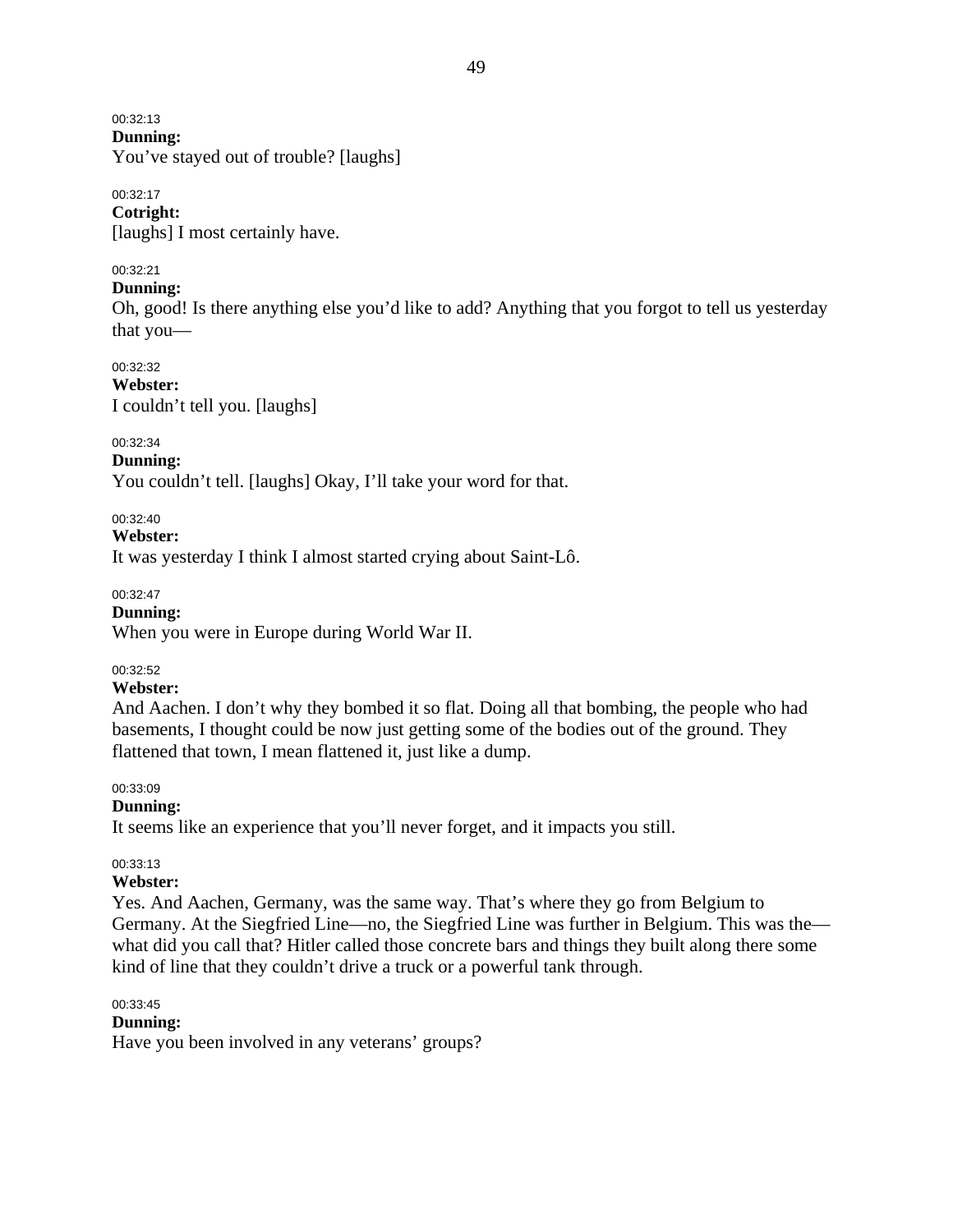00:32:13

**Dunning:** 

You've stayed out of trouble? [laughs]

### 00:32:17

**Cotright:**  [laughs] I most certainly have.

### 00:32:21

### **Dunning:**

Oh, good! Is there anything else you'd like to add? Anything that you forgot to tell us yesterday that you—

00:32:32

**Webster:**  I couldn't tell you. [laughs]

00:32:34

### **Dunning:**

You couldn't tell. [laughs] Okay, I'll take your word for that.

00:32:40

**Webster:** 

It was yesterday I think I almost started crying about Saint-Lô.

00:32:47

### **Dunning:**

When you were in Europe during World War II.

### 00:32:52

### **Webster:**

And Aachen. I don't why they bombed it so flat. Doing all that bombing, the people who had basements, I thought could be now just getting some of the bodies out of the ground. They flattened that town, I mean flattened it, just like a dump.

00:33:09

### **Dunning:**

It seems like an experience that you'll never forget, and it impacts you still.

### 00:33:13

### **Webster:**

Yes. And Aachen, Germany, was the same way. That's where they go from Belgium to Germany. At the Siegfried Line—no, the Siegfried Line was further in Belgium. This was the what did you call that? Hitler called those concrete bars and things they built along there some kind of line that they couldn't drive a truck or a powerful tank through.

### 00:33:45

### **Dunning:**

Have you been involved in any veterans' groups?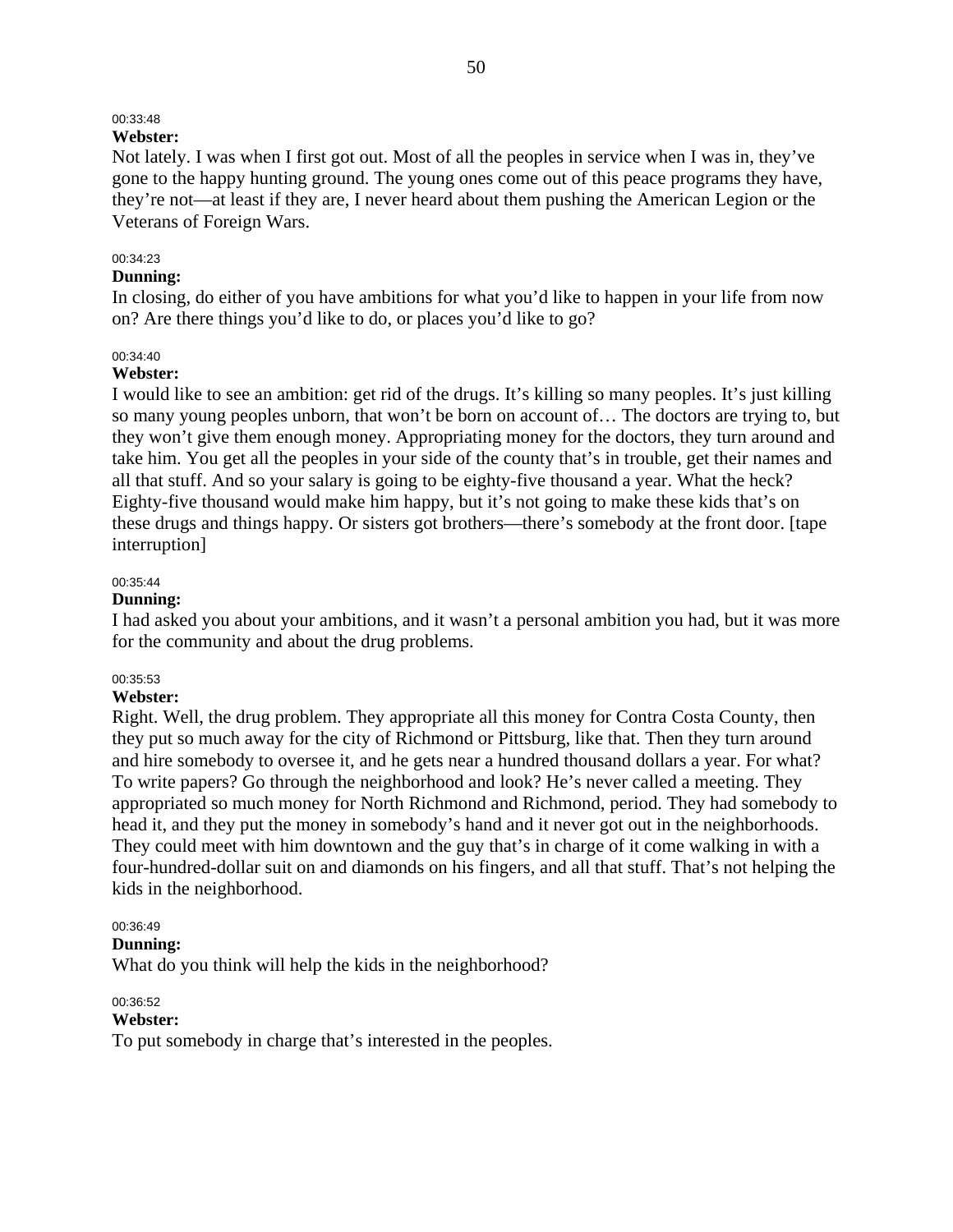# 00:33:48

# **Webster:**

Not lately. I was when I first got out. Most of all the peoples in service when I was in, they've gone to the happy hunting ground. The young ones come out of this peace programs they have, they're not—at least if they are, I never heard about them pushing the American Legion or the Veterans of Foreign Wars.

### 00:34:23

### **Dunning:**

In closing, do either of you have ambitions for what you'd like to happen in your life from now on? Are there things you'd like to do, or places you'd like to go?

#### 00:34:40

#### **Webster:**

I would like to see an ambition: get rid of the drugs. It's killing so many peoples. It's just killing so many young peoples unborn, that won't be born on account of… The doctors are trying to, but they won't give them enough money. Appropriating money for the doctors, they turn around and take him. You get all the peoples in your side of the county that's in trouble, get their names and all that stuff. And so your salary is going to be eighty-five thousand a year. What the heck? Eighty-five thousand would make him happy, but it's not going to make these kids that's on these drugs and things happy. Or sisters got brothers—there's somebody at the front door. [tape interruption]

#### 00:35:44

#### **Dunning:**

I had asked you about your ambitions, and it wasn't a personal ambition you had, but it was more for the community and about the drug problems.

### 00:35:53

### **Webster:**

Right. Well, the drug problem. They appropriate all this money for Contra Costa County, then they put so much away for the city of Richmond or Pittsburg, like that. Then they turn around and hire somebody to oversee it, and he gets near a hundred thousand dollars a year. For what? To write papers? Go through the neighborhood and look? He's never called a meeting. They appropriated so much money for North Richmond and Richmond, period. They had somebody to head it, and they put the money in somebody's hand and it never got out in the neighborhoods. They could meet with him downtown and the guy that's in charge of it come walking in with a four-hundred-dollar suit on and diamonds on his fingers, and all that stuff. That's not helping the kids in the neighborhood.

### 00:36:49

#### **Dunning:**

What do you think will help the kids in the neighborhood?

#### 00:36:52

#### **Webster:**

To put somebody in charge that's interested in the peoples.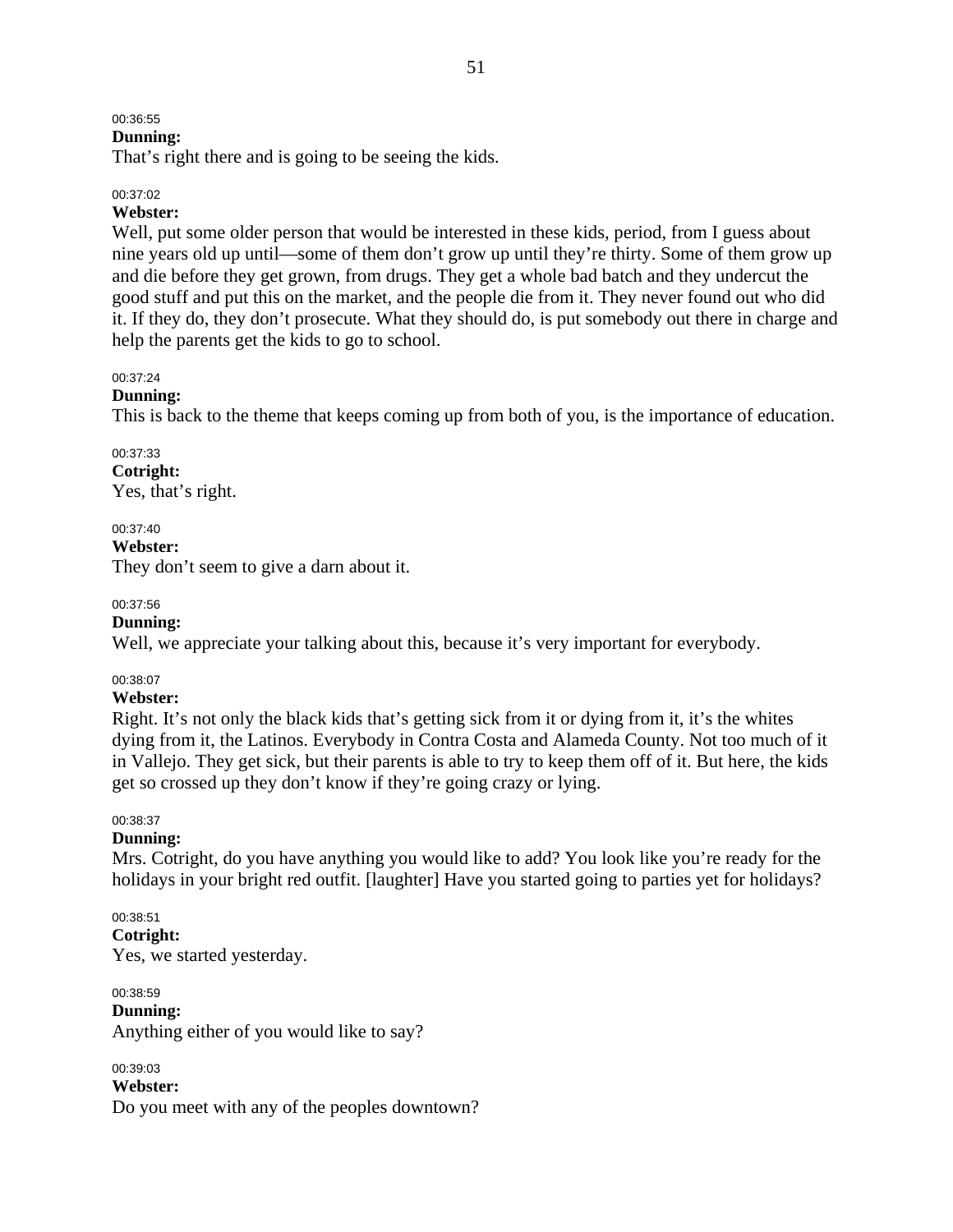### 00:36:55

### **Dunning:**

That's right there and is going to be seeing the kids.

#### 00:37:02

### **Webster:**

Well, put some older person that would be interested in these kids, period, from I guess about nine years old up until—some of them don't grow up until they're thirty. Some of them grow up and die before they get grown, from drugs. They get a whole bad batch and they undercut the good stuff and put this on the market, and the people die from it. They never found out who did it. If they do, they don't prosecute. What they should do, is put somebody out there in charge and help the parents get the kids to go to school.

00:37:24

### **Dunning:**

This is back to the theme that keeps coming up from both of you, is the importance of education.

00:37:33 **Cotright:**  Yes, that's right.

00:37:40 **Webster:**  They don't seem to give a darn about it.

#### 00:37:56

### **Dunning:**

Well, we appreciate your talking about this, because it's very important for everybody.

00:38:07

### **Webster:**

Right. It's not only the black kids that's getting sick from it or dying from it, it's the whites dying from it, the Latinos. Everybody in Contra Costa and Alameda County. Not too much of it in Vallejo. They get sick, but their parents is able to try to keep them off of it. But here, the kids get so crossed up they don't know if they're going crazy or lying.

#### 00:38:37

### **Dunning:**

Mrs. Cotright, do you have anything you would like to add? You look like you're ready for the holidays in your bright red outfit. [laughter] Have you started going to parties yet for holidays?

#### 00:38:51

**Cotright:** 

Yes, we started yesterday.

00:38:59 **Dunning:**  Anything either of you would like to say?

00:39:03 **Webster:**  Do you meet with any of the peoples downtown?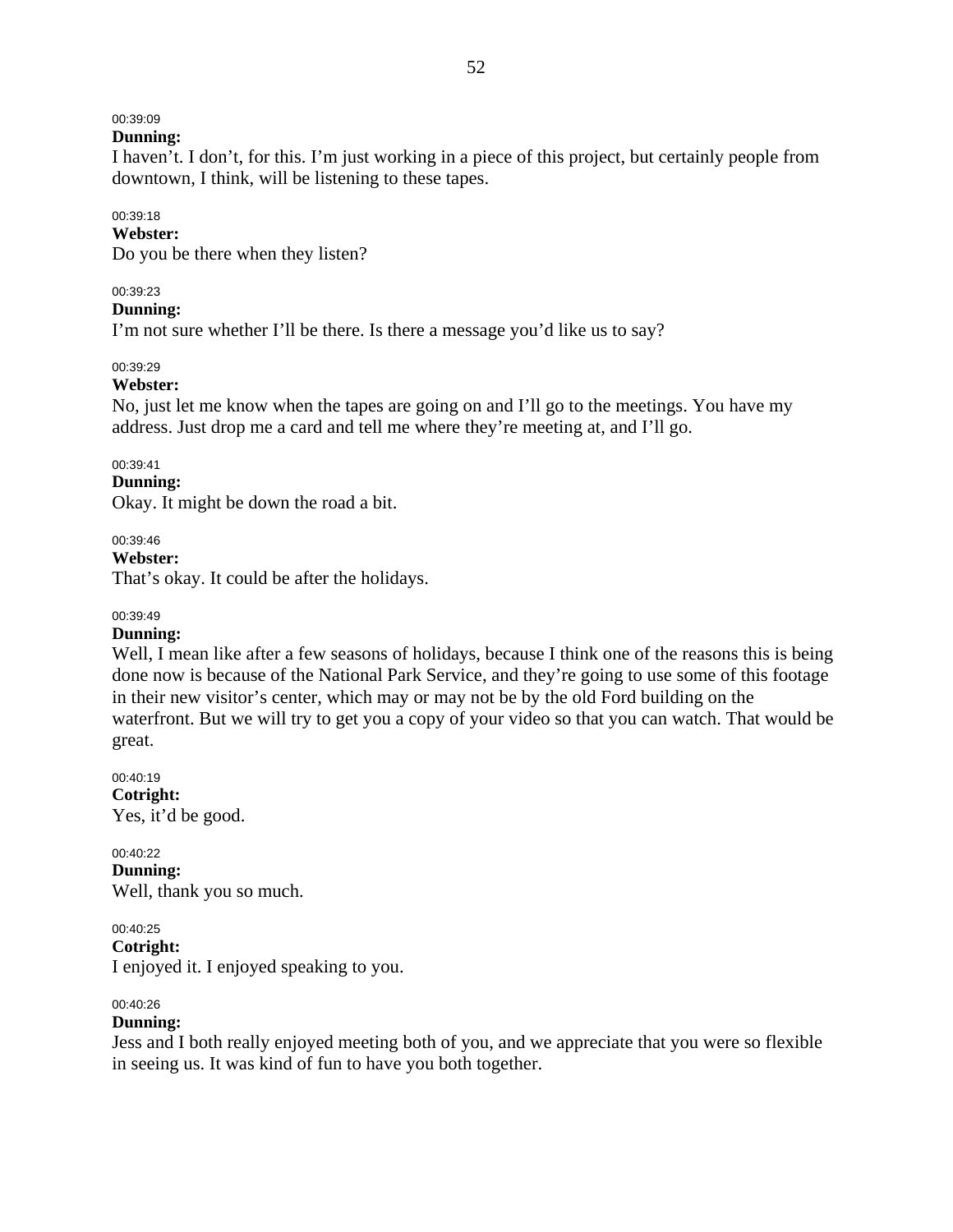# 00:39:09

**Dunning:** 

I haven't. I don't, for this. I'm just working in a piece of this project, but certainly people from downtown, I think, will be listening to these tapes.

# 00:39:18

**Webster:** 

Do you be there when they listen?

### 00:39:23

### **Dunning:**

I'm not sure whether I'll be there. Is there a message you'd like us to say?

### 00:39:29

### **Webster:**

No, just let me know when the tapes are going on and I'll go to the meetings. You have my address. Just drop me a card and tell me where they're meeting at, and I'll go.

### 00:39:41

### **Dunning:**

Okay. It might be down the road a bit.

### 00:39:46

**Webster:** 

That's okay. It could be after the holidays.

### 00:39:49

### **Dunning:**

Well, I mean like after a few seasons of holidays, because I think one of the reasons this is being done now is because of the National Park Service, and they're going to use some of this footage in their new visitor's center, which may or may not be by the old Ford building on the waterfront. But we will try to get you a copy of your video so that you can watch. That would be great.

00:40:19 **Cotright:**  Yes, it'd be good.

### 00:40:22

**Dunning:**  Well, thank you so much.

### 00:40:25

**Cotright:** 

I enjoyed it. I enjoyed speaking to you.

### 00:40:26

### **Dunning:**

Jess and I both really enjoyed meeting both of you, and we appreciate that you were so flexible in seeing us. It was kind of fun to have you both together.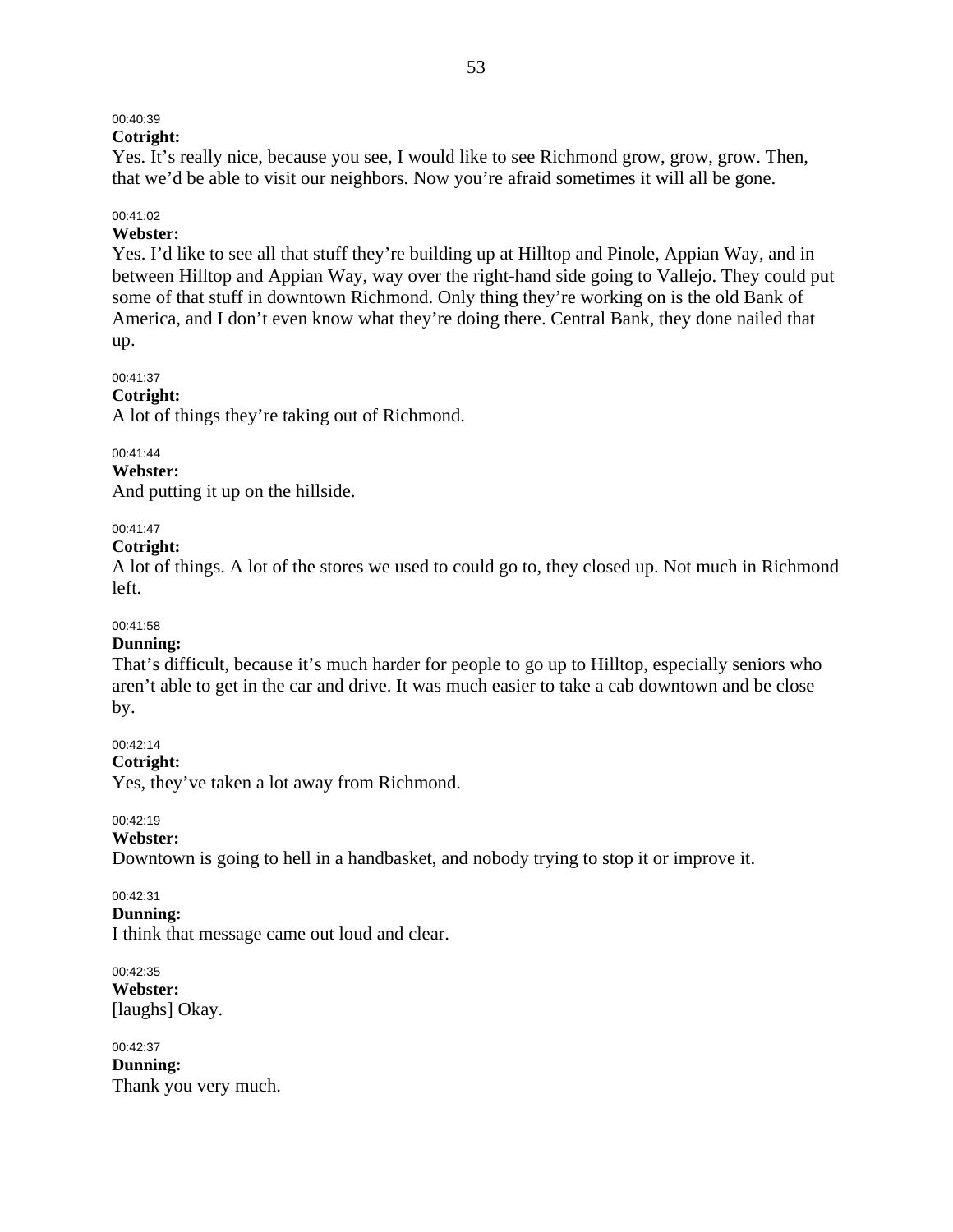# 00:40:39

# **Cotright:**

Yes. It's really nice, because you see, I would like to see Richmond grow, grow, grow. Then, that we'd be able to visit our neighbors. Now you're afraid sometimes it will all be gone.

### 00:41:02

### **Webster:**

Yes. I'd like to see all that stuff they're building up at Hilltop and Pinole, Appian Way, and in between Hilltop and Appian Way, way over the right-hand side going to Vallejo. They could put some of that stuff in downtown Richmond. Only thing they're working on is the old Bank of America, and I don't even know what they're doing there. Central Bank, they done nailed that up.

### 00:41:37

### **Cotright:**

A lot of things they're taking out of Richmond.

### 00:41:44

### **Webster:**

And putting it up on the hillside.

### 00:41:47

### **Cotright:**

A lot of things. A lot of the stores we used to could go to, they closed up. Not much in Richmond left.

### 00:41:58

### **Dunning:**

That's difficult, because it's much harder for people to go up to Hilltop, especially seniors who aren't able to get in the car and drive. It was much easier to take a cab downtown and be close by.

### 00:42:14

**Cotright:** 

Yes, they've taken a lot away from Richmond.

### 00:42:19

### **Webster:**

Downtown is going to hell in a handbasket, and nobody trying to stop it or improve it.

### 00:42:31

#### **Dunning:**

I think that message came out loud and clear.

00:42:35 **Webster:**  [laughs] Okay.

00:42:37 **Dunning:**  Thank you very much.